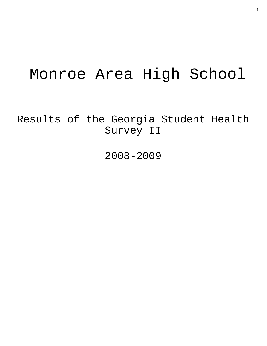# Monroe Area High School

Results of the Georgia Student Health Survey II

2008-2009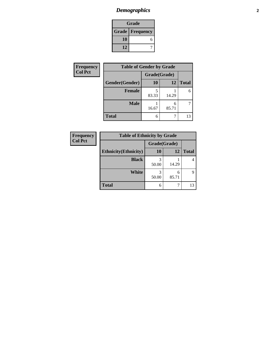# *Demographics* **2**

| Grade                    |  |  |
|--------------------------|--|--|
| <b>Grade   Frequency</b> |  |  |
| 10                       |  |  |
| 12                       |  |  |

| <b>Frequency</b> | <b>Table of Gender by Grade</b> |              |       |              |
|------------------|---------------------------------|--------------|-------|--------------|
| <b>Col Pct</b>   |                                 | Grade(Grade) |       |              |
|                  | Gender(Gender)                  | <b>10</b>    | 12    | <b>Total</b> |
|                  | <b>Female</b>                   | 83.33        | 14.29 | 6            |
|                  | <b>Male</b>                     | 16.67        | 85.71 |              |
|                  | <b>Total</b>                    | 6            |       | 13           |

**Total** 6 7 13

**10 12 Total**

4

9

1 14.29

6 85.71

| <b>Frequency</b> | <b>Table of Ethnicity by Grade</b> |              |      |  |
|------------------|------------------------------------|--------------|------|--|
| <b>Col Pct</b>   |                                    | Grade(Grade) |      |  |
|                  | <b>Ethnicity</b> (Ethnicity)       | 10           | 11   |  |
|                  | <b>Black</b>                       | 50.00        | 14.2 |  |
|                  | White                              | 50.00        | 85.7 |  |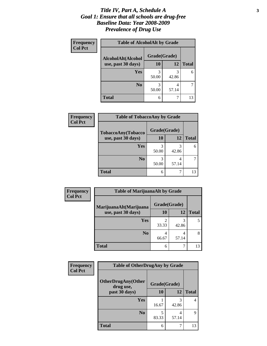#### *Title IV, Part A, Schedule A* **3** *Goal 1: Ensure that all schools are drug-free Baseline Data: Year 2008-2009 Prevalence of Drug Use*

| Frequency<br><b>Col Pct</b> | <b>Table of AlcoholAlt by Grade</b> |              |            |              |  |  |
|-----------------------------|-------------------------------------|--------------|------------|--------------|--|--|
|                             | AlcoholAlt(Alcohol                  | Grade(Grade) |            |              |  |  |
|                             | use, past 30 days)                  | 10           | 12         | <b>Total</b> |  |  |
|                             | <b>Yes</b>                          | 3<br>50.00   | 3<br>42.86 | 6            |  |  |
|                             | N <sub>0</sub>                      | 3<br>50.00   | 57.14      |              |  |  |
|                             | <b>Total</b>                        | 6            |            | 13           |  |  |

| Frequency      | <b>Table of TobaccoAny by Grade</b> |              |            |              |  |
|----------------|-------------------------------------|--------------|------------|--------------|--|
| <b>Col Pct</b> | TobaccoAny(Tobacco                  | Grade(Grade) |            |              |  |
|                | use, past 30 days)                  | <b>10</b>    | 12         | <b>Total</b> |  |
|                | Yes                                 | 3<br>50.00   | 3<br>42.86 |              |  |
|                | N <sub>0</sub>                      | 3<br>50.00   | 4<br>57.14 |              |  |
|                | <b>Total</b>                        | 6            |            | 13           |  |

| Frequency      | <b>Table of MarijuanaAlt by Grade</b> |              |           |              |  |
|----------------|---------------------------------------|--------------|-----------|--------------|--|
| <b>Col Pct</b> | MarijuanaAlt(Marijuana                | Grade(Grade) |           |              |  |
|                | use, past 30 days)                    | 10           | <b>12</b> | <b>Total</b> |  |
|                | <b>Yes</b>                            | 2<br>33.33   | 42.86     |              |  |
|                | N <sub>0</sub>                        | 4<br>66.67   | 57.14     | 8            |  |
|                | <b>Total</b>                          | 6            |           | 13           |  |

| <b>Frequency</b> | <b>Table of OtherDrugAny by Grade</b>  |              |            |              |
|------------------|----------------------------------------|--------------|------------|--------------|
| <b>Col Pct</b>   | <b>OtherDrugAny(Other</b><br>drug use, | Grade(Grade) |            |              |
|                  | past 30 days)                          | 10           | <b>12</b>  | <b>Total</b> |
|                  | <b>Yes</b>                             | 16.67        | 3<br>42.86 | 4            |
|                  | N <sub>0</sub>                         | 83.33        | 4<br>57.14 | 9            |
|                  | <b>Total</b>                           | 6            |            | 13           |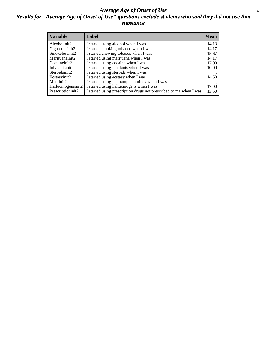#### *Average Age of Onset of Use* **4** *Results for "Average Age of Onset of Use" questions exclude students who said they did not use that substance*

| <b>Variable</b>    | Label                                                              | <b>Mean</b> |
|--------------------|--------------------------------------------------------------------|-------------|
| Alcoholinit2       | I started using alcohol when I was                                 | 14.13       |
| Cigarettesinit2    | I started smoking tobacco when I was                               | 14.17       |
| Smokelessinit2     | I started chewing tobacco when I was                               | 15.67       |
| Marijuanainit2     | I started using marijuana when I was                               | 14.17       |
| Cocaineinit2       | I started using cocaine when I was                                 | 17.00       |
| Inhalantsinit2     | I started using inhalants when I was                               | 10.00       |
| Steroidsinit2      | I started using steroids when I was                                |             |
| Ecstasyinit2       | I started using ecstasy when I was                                 | 14.50       |
| Methinit2          | I started using methamphetamines when I was                        |             |
| Hallucinogensinit2 | I started using hallucinogens when I was                           | 17.00       |
| Prescriptioninit2  | I started using prescription drugs not prescribed to me when I was | 13.50       |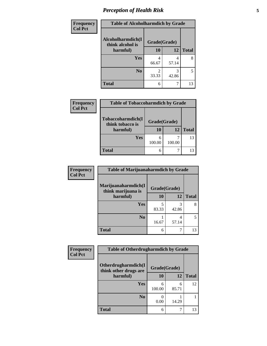# *Perception of Health Risk* **5**

| Frequency      | <b>Table of Alcoholharmdich by Grade</b> |              |            |              |
|----------------|------------------------------------------|--------------|------------|--------------|
| <b>Col Pct</b> | Alcoholharmdich(I<br>think alcohol is    | Grade(Grade) |            |              |
|                | harmful)                                 | 10           | 12         | <b>Total</b> |
|                | Yes                                      | 4            | 4          | 8            |
|                |                                          | 66.67        | 57.14      |              |
|                | N <sub>0</sub>                           | 2<br>33.33   | 3<br>42.86 | 5            |
|                | <b>Total</b>                             | 6            |            | 13           |

| <b>Frequency</b><br><b>Col Pct</b> | <b>Table of Tobaccoharmdich by Grade</b>          |                    |        |              |
|------------------------------------|---------------------------------------------------|--------------------|--------|--------------|
|                                    | Tobaccoharmdich(I<br>think tobacco is<br>harmful) | Grade(Grade)<br>10 | 12     | <b>Total</b> |
|                                    | Yes                                               | 6<br>100.00        | 100.00 | 13           |
|                                    | <b>Total</b>                                      | 6                  |        | 13           |

| <b>Frequency</b> | Table of Marijuanaharmdich by Grade       |              |               |              |  |
|------------------|-------------------------------------------|--------------|---------------|--------------|--|
| <b>Col Pct</b>   | Marijuanaharmdich(I<br>think marijuana is | Grade(Grade) |               |              |  |
|                  | harmful)                                  | 10           | 12            | <b>Total</b> |  |
|                  | <b>Yes</b>                                | 5<br>83.33   | 3<br>42.86    | 8            |  |
|                  | N <sub>o</sub>                            | 16.67        | 4<br>57.14    | $\sim$       |  |
|                  | <b>Total</b>                              | 6            | $\mathcal{L}$ | 13           |  |

| Frequency      | <b>Table of Otherdrugharmdich by Grade</b>   |              |            |              |
|----------------|----------------------------------------------|--------------|------------|--------------|
| <b>Col Pct</b> | Otherdrugharmdich(I<br>think other drugs are | Grade(Grade) |            |              |
|                | harmful)                                     | 10           | 12         | <b>Total</b> |
|                | Yes                                          | 6<br>100.00  | 6<br>85.71 | 12           |
|                | N <sub>0</sub>                               | 0.00         | 14.29      |              |
|                | <b>Total</b>                                 | 6            |            | 13           |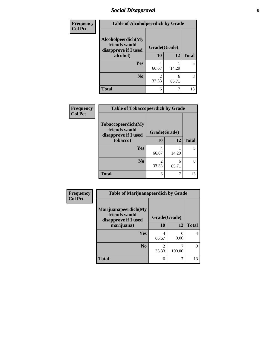# *Social Disapproval* **6**

| <b>Frequency</b> | <b>Table of Alcoholpeerdich by Grade</b>                    |                         |            |              |
|------------------|-------------------------------------------------------------|-------------------------|------------|--------------|
| <b>Col Pct</b>   | Alcoholpeerdich(My<br>friends would<br>disapprove if I used | Grade(Grade)            |            |              |
|                  | alcohol)                                                    | 10                      | 12         | <b>Total</b> |
|                  | <b>Yes</b>                                                  | 4<br>66.67              | 14.29      | 5            |
|                  | N <sub>0</sub>                                              | $\mathfrak{D}$<br>33.33 | 6<br>85.71 | 8            |
|                  | <b>Total</b>                                                | 6                       | 7          | 13           |

| <b>Frequency</b> |
|------------------|
| <b>Col Pct</b>   |

| <b>Table of Tobaccopeerdich by Grade</b>                            |                        |            |              |
|---------------------------------------------------------------------|------------------------|------------|--------------|
| <b>Tobaccopeerdich</b> (My<br>friends would<br>disapprove if I used | Grade(Grade)           |            |              |
| tobacco)                                                            | 10                     | 12         | <b>Total</b> |
| Yes                                                                 | 4<br>66.67             | 14.29      |              |
| N <sub>0</sub>                                                      | $\mathcal{L}$<br>33.33 | 6<br>85.71 |              |
| <b>Total</b>                                                        | 6                      |            | 13           |

| Frequency      | <b>Table of Marijuanapeerdich by Grade</b>                    |              |                       |              |
|----------------|---------------------------------------------------------------|--------------|-----------------------|--------------|
| <b>Col Pct</b> | Marijuanapeerdich(My<br>friends would<br>disapprove if I used | Grade(Grade) |                       |              |
|                | marijuana)                                                    | 10           | 12                    | <b>Total</b> |
|                | <b>Yes</b>                                                    | 4<br>66.67   | $\mathcal{L}$<br>0.00 | 4            |
|                | N <sub>0</sub>                                                | 2<br>33.33   | 100.00                | Q            |
|                | <b>Total</b>                                                  | 6            | ┑                     | 13           |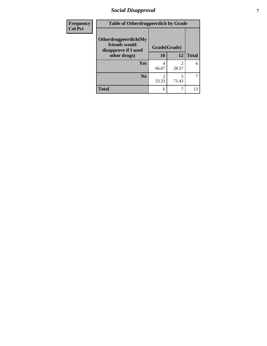# *Social Disapproval* **7**

| Frequency      | <b>Table of Otherdrugpeerdich by Grade</b>                    |              |            |              |
|----------------|---------------------------------------------------------------|--------------|------------|--------------|
| <b>Col Pct</b> | Otherdrugpeerdich(My<br>friends would<br>disapprove if I used | Grade(Grade) |            |              |
|                | other drugs)                                                  | 10           | 12         | <b>Total</b> |
|                | <b>Yes</b>                                                    | 4<br>66.67   | 2<br>28.57 | 6            |
|                | N <sub>0</sub>                                                | 33.33        | 5<br>71.43 | 7            |
|                | <b>Total</b>                                                  | 6            | 7          | 13           |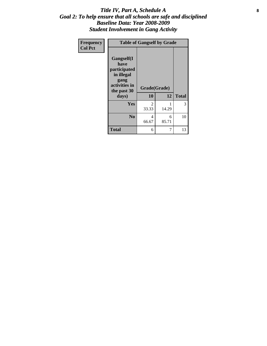#### Title IV, Part A, Schedule A **8** *Goal 2: To help ensure that all schools are safe and disciplined Baseline Data: Year 2008-2009 Student Involvement in Gang Activity*

| Frequency      | <b>Table of Gangself by Grade</b>                                                                 |                    |            |              |
|----------------|---------------------------------------------------------------------------------------------------|--------------------|------------|--------------|
| <b>Col Pct</b> | Gangself(I<br>have<br>participated<br>in illegal<br>gang<br>activities in<br>the past 30<br>days) | Grade(Grade)<br>10 | 12         | <b>Total</b> |
|                | Yes                                                                                               | 2<br>33.33         | 1<br>14.29 | 3            |
|                | N <sub>0</sub>                                                                                    | 4<br>66.67         | 6<br>85.71 | 10           |
|                | <b>Total</b>                                                                                      | 6                  | 7          | 13           |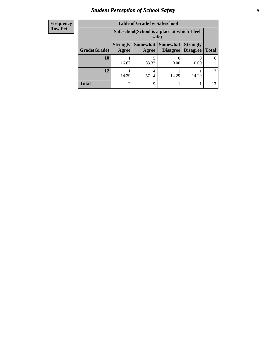# *Student Perception of School Safety* **9**

| <b>Frequency</b> |
|------------------|
| <b>Row Pct</b>   |

| <b>Table of Grade by Safeschool</b> |                                                        |                     |                             |                                    |              |
|-------------------------------------|--------------------------------------------------------|---------------------|-----------------------------|------------------------------------|--------------|
|                                     | Safeschool (School is a place at which I feel<br>safe) |                     |                             |                                    |              |
| Grade(Grade)                        | <b>Strongly</b><br>Agree                               | Somewhat  <br>Agree | <b>Somewhat</b><br>Disagree | <b>Strongly</b><br><b>Disagree</b> | <b>Total</b> |
| 10                                  | 16.67                                                  | 83.33               | 0.00                        | 0.00                               | 6            |
| 12                                  | 14.29                                                  | 4<br>57.14          | 14.29                       | 14.29                              |              |
| Total                               | 2                                                      | q                   |                             |                                    | 13           |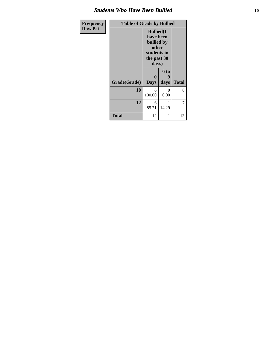#### *Students Who Have Been Bullied* **10**

| Frequency      | <b>Table of Grade by Bullied</b> |                                                                                              |           |              |
|----------------|----------------------------------|----------------------------------------------------------------------------------------------|-----------|--------------|
| <b>Row Pct</b> |                                  | <b>Bullied(I)</b><br>have been<br>bullied by<br>other<br>students in<br>the past 30<br>days) |           |              |
|                |                                  | $\bf{0}$                                                                                     | 6 to      |              |
|                | Grade(Grade)                     | <b>Days</b>                                                                                  | days      | <b>Total</b> |
|                | 10                               | 6<br>100.00                                                                                  | 0<br>0.00 | 6            |
|                | 12                               | 6<br>85.71                                                                                   | 14.29     | 7            |
|                | <b>Total</b>                     | 12                                                                                           | 1         | 13           |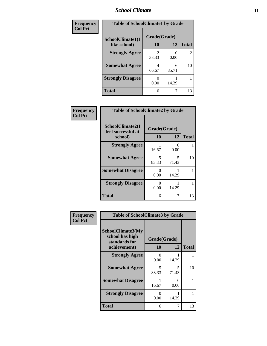#### *School Climate* **11**

| Frequency      | <b>Table of SchoolClimate1 by Grade</b> |              |            |                |
|----------------|-----------------------------------------|--------------|------------|----------------|
| <b>Col Pct</b> | SchoolClimate1(I                        | Grade(Grade) |            |                |
|                | like school)                            | 10           | 12         | <b>Total</b>   |
|                | <b>Strongly Agree</b>                   | 33.33        | 0.00       | $\overline{2}$ |
|                | <b>Somewhat Agree</b>                   | 4<br>66.67   | 6<br>85.71 | 10             |
|                | <b>Strongly Disagree</b>                | 0<br>0.00    | 14.29      |                |
|                | <b>Total</b>                            | 6            |            | 13             |

| Frequency      | <b>Table of SchoolClimate2 by Grade</b>           |                    |            |              |
|----------------|---------------------------------------------------|--------------------|------------|--------------|
| <b>Col Pct</b> | SchoolClimate2(I<br>feel successful at<br>school) | Grade(Grade)<br>10 | 12         | <b>Total</b> |
|                | <b>Strongly Agree</b>                             | 16.67              | 0<br>0.00  |              |
|                | <b>Somewhat Agree</b>                             | 5<br>83.33         | 5<br>71.43 | 10           |
|                | <b>Somewhat Disagree</b>                          | ∩<br>0.00          | 14.29      |              |
|                | <b>Strongly Disagree</b>                          | 0<br>0.00          | 14.29      |              |
|                | <b>Total</b>                                      | 6                  | 7          | 13           |

| <b>Frequency</b> |
|------------------|
| <b>Col Pct</b>   |

| <b>Table of SchoolClimate3 by Grade</b>               |              |            |              |
|-------------------------------------------------------|--------------|------------|--------------|
| SchoolClimate3(My<br>school has high<br>standards for | Grade(Grade) |            |              |
| achievement)                                          | 10           | 12         | <b>Total</b> |
| <b>Strongly Agree</b>                                 | 0<br>0.00    | 14.29      |              |
| <b>Somewhat Agree</b>                                 | 5<br>83.33   | 5<br>71.43 | 10           |
| <b>Somewhat Disagree</b>                              | 16.67        | 0.00       | 1            |
| <b>Strongly Disagree</b>                              | 0<br>0.00    | 14.29      |              |
| Total                                                 | 6            |            | 13           |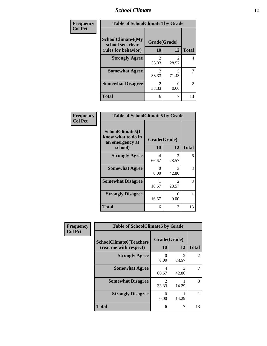#### *School Climate* **12**

| Frequency      | <b>Table of SchoolClimate4 by Grade</b>       |                                      |            |              |
|----------------|-----------------------------------------------|--------------------------------------|------------|--------------|
| <b>Col Pct</b> | <b>SchoolClimate4(My</b><br>school sets clear | Grade(Grade)                         |            |              |
|                | rules for behavior)                           | 10                                   | 12         | <b>Total</b> |
|                | <b>Strongly Agree</b>                         | $\mathfrak{D}$<br>33.33              | 28.57      | 4            |
|                | <b>Somewhat Agree</b>                         | $\mathcal{D}_{\mathcal{L}}$<br>33.33 | 5<br>71.43 | 7            |
|                | <b>Somewhat Disagree</b>                      | 2<br>33.33                           | 0.00       | 2            |
|                | Total                                         | 6                                    |            | 13           |

| Frequency      | <b>Table of SchoolClimate5 by Grade</b>                   |                  |            |              |
|----------------|-----------------------------------------------------------|------------------|------------|--------------|
| <b>Col Pct</b> | SchoolClimate5(I<br>know what to do in<br>an emergency at | Grade(Grade)     |            |              |
|                | school)                                                   | 10               | 12         | <b>Total</b> |
|                | <b>Strongly Agree</b>                                     | 4<br>66.67       | 2<br>28.57 | 6            |
|                | <b>Somewhat Agree</b>                                     | $\Omega$<br>0.00 | 3<br>42.86 | 3            |
|                | <b>Somewhat Disagree</b>                                  | 16.67            | 2<br>28.57 | 3            |
|                | <b>Strongly Disagree</b>                                  | 16.67            | 0<br>0.00  |              |
|                | Total                                                     | 6                | 7          | 13           |

| Frequency      | <b>Table of SchoolClimate6 by Grade</b>                  |                         |                                      |                |  |
|----------------|----------------------------------------------------------|-------------------------|--------------------------------------|----------------|--|
| <b>Col Pct</b> | <b>SchoolClimate6(Teachers</b><br>treat me with respect) | Grade(Grade)<br>10      | 12                                   | <b>Total</b>   |  |
|                | <b>Strongly Agree</b>                                    | 0<br>0.00               | $\mathcal{D}_{\mathcal{A}}$<br>28.57 | $\mathfrak{D}$ |  |
|                | <b>Somewhat Agree</b>                                    | 4<br>66.67              | 3<br>42.86                           |                |  |
|                | <b>Somewhat Disagree</b>                                 | $\mathfrak{D}$<br>33.33 | 14.29                                | 3              |  |
|                | <b>Strongly Disagree</b>                                 | 0<br>0.00               | 14.29                                |                |  |
|                | <b>Total</b>                                             | 6                       |                                      | 13             |  |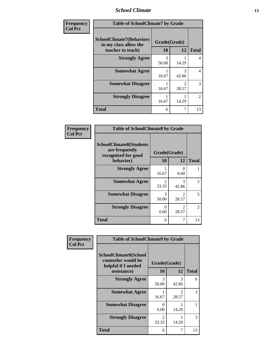#### *School Climate* **13**

| Frequency      | <b>Table of SchoolClimate7 by Grade</b>                                       |                    |                         |                |
|----------------|-------------------------------------------------------------------------------|--------------------|-------------------------|----------------|
| <b>Col Pct</b> | <b>SchoolClimate7(Behaviors</b><br>in my class allow the<br>teacher to teach) | Grade(Grade)<br>10 | 12                      | <b>Total</b>   |
|                | <b>Strongly Agree</b>                                                         | 3<br>50.00         | 14.29                   | 4              |
|                | <b>Somewhat Agree</b>                                                         | 1<br>16.67         | 3<br>42.86              | $\overline{4}$ |
|                | <b>Somewhat Disagree</b>                                                      | 1<br>16.67         | $\mathfrak{D}$<br>28.57 | 3              |
|                | <b>Strongly Disagree</b>                                                      | 1<br>16.67         | 14.29                   | $\mathfrak{D}$ |
|                | <b>Total</b>                                                                  | 6                  | $\overline{7}$          | 13             |

| Frequency      | <b>Table of SchoolClimate8 by Grade</b>                                              |                                      |                                      |                |
|----------------|--------------------------------------------------------------------------------------|--------------------------------------|--------------------------------------|----------------|
| <b>Col Pct</b> | <b>SchoolClimate8(Students</b><br>are frequently<br>recognized for good<br>behavior) | Grade(Grade)<br>10                   | 12                                   | <b>Total</b>   |
|                | <b>Strongly Agree</b>                                                                | 16.67                                | $\Omega$<br>0.00                     |                |
|                | <b>Somewhat Agree</b>                                                                | $\mathcal{D}_{\mathcal{L}}$<br>33.33 | 3<br>42.86                           | 5              |
|                | <b>Somewhat Disagree</b>                                                             | 3<br>50.00                           | $\mathfrak{D}$<br>28.57              | 5              |
|                | <b>Strongly Disagree</b>                                                             | $\Omega$<br>0.00                     | $\mathcal{D}_{\mathcal{L}}$<br>28.57 | $\mathfrak{D}$ |
|                | <b>Total</b>                                                                         | 6                                    |                                      | 13             |

| Frequency      | <b>Table of SchoolClimate9 by Grade</b>                                           |                         |                                      |              |
|----------------|-----------------------------------------------------------------------------------|-------------------------|--------------------------------------|--------------|
| <b>Col Pct</b> | SchoolClimate9(School<br>counselor would be<br>helpful if I needed<br>assistance) | Grade(Grade)<br>10      | 12                                   | <b>Total</b> |
|                | <b>Strongly Agree</b>                                                             | 3<br>50.00              | 3<br>42.86                           | 6            |
|                | <b>Somewhat Agree</b>                                                             | 16.67                   | $\mathcal{D}_{\mathcal{L}}$<br>28.57 | 3            |
|                | <b>Somewhat Disagree</b>                                                          | 0<br>0.00               | 14.29                                |              |
|                | <b>Strongly Disagree</b>                                                          | $\mathfrak{D}$<br>33.33 | 14.29                                | 3            |
|                | Total                                                                             | 6                       | 7                                    | 13           |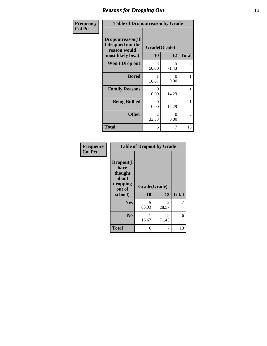#### *Reasons for Dropping Out* **14**

| <b>Frequency</b> | <b>Table of Dropoutreason by Grade</b>                                   |                         |            |              |
|------------------|--------------------------------------------------------------------------|-------------------------|------------|--------------|
| <b>Col Pct</b>   | Dropoutreason(If<br>I dropped out the<br>reason would<br>most likely be) | Grade(Grade)<br>10      | 12         | <b>Total</b> |
|                  | <b>Won't Drop out</b>                                                    | 3<br>50.00              | 5<br>71.43 | 8            |
|                  | <b>Bored</b>                                                             | 16.67                   | 0<br>0.00  | 1            |
|                  | <b>Family Reasons</b>                                                    | 0<br>0.00               | 14.29      |              |
|                  | <b>Being Bullied</b>                                                     | 0<br>0.00               | 14.29      | 1            |
|                  | <b>Other</b>                                                             | $\mathfrak{D}$<br>33.33 | 0<br>0.00  | 2            |
|                  | <b>Total</b>                                                             | 6                       | 7          | 13           |

| Frequency<br><b>Col Pct</b> | <b>Table of Dropout by Grade</b>                                       |                    |                                      |              |  |
|-----------------------------|------------------------------------------------------------------------|--------------------|--------------------------------------|--------------|--|
|                             | Dropout(I<br>have<br>thought<br>about<br>dropping<br>out of<br>school) | Grade(Grade)<br>10 | 12                                   | <b>Total</b> |  |
|                             | <b>Yes</b>                                                             | 5<br>83.33         | $\mathcal{D}_{\mathcal{L}}$<br>28.57 | 7            |  |
|                             | N <sub>0</sub>                                                         | 16.67              | 5<br>71.43                           | 6            |  |
|                             | <b>Total</b>                                                           | 6                  |                                      | 13           |  |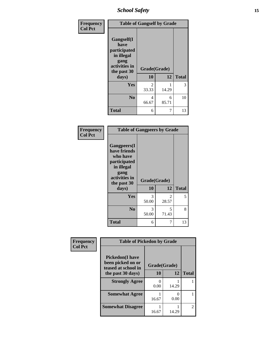*School Safety* **15**

| Frequency      | <b>Table of Gangself by Grade</b>                                                                 |                        |            |              |
|----------------|---------------------------------------------------------------------------------------------------|------------------------|------------|--------------|
| <b>Col Pct</b> | Gangself(I<br>have<br>participated<br>in illegal<br>gang<br>activities in<br>the past 30<br>days) | Grade(Grade)<br>10     | 12         | <b>Total</b> |
|                | Yes                                                                                               | $\mathcal{L}$<br>33.33 | 1<br>14.29 | 3            |
|                | N <sub>0</sub>                                                                                    | 4<br>66.67             | 6<br>85.71 | 10           |
|                | <b>Total</b>                                                                                      | 6                      | 7          | 13           |

| Frequency<br><b>Col Pct</b> | <b>Table of Gangpeers by Grade</b>                                                                                             |                    |                         |              |
|-----------------------------|--------------------------------------------------------------------------------------------------------------------------------|--------------------|-------------------------|--------------|
|                             | <b>Gangpeers</b> (I<br>have friends<br>who have<br>participated<br>in illegal<br>gang<br>activities in<br>the past 30<br>days) | Grade(Grade)<br>10 | 12                      | <b>Total</b> |
|                             | <b>Yes</b>                                                                                                                     | 3<br>50.00         | $\mathfrak{D}$<br>28.57 | 5            |
|                             | N <sub>0</sub>                                                                                                                 | 3<br>50.00         | 5<br>71.43              | 8            |
|                             | <b>Total</b>                                                                                                                   | 6                  | 7                       | 13           |

| Frequency      | <b>Table of Pickedon by Grade</b>                                  |       |              |                |
|----------------|--------------------------------------------------------------------|-------|--------------|----------------|
| <b>Col Pct</b> | <b>Pickedon(I have</b><br>been picked on or<br>teased at school in |       | Grade(Grade) |                |
|                | the past 30 days)                                                  | 10    | 12           | <b>Total</b>   |
|                | <b>Strongly Agree</b>                                              | 0.00  | 14.29        |                |
|                | <b>Somewhat Agree</b>                                              | 16.67 | 0<br>0.00    |                |
|                | <b>Somewhat Disagree</b>                                           | 16.67 | 14.29        | $\mathfrak{D}$ |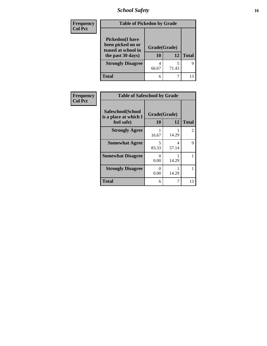*School Safety* **16**

| <b>Frequency</b> | <b>Table of Pickedon by Grade</b>                                                        |                    |       |              |  |  |
|------------------|------------------------------------------------------------------------------------------|--------------------|-------|--------------|--|--|
| <b>Col Pct</b>   | <b>Pickedon</b> (I have<br>been picked on or<br>teased at school in<br>the past 30 days) | Grade(Grade)<br>10 | 12    | <b>Total</b> |  |  |
|                  | <b>Strongly Disagree</b>                                                                 | 4<br>66.67         | 71.43 | 9            |  |  |
|                  | <b>Total</b>                                                                             | 6                  |       | 13           |  |  |

| Frequency      | <b>Table of Safeschool by Grade</b>                      |                    |            |              |  |  |  |
|----------------|----------------------------------------------------------|--------------------|------------|--------------|--|--|--|
| <b>Col Pct</b> | Safeschool(School<br>is a place at which I<br>feel safe) | Grade(Grade)<br>10 | 12         | <b>Total</b> |  |  |  |
|                | <b>Strongly Agree</b>                                    | 16.67              | 14.29      | 2            |  |  |  |
|                | <b>Somewhat Agree</b>                                    | 5<br>83.33         | 4<br>57.14 | 9            |  |  |  |
|                | <b>Somewhat Disagree</b>                                 | 0<br>0.00          | 14.29      |              |  |  |  |
|                | <b>Strongly Disagree</b>                                 | 0<br>0.00          | 14.29      |              |  |  |  |
|                | Total                                                    | 6                  | 7          | 13           |  |  |  |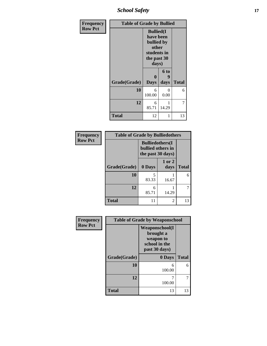*School Safety* **17**

| Frequency      | <b>Table of Grade by Bullied</b> |                                                                                              |                   |              |  |  |
|----------------|----------------------------------|----------------------------------------------------------------------------------------------|-------------------|--------------|--|--|
| <b>Row Pct</b> |                                  | <b>Bullied</b> (I<br>have been<br>bullied by<br>other<br>students in<br>the past 30<br>days) |                   |              |  |  |
|                | Grade(Grade)                     | 0<br><b>Days</b>                                                                             | 6 to<br>9<br>days | <b>Total</b> |  |  |
|                | 10                               | 6<br>100.00                                                                                  | $\Omega$<br>0.00  | 6            |  |  |
|                | 12                               | 6<br>85.71                                                                                   | 1<br>14.29        | 7            |  |  |
|                | <b>Total</b>                     | 12                                                                                           | 1                 | 13           |  |  |

| Frequency      | <b>Table of Grade by Bulliedothers</b> |                                                                   |                |              |  |  |
|----------------|----------------------------------------|-------------------------------------------------------------------|----------------|--------------|--|--|
| <b>Row Pct</b> |                                        | <b>Bulliedothers</b> (I<br>bullied others in<br>the past 30 days) |                |              |  |  |
|                | Grade(Grade)                           | 0 Days                                                            | 1 or 2<br>days | <b>Total</b> |  |  |
|                | 10                                     | 5<br>83.33                                                        | 16.67          | 6            |  |  |
|                | 12                                     | 6<br>85.71                                                        | 14.29          |              |  |  |
|                | <b>Total</b>                           | 11                                                                | 2              | 13           |  |  |

| Frequency      | <b>Table of Grade by Weaponschool</b> |                                                                                    |              |  |
|----------------|---------------------------------------|------------------------------------------------------------------------------------|--------------|--|
| <b>Row Pct</b> |                                       | <b>Weaponschool</b> (I<br>brought a<br>weapon to<br>school in the<br>past 30 days) |              |  |
|                | Grade(Grade)                          | 0 Days                                                                             | <b>Total</b> |  |
|                | 10                                    | 6<br>100.00                                                                        | 6            |  |
|                | 12                                    | 100.00                                                                             |              |  |
|                | Total                                 | 13                                                                                 | 13           |  |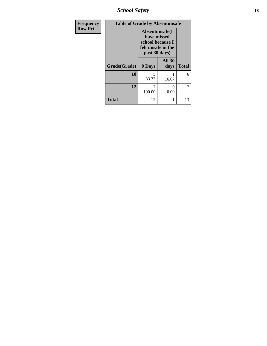*School Safety* **18**

| <b>Frequency</b> | <b>Table of Grade by Absentunsafe</b> |                                                                                           |                       |              |  |  |  |
|------------------|---------------------------------------|-------------------------------------------------------------------------------------------|-----------------------|--------------|--|--|--|
| <b>Row Pct</b>   |                                       | Absentunsafe(I)<br>have missed<br>school because I<br>felt unsafe in the<br>past 30 days) |                       |              |  |  |  |
|                  | Grade(Grade)                          | 0 Days                                                                                    | <b>All 30</b><br>days | <b>Total</b> |  |  |  |
|                  | 10                                    | 5<br>83.33                                                                                | 16.67                 | 6            |  |  |  |
|                  | 12                                    | 100.00                                                                                    | 0<br>0.00             | 7            |  |  |  |
|                  | <b>Total</b>                          | 12                                                                                        | 1                     | 13           |  |  |  |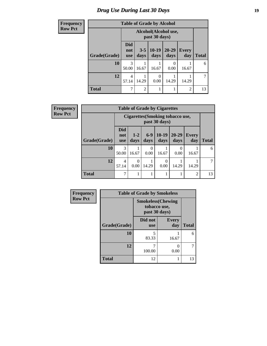# *Drug Use During Last 30 Days* **19**

| <b>Frequency</b> | <b>Table of Grade by Alcohol</b> |                                       |                 |                 |                   |                     |              |
|------------------|----------------------------------|---------------------------------------|-----------------|-----------------|-------------------|---------------------|--------------|
| <b>Row Pct</b>   |                                  | Alcohol(Alcohol use,<br>past 30 days) |                 |                 |                   |                     |              |
|                  | Grade(Grade)                     | <b>Did</b><br>not<br><b>use</b>       | $3 - 5$<br>days | $10-19$<br>days | $20 - 29$<br>days | <b>Every</b><br>day | <b>Total</b> |
|                  | 10                               | 3<br>50.00                            | 16.67           | 16.67           | 0<br>0.00         | 16.67               | 6            |
|                  | 12                               | 4<br>57.14                            | 14.29           | 0<br>0.00       | 14.29             | 14.29               | 7            |
|                  | <b>Total</b>                     | 7                                     | $\overline{2}$  | 1               |                   | $\overline{2}$      | 13           |

| Frequency      | <b>Table of Grade by Cigarettes</b> |                                 |                                                   |                  |                  |                   |                     |                |
|----------------|-------------------------------------|---------------------------------|---------------------------------------------------|------------------|------------------|-------------------|---------------------|----------------|
| <b>Row Pct</b> |                                     |                                 | Cigarettes (Smoking tobacco use,<br>past 30 days) |                  |                  |                   |                     |                |
|                | Grade(Grade)                        | <b>Did</b><br>not<br><b>use</b> | $1 - 2$<br>days                                   | $6-9$<br>days    | $10-19$<br>days  | $20 - 29$<br>days | <b>Every</b><br>day | <b>Total</b>   |
|                | 10                                  | 3<br>50.00                      | 16.67                                             | $\Omega$<br>0.00 | 16.67            | 0<br>0.00         | 16.67               | 6              |
|                | 12                                  | $\overline{4}$<br>57.14         | $\Omega$<br>0.00                                  | 14.29            | $\Omega$<br>0.00 | 14.29             | 14.29               | $\overline{7}$ |
|                | <b>Total</b>                        | 7                               |                                                   |                  |                  |                   | $\overline{2}$      | 13             |

| Frequency      |              | <b>Table of Grade by Smokeless</b> |                                           |              |
|----------------|--------------|------------------------------------|-------------------------------------------|--------------|
| <b>Row Pct</b> |              | past 30 days)                      | <b>Smokeless</b> (Chewing<br>tobacco use, |              |
|                | Grade(Grade) | Did not<br><b>use</b>              | <b>Every</b><br>day                       | <b>Total</b> |
|                | 10           | 5<br>83.33                         | 16.67                                     | 6            |
|                | 12           | 100.00                             | 0.00                                      |              |
|                | <b>Total</b> | 12                                 |                                           | 13           |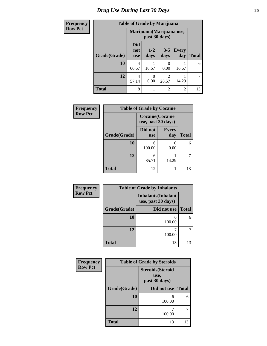# *Drug Use During Last 30 Days* 20

| <b>Frequency</b> | <b>Table of Grade by Marijuana</b> |                           |                  |                 |                     |              |
|------------------|------------------------------------|---------------------------|------------------|-----------------|---------------------|--------------|
| <b>Row Pct</b>   |                                    | Marijuana (Marijuana use, |                  |                 |                     |              |
|                  | Grade(Grade)                       | Did<br>not<br><b>use</b>  | $1 - 2$<br>days  | $3 - 5$<br>days | <b>Every</b><br>day | <b>Total</b> |
|                  | 10                                 | 4<br>66.67                | 16.67            | 0.00            | 16.67               | 6            |
|                  | 12                                 | 4<br>57.14                | $\Omega$<br>0.00 | 28.57           | 14.29               |              |
|                  | <b>Total</b>                       | 8                         |                  | $\mathfrak{D}$  | $\overline{c}$      | 13           |

| Frequency      | <b>Table of Grade by Cocaine</b> |                                               |                     |              |  |  |
|----------------|----------------------------------|-----------------------------------------------|---------------------|--------------|--|--|
| <b>Row Pct</b> |                                  | <b>Cocaine</b> (Cocaine<br>use, past 30 days) |                     |              |  |  |
|                | Grade(Grade)                     | Did not<br><b>use</b>                         | <b>Every</b><br>day | <b>Total</b> |  |  |
|                | 10                               | 6<br>100.00                                   | 0.00                | 6            |  |  |
|                | 12                               | 6<br>85.71                                    | 14.29               |              |  |  |
|                | <b>Total</b>                     | 12                                            |                     | 13           |  |  |

| Frequency      | <b>Table of Grade by Inhalants</b> |                                                  |              |  |  |  |
|----------------|------------------------------------|--------------------------------------------------|--------------|--|--|--|
| <b>Row Pct</b> |                                    | <b>Inhalants</b> (Inhalant<br>use, past 30 days) |              |  |  |  |
|                | Grade(Grade)                       | Did not use                                      | <b>Total</b> |  |  |  |
|                | 10                                 | 6<br>100.00                                      | 6            |  |  |  |
|                | 12                                 | 100.00                                           | 7            |  |  |  |
|                | <b>Total</b>                       | 13                                               | 13           |  |  |  |

| Frequency      | <b>Table of Grade by Steroids</b> |                                                   |              |  |
|----------------|-----------------------------------|---------------------------------------------------|--------------|--|
| <b>Row Pct</b> |                                   | <b>Steroids</b> (Steroid<br>use,<br>past 30 days) |              |  |
|                | Grade(Grade)                      | Did not use                                       | <b>Total</b> |  |
|                | 10                                | 6<br>100.00                                       | 6            |  |
|                | 12                                | 100.00                                            |              |  |
|                | <b>Total</b>                      | 13                                                | 13           |  |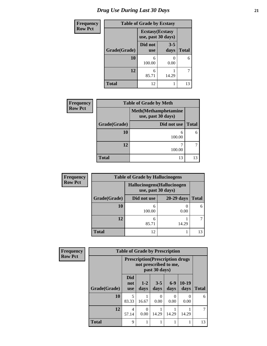# *Drug Use During Last 30 Days* **21**

| <b>Frequency</b> | <b>Table of Grade by Ecstasy</b> |                                               |                 |              |
|------------------|----------------------------------|-----------------------------------------------|-----------------|--------------|
| <b>Row Pct</b>   |                                  | <b>Ecstasy</b> (Ecstasy<br>use, past 30 days) |                 |              |
|                  | Grade(Grade)                     | Did not<br><b>use</b>                         | $3 - 5$<br>days | <b>Total</b> |
|                  | 10                               | 6<br>100.00                                   | 0.00            | 6            |
|                  | 12                               | 6<br>85.71                                    | 14.29           | 7            |
|                  | <b>Total</b>                     | 12                                            |                 | 13           |

| <b>Frequency</b> | <b>Table of Grade by Meth</b> |             |              |  |
|------------------|-------------------------------|-------------|--------------|--|
| <b>Row Pct</b>   |                               |             |              |  |
|                  | Grade(Grade)                  | Did not use | <b>Total</b> |  |
|                  | 10                            | 6<br>100.00 | 6            |  |
|                  | 12                            | 100.00      |              |  |
|                  | <b>Total</b>                  | 13          | 13           |  |

| <b>Frequency</b> | <b>Table of Grade by Hallucinogens</b> |                                                   |              |              |  |
|------------------|----------------------------------------|---------------------------------------------------|--------------|--------------|--|
| <b>Row Pct</b>   |                                        | Hallucinogens (Hallucinogen<br>use, past 30 days) |              |              |  |
|                  | Grade(Grade)                           | Did not use                                       | $20-29$ days | <b>Total</b> |  |
|                  | 10                                     | 6<br>100.00                                       | 0.00         | 6            |  |
|                  | 12                                     | 6<br>85.71                                        | 14.29        |              |  |
|                  | <b>Total</b>                           | 12                                                |              | 13           |  |

| Frequency      | <b>Table of Grade by Prescription</b> |                                                                                    |                 |                  |               |                  |              |
|----------------|---------------------------------------|------------------------------------------------------------------------------------|-----------------|------------------|---------------|------------------|--------------|
| <b>Row Pct</b> |                                       | <b>Prescription</b> (Prescription drugs)<br>not prescribed to me,<br>past 30 days) |                 |                  |               |                  |              |
|                | Grade(Grade)                          | <b>Did</b><br>not<br><b>use</b>                                                    | $1 - 2$<br>days | $3 - 5$<br>days  | $6-9$<br>days | $10-19$<br>days  | <b>Total</b> |
|                | 10                                    | 5<br>83.33                                                                         | 16.67           | $\Omega$<br>0.00 | 0<br>0.00     | $\Omega$<br>0.00 | 6            |
|                | 12                                    | 4<br>57.14                                                                         | 0<br>0.00       | 14.29            | 14.29         | 14.29            |              |
|                | <b>Total</b>                          | 9                                                                                  |                 |                  |               |                  | 13           |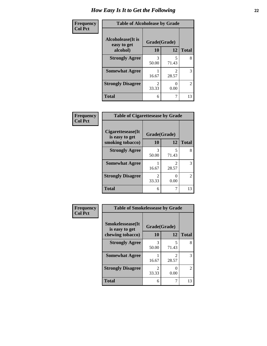| <b>Frequency</b> | <b>Table of Alcoholease by Grade</b>     |                |       |                |
|------------------|------------------------------------------|----------------|-------|----------------|
| <b>Col Pct</b>   | <b>Alcoholease</b> (It is<br>easy to get | Grade(Grade)   |       |                |
|                  | alcohol)                                 | 10             | 12    | <b>Total</b>   |
|                  | <b>Strongly Agree</b>                    | 3              | 5     | 8              |
|                  |                                          | 50.00          | 71.43 |                |
|                  | <b>Somewhat Agree</b>                    |                | っ     | 3              |
|                  |                                          | 16.67          | 28.57 |                |
|                  | <b>Strongly Disagree</b>                 | $\mathfrak{D}$ | 0     | $\overline{2}$ |
|                  |                                          | 33.33          | 0.00  |                |
|                  | <b>Total</b>                             | 6              |       | 13             |

| Frequency      | <b>Table of Cigarettesease by Grade</b> |                                      |                           |                |
|----------------|-----------------------------------------|--------------------------------------|---------------------------|----------------|
| <b>Col Pct</b> | Cigarettesease(It)<br>is easy to get    | Grade(Grade)                         |                           |                |
|                | smoking tobacco)                        | 10                                   | 12                        | <b>Total</b>   |
|                | <b>Strongly Agree</b>                   | 3<br>50.00                           | 5<br>71.43                | 8              |
|                | <b>Somewhat Agree</b>                   | 16.67                                | 2<br>28.57                | 3              |
|                | <b>Strongly Disagree</b>                | $\mathcal{D}_{\mathcal{A}}$<br>33.33 | $\mathbf{\Omega}$<br>0.00 | $\mathfrak{D}$ |
|                | <b>Total</b>                            | 6                                    |                           | 13             |

| Frequency      | <b>Table of Smokelessease by Grade</b>                         |                    |            |              |
|----------------|----------------------------------------------------------------|--------------------|------------|--------------|
| <b>Col Pct</b> | <b>Smokelessease</b> (It<br>is easy to get<br>chewing tobacco) | Grade(Grade)<br>10 | 12         | <b>Total</b> |
|                | <b>Strongly Agree</b>                                          | 3<br>50.00         | 5<br>71.43 | 8            |
|                | <b>Somewhat Agree</b>                                          | 16.67              | 2<br>28.57 | 3            |
|                | <b>Strongly Disagree</b>                                       | 2<br>33.33         | 0<br>0.00  | 2            |
|                | <b>Total</b>                                                   | 6                  | 7          | 13           |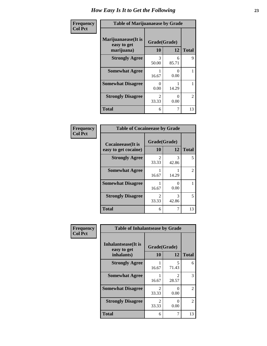| Frequency      | <b>Table of Marijuanaease by Grade</b>           |                           |                           |                |
|----------------|--------------------------------------------------|---------------------------|---------------------------|----------------|
| <b>Col Pct</b> | Marijuanaease(It is<br>easy to get<br>marijuana) | Grade(Grade)<br><b>10</b> | 12                        | <b>Total</b>   |
|                | <b>Strongly Agree</b>                            | 3<br>50.00                | 6<br>85.71                | 9              |
|                | <b>Somewhat Agree</b>                            | 16.67                     | $\mathbf{\Omega}$<br>0.00 |                |
|                | <b>Somewhat Disagree</b>                         | 0<br>0.00                 | 14.29                     |                |
|                | <b>Strongly Disagree</b>                         | $\mathfrak{D}$<br>33.33   | $\mathcal{O}$<br>0.00     | $\mathfrak{D}$ |
|                | <b>Total</b>                                     | 6                         |                           | 13             |

| Frequency<br>  Col Pct |
|------------------------|

| <b>Table of Cocaineease by Grade</b>              |                         |            |              |  |
|---------------------------------------------------|-------------------------|------------|--------------|--|
| <b>Cocaineease</b> (It is<br>easy to get cocaine) | Grade(Grade)<br>10      | 12         | <b>Total</b> |  |
| <b>Strongly Agree</b>                             | $\mathfrak{D}$<br>33.33 | 3<br>42.86 | 5            |  |
| <b>Somewhat Agree</b>                             | 16.67                   | 14.29      | 2            |  |
| <b>Somewhat Disagree</b>                          | 16.67                   | 0.00       |              |  |
| <b>Strongly Disagree</b>                          | 2<br>33.33              | 3<br>42.86 | 5            |  |
| <b>Total</b>                                      | 6                       |            | 13           |  |

| Frequency      | <b>Table of Inhalantsease by Grade</b>     |                                      |                                      |              |  |
|----------------|--------------------------------------------|--------------------------------------|--------------------------------------|--------------|--|
| <b>Col Pct</b> | <b>Inhalantsease</b> (It is<br>easy to get | Grade(Grade)                         |                                      |              |  |
|                | inhalants)                                 | 10                                   | 12                                   | <b>Total</b> |  |
|                | <b>Strongly Agree</b>                      | 16.67                                | 5<br>71.43                           | 6            |  |
|                | <b>Somewhat Agree</b>                      | 16.67                                | $\mathcal{D}_{\mathcal{L}}$<br>28.57 | 3            |  |
|                | <b>Somewhat Disagree</b>                   | $\mathcal{D}_{\mathcal{L}}$<br>33.33 | 0.00                                 | 2            |  |
|                | <b>Strongly Disagree</b>                   | $\mathfrak{D}$<br>33.33              | 0.00                                 | 2            |  |
|                | <b>Total</b>                               | 6                                    | 7                                    | 13           |  |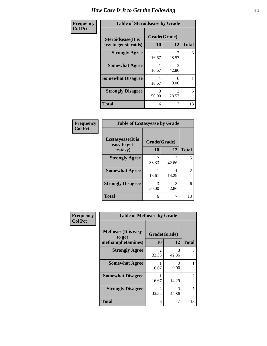| Frequency      | <b>Table of Steroidsease by Grade</b>               |                    |                                      |              |  |
|----------------|-----------------------------------------------------|--------------------|--------------------------------------|--------------|--|
| <b>Col Pct</b> | <b>Steroidsease</b> (It is<br>easy to get steroids) | Grade(Grade)<br>10 | 12                                   | <b>Total</b> |  |
|                | <b>Strongly Agree</b>                               | 16.67              | $\mathcal{D}_{\mathcal{L}}$<br>28.57 | 3            |  |
|                | <b>Somewhat Agree</b>                               | 16.67              | 3<br>42.86                           | 4            |  |
|                | <b>Somewhat Disagree</b>                            | 16.67              | 0.00                                 |              |  |
|                | <b>Strongly Disagree</b>                            | 3<br>50.00         | $\mathfrak{D}$<br>28.57              | 5            |  |
|                | <b>Total</b>                                        | 6                  |                                      | 13           |  |

| Frequency      | <b>Table of Ecstasyease by Grade</b>     |              |            |                |
|----------------|------------------------------------------|--------------|------------|----------------|
| <b>Col Pct</b> | <b>Ecstasyease</b> (It is<br>easy to get | Grade(Grade) |            |                |
|                | ecstasy)                                 | 10           | 12         | <b>Total</b>   |
|                | <b>Strongly Agree</b>                    | 2<br>33.33   | 3<br>42.86 | 5              |
|                | <b>Somewhat Agree</b>                    | 16.67        | 14.29      | $\overline{2}$ |
|                | <b>Strongly Disagree</b>                 | 3<br>50.00   | 3<br>42.86 | 6              |
|                | <b>Total</b>                             | 6            |            | 13             |

| Frequency      | <b>Table of Methease by Grade</b>                          |                                      |            |              |
|----------------|------------------------------------------------------------|--------------------------------------|------------|--------------|
| <b>Col Pct</b> | <b>Methease</b> (It is easy<br>to get<br>methamphetamines) | Grade(Grade)<br>10                   | 12         | <b>Total</b> |
|                | <b>Strongly Agree</b>                                      | $\mathcal{D}_{\mathcal{L}}$<br>33.33 | 3<br>42.86 | 5            |
|                | <b>Somewhat Agree</b>                                      | 16.67                                | 0<br>0.00  |              |
|                | <b>Somewhat Disagree</b>                                   | 16.67                                | 14.29      | 2            |
|                | <b>Strongly Disagree</b>                                   | $\mathfrak{D}$<br>33.33              | 3<br>42.86 | 5            |
|                | <b>Total</b>                                               | 6                                    | 7          | 13           |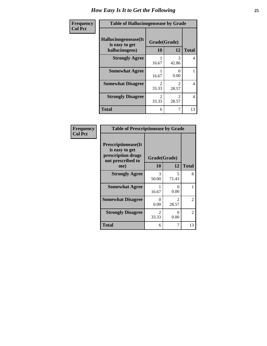| Frequency      | <b>Table of Hallucinogensease by Grade</b>               |                                      |            |                |
|----------------|----------------------------------------------------------|--------------------------------------|------------|----------------|
| <b>Col Pct</b> | Hallucinogensease(It<br>is easy to get<br>hallucinogens) | Grade(Grade)<br><b>10</b>            | 12         | <b>Total</b>   |
|                | <b>Strongly Agree</b>                                    | 16.67                                | 3<br>42.86 | $\overline{4}$ |
|                | <b>Somewhat Agree</b>                                    | 16.67                                | 0<br>0.00  |                |
|                | <b>Somewhat Disagree</b>                                 | $\mathcal{D}_{\mathcal{L}}$<br>33.33 | 28.57      | 4              |
|                | <b>Strongly Disagree</b>                                 | $\mathcal{D}_{\mathcal{L}}$<br>33.33 | 28.57      | 4              |
|                | <b>Total</b>                                             | 6                                    |            | 13             |

| Frequency<br>Col Pct |
|----------------------|
|                      |

| <b>Table of Prescriptionease by Grade</b>                                                |                                |                                      |              |  |  |
|------------------------------------------------------------------------------------------|--------------------------------|--------------------------------------|--------------|--|--|
| <b>Prescriptionease</b> (It<br>is easy to get<br>prescription drugs<br>not prescribed to | Grade(Grade)                   |                                      |              |  |  |
| me)                                                                                      | 10                             | 12                                   | <b>Total</b> |  |  |
| <b>Strongly Agree</b>                                                                    | 3<br>50.00                     | 5<br>71.43                           | 8            |  |  |
| <b>Somewhat Agree</b>                                                                    | 16.67                          | 0<br>0.00                            |              |  |  |
| <b>Somewhat Disagree</b>                                                                 | 0<br>0.00                      | $\mathcal{D}_{\mathcal{L}}$<br>28.57 | 2            |  |  |
| <b>Strongly Disagree</b>                                                                 | $\mathcal{D}_{\cdot}$<br>33.33 | 0.00                                 | 2            |  |  |
| Total                                                                                    | 6                              |                                      | 13           |  |  |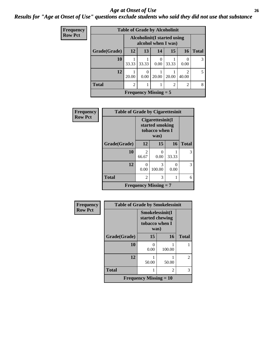#### *Age at Onset of Use* **26** *Results for "Age at Onset of Use" questions exclude students who said they did not use that substance*

| <b>Frequency</b> | <b>Table of Grade by Alcoholinit</b> |                                                     |                                           |       |                |                |       |
|------------------|--------------------------------------|-----------------------------------------------------|-------------------------------------------|-------|----------------|----------------|-------|
| <b>Row Pct</b>   |                                      | Alcoholinit (I started using<br>alcohol when I was) |                                           |       |                |                |       |
|                  | Grade(Grade)                         | 12                                                  | 13                                        | 14    | 15             | <b>16</b>      | Total |
|                  | 10                                   | 33.33                                               | 33.33                                     | 0.00  | 33.33          | 0.00           | 3     |
|                  | 12                                   | 20.00                                               | 0<br>0.00                                 | 20.00 | 20.00          | 2<br>40.00     | 5     |
|                  | <b>Total</b>                         | $\overline{c}$                                      |                                           |       | $\overline{2}$ | $\overline{2}$ | 8     |
|                  |                                      |                                                     | <b>Frequency Missing <math>=</math> 5</b> |       |                |                |       |

| Frequency      | <b>Table of Grade by Cigarettesinit</b> |                         |                                                               |           |              |
|----------------|-----------------------------------------|-------------------------|---------------------------------------------------------------|-----------|--------------|
| <b>Row Pct</b> |                                         |                         | Cigarettesinit(I<br>started smoking<br>tobacco when I<br>was) |           |              |
|                | Grade(Grade)                            | 12                      | 15                                                            | 16        | <b>Total</b> |
|                | 10                                      | $\mathfrak{D}$<br>66.67 | 0<br>0.00                                                     | 33.33     | 3            |
|                | 12                                      | 0<br>0.00               | 3<br>100.00                                                   | 0<br>0.00 | 3            |
|                | <b>Total</b>                            | 2                       | 3                                                             |           | 6            |
|                |                                         |                         | <b>Frequency Missing = 7</b>                                  |           |              |

| Frequency      | <b>Table of Grade by Smokelessinit</b> |                                                              |        |              |
|----------------|----------------------------------------|--------------------------------------------------------------|--------|--------------|
| <b>Row Pct</b> |                                        | Smokelessinit(I<br>started chewing<br>tobacco when I<br>was) |        |              |
|                | Grade(Grade)                           | 15                                                           | 16     | <b>Total</b> |
|                | 10                                     | 0.00                                                         | 100.00 |              |
|                | 12                                     | 50.00                                                        | 50.00  | 2            |
|                | <b>Total</b>                           |                                                              | 2      | 3            |
|                |                                        | <b>Frequency Missing <math>= 10</math></b>                   |        |              |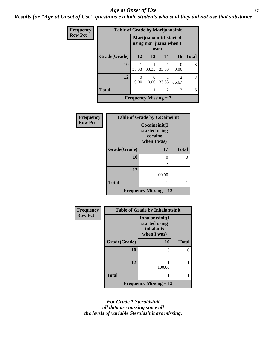#### *Age at Onset of Use* **27**

*Results for "Age at Onset of Use" questions exclude students who said they did not use that substance*

| <b>Frequency</b> | <b>Table of Grade by Marijuanainit</b> |                                                            |                              |       |                         |              |
|------------------|----------------------------------------|------------------------------------------------------------|------------------------------|-------|-------------------------|--------------|
| <b>Row Pct</b>   |                                        | Marijuanainit (I started<br>using marijuana when I<br>was) |                              |       |                         |              |
|                  | Grade(Grade)                           | 12                                                         | 13                           | 14    | 16                      | <b>Total</b> |
|                  | 10                                     | 33.33                                                      | 33.33                        | 33.33 | $\Omega$<br>0.00        | 3            |
|                  | 12                                     | 0<br>0.00                                                  | $\Omega$<br>0.00             | 33.33 | $\mathfrak{D}$<br>66.67 | 3            |
|                  | <b>Total</b>                           |                                                            |                              | 2     | 2                       | 6            |
|                  |                                        |                                                            | <b>Frequency Missing = 7</b> |       |                         |              |

| <b>Frequency</b> | <b>Table of Grade by Cocaineinit</b> |                                                          |              |  |
|------------------|--------------------------------------|----------------------------------------------------------|--------------|--|
| <b>Row Pct</b>   |                                      | Cocaineinit(I<br>started using<br>cocaine<br>when I was) |              |  |
|                  | Grade(Grade)                         | 17                                                       | <b>Total</b> |  |
|                  | 10                                   | ∩                                                        | 0            |  |
|                  | 12                                   | 100.00                                                   |              |  |
|                  | <b>Total</b>                         |                                                          |              |  |
|                  | <b>Frequency Missing = 12</b>        |                                                          |              |  |

| Frequency      | <b>Table of Grade by Inhalantsinit</b> |                                                                     |              |  |  |
|----------------|----------------------------------------|---------------------------------------------------------------------|--------------|--|--|
| <b>Row Pct</b> |                                        | Inhalantsinit(I<br>started using<br><i>inhalants</i><br>when I was) |              |  |  |
|                | Grade(Grade)                           | 10                                                                  | <b>Total</b> |  |  |
|                | 10                                     | 0                                                                   | ∩            |  |  |
|                | 12                                     | 100.00                                                              |              |  |  |
|                | <b>Total</b>                           |                                                                     |              |  |  |
|                | <b>Frequency Missing = 12</b>          |                                                                     |              |  |  |

*For Grade \* Steroidsinit all data are missing since all the levels of variable Steroidsinit are missing.*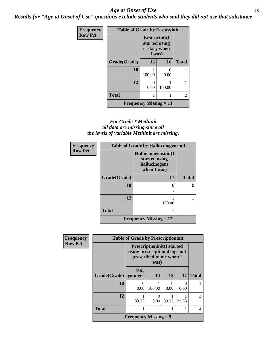#### *Age at Onset of Use* **28**

*Results for "Age at Onset of Use" questions exclude students who said they did not use that substance*

| Frequency      | <b>Table of Grade by Ecstasyinit</b> |                                                          |        |              |
|----------------|--------------------------------------|----------------------------------------------------------|--------|--------------|
| <b>Row Pct</b> |                                      | Ecstasyinit(I<br>started using<br>ecstasy when<br>I was) |        |              |
|                | Grade(Grade)                         | 13                                                       | 16     | <b>Total</b> |
|                | 10                                   | 100.00                                                   | 0.00   |              |
|                | 12                                   | 0<br>0.00                                                | 100.00 |              |
|                | <b>Total</b>                         |                                                          |        | 2            |
|                | <b>Frequency Missing = 11</b>        |                                                          |        |              |

#### *For Grade \* Methinit all data are missing since all the levels of variable Methinit are missing.*

| <b>Frequency</b> |              | <b>Table of Grade by Hallucinogensinit</b>                           |              |  |  |
|------------------|--------------|----------------------------------------------------------------------|--------------|--|--|
| <b>Row Pct</b>   |              | Hallucinogensinit(I<br>started using<br>hallucinogens<br>when I was) |              |  |  |
|                  | Grade(Grade) | 17                                                                   | <b>Total</b> |  |  |
|                  | 10           | 0                                                                    |              |  |  |
|                  | 12           | 100.00                                                               |              |  |  |
|                  | <b>Total</b> |                                                                      |              |  |  |
|                  |              | <b>Frequency Missing = 12</b>                                        |              |  |  |

| Frequency      | <b>Table of Grade by Prescriptioninit</b> |                                                                                                      |           |           |       |              |
|----------------|-------------------------------------------|------------------------------------------------------------------------------------------------------|-----------|-----------|-------|--------------|
| <b>Row Pct</b> |                                           | <b>Prescriptioninit(I started</b><br>using prescription drugs not<br>prescribed to me when I<br>was) |           |           |       |              |
|                | <b>Grade</b> (Grade)                      | 8 or<br>younger                                                                                      | <b>14</b> | 15        | 17    | <b>Total</b> |
|                | 10                                        | 0<br>0.00                                                                                            | 100.00    | 0<br>0.00 | 0.00  |              |
|                | 12                                        | 33.33                                                                                                | 0<br>0.00 | 33.33     | 33.33 | 3            |
|                | <b>Total</b>                              |                                                                                                      |           |           |       | 4            |
|                |                                           | <b>Frequency Missing = 9</b>                                                                         |           |           |       |              |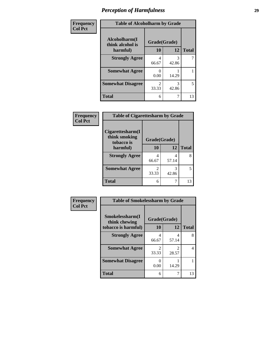| Frequency      | <b>Table of Alcoholharm by Grade</b>          |                          |            |              |
|----------------|-----------------------------------------------|--------------------------|------------|--------------|
| <b>Col Pct</b> | Alcoholharm(I<br>think alcohol is<br>harmful) | Grade(Grade)<br>12<br>10 |            | <b>Total</b> |
|                | <b>Strongly Agree</b>                         | 4<br>66.67               | 3<br>42.86 |              |
|                | <b>Somewhat Agree</b>                         | 0.00                     | 14.29      |              |
|                | <b>Somewhat Disagree</b>                      | $\mathfrak{D}$<br>33.33  | 3<br>42.86 | 5            |
|                | <b>Total</b>                                  | 6                        |            | 13           |

| Frequency      | <b>Table of Cigarettesharm by Grade</b>         |              |       |              |
|----------------|-------------------------------------------------|--------------|-------|--------------|
| <b>Col Pct</b> | Cigarettesharm(I<br>think smoking<br>tobacco is | Grade(Grade) |       |              |
|                | harmful)                                        | 10           | 12    | <b>Total</b> |
|                | <b>Strongly Agree</b>                           | 4<br>66.67   | 57.14 | 8            |
|                | <b>Somewhat Agree</b>                           | 2<br>33.33   | 42.86 | 5            |
|                | <b>Total</b>                                    | 6            |       | 13           |

| Frequency      | <b>Table of Smokelessharm by Grade</b> |                         |            |              |
|----------------|----------------------------------------|-------------------------|------------|--------------|
| <b>Col Pct</b> | Smokelessharm(I<br>think chewing       | Grade(Grade)            |            |              |
|                | tobacco is harmful)                    | 10                      | 12         | <b>Total</b> |
|                | <b>Strongly Agree</b>                  | 4<br>66.67              | 4<br>57.14 | 8            |
|                | <b>Somewhat Agree</b>                  | $\mathfrak{D}$<br>33.33 | 28.57      | 4            |
|                | <b>Somewhat Disagree</b>               | 0<br>0.00               | 14.29      |              |
|                | <b>Total</b>                           | 6                       | 7          | 13           |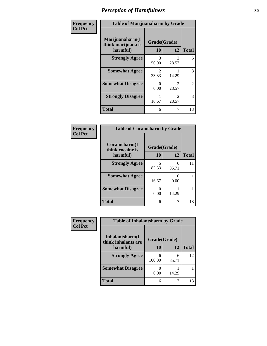| Frequency      | <b>Table of Marijuanaharm by Grade</b>            |                         |                                      |                |
|----------------|---------------------------------------------------|-------------------------|--------------------------------------|----------------|
| <b>Col Pct</b> | Marijuanaharm(I<br>think marijuana is<br>harmful) | Grade(Grade)<br>10      | 12                                   | <b>Total</b>   |
|                | <b>Strongly Agree</b>                             | 3<br>50.00              | $\mathcal{D}_{\mathcal{L}}$<br>28.57 | 5              |
|                | <b>Somewhat Agree</b>                             | $\mathfrak{D}$<br>33.33 | 14.29                                | 3              |
|                | <b>Somewhat Disagree</b>                          | $\mathbf{0}$<br>0.00    | $\mathcal{D}_{\mathcal{L}}$<br>28.57 | $\overline{2}$ |
|                | <b>Strongly Disagree</b>                          | 16.67                   | $\mathcal{D}_{\mathcal{L}}$<br>28.57 | 3              |
|                | <b>Total</b>                                      | 6                       |                                      | 13             |

#### **Frequency Col Pct**

| <b>Table of Cocaineharm by Grade</b> |              |            |              |  |  |
|--------------------------------------|--------------|------------|--------------|--|--|
| Cocaineharm(I<br>think cocaine is    | Grade(Grade) |            |              |  |  |
| harmful)                             | 10           | 12         | <b>Total</b> |  |  |
| <b>Strongly Agree</b>                | 5<br>83.33   | 6<br>85.71 | 11           |  |  |
| <b>Somewhat Agree</b>                | 16.67        | 0.00       |              |  |  |
| <b>Somewhat Disagree</b>             | 0.00         | 14.29      |              |  |  |
| <b>Total</b>                         | 6            |            | 13           |  |  |

| Frequency      | <b>Table of Inhalantsharm by Grade</b>  |                           |            |              |
|----------------|-----------------------------------------|---------------------------|------------|--------------|
| <b>Col Pct</b> | Inhalantsharm(I)<br>think inhalants are | Grade(Grade)              |            |              |
|                | harmful)                                | 10                        | 12         | <b>Total</b> |
|                | <b>Strongly Agree</b>                   | 6<br>100.00               | 6<br>85.71 | 12           |
|                | <b>Somewhat Disagree</b>                | $\mathbf{\Omega}$<br>0.00 | 14.29      |              |
|                | <b>Total</b>                            | 6                         |            | 13           |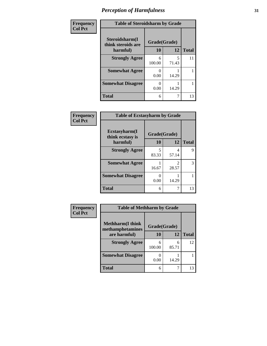| Frequency      | <b>Table of Steroidsharm by Grade</b> |              |            |              |  |
|----------------|---------------------------------------|--------------|------------|--------------|--|
| <b>Col Pct</b> | Steroidsharm(I<br>think steroids are  | Grade(Grade) |            |              |  |
|                | harmful)                              | 10           | 12         | <b>Total</b> |  |
|                | <b>Strongly Agree</b>                 | 6<br>100.00  | 5<br>71.43 | 11           |  |
|                | <b>Somewhat Agree</b>                 | 0<br>0.00    | 14.29      |              |  |
|                | <b>Somewhat Disagree</b>              | 0.00         | 14.29      |              |  |
|                | <b>Total</b>                          | 6            |            | 13           |  |

| Frequency      | <b>Table of Ecstasyharm by Grade</b> |              |            |              |  |
|----------------|--------------------------------------|--------------|------------|--------------|--|
| <b>Col Pct</b> | Ecstasyharm(I<br>think ecstasy is    | Grade(Grade) |            |              |  |
|                | harmful)                             | 10           | 12         | <b>Total</b> |  |
|                | <b>Strongly Agree</b>                | 5<br>83.33   | 4<br>57.14 | 9            |  |
|                | <b>Somewhat Agree</b>                | 16.67        | 2<br>28.57 | 3            |  |
|                | <b>Somewhat Disagree</b>             | ∩<br>0.00    | 14.29      |              |  |
|                | <b>Total</b>                         | 6            | 7          | 13           |  |

| Frequency      | <b>Table of Methharm by Grade</b>                            |             |            |              |
|----------------|--------------------------------------------------------------|-------------|------------|--------------|
| <b>Col Pct</b> |                                                              |             |            |              |
|                | <b>Methharm</b> (I think<br>Grade(Grade)<br>methamphetamines |             |            |              |
|                | are harmful)                                                 | <b>10</b>   | 12         | <b>Total</b> |
|                | <b>Strongly Agree</b>                                        | 6<br>100.00 | 6<br>85.71 | 12           |
|                | <b>Somewhat Disagree</b>                                     | 0<br>0.00   | 14.29      |              |
|                | <b>Total</b>                                                 | 6           |            | 13           |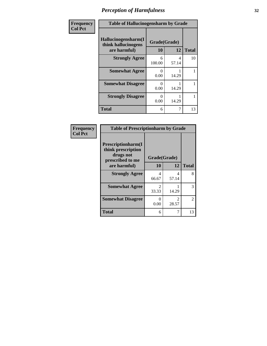| Frequency      | <b>Table of Hallucinogensharm by Grade</b>                 |                    |            |              |
|----------------|------------------------------------------------------------|--------------------|------------|--------------|
| <b>Col Pct</b> | Hallucinogensharm(I<br>think hallucinogens<br>are harmful) | Grade(Grade)<br>10 | 12         | <b>Total</b> |
|                | <b>Strongly Agree</b>                                      | 6<br>100.00        | 4<br>57.14 | 10           |
|                | <b>Somewhat Agree</b>                                      | 0<br>0.00          | 14.29      |              |
|                | <b>Somewhat Disagree</b>                                   | 0<br>0.00          | 14.29      |              |
|                | <b>Strongly Disagree</b>                                   | $\Omega$<br>0.00   | 14.29      |              |
|                | <b>Total</b>                                               | 6                  | 7          | 13           |

#### **Frequency Col Pct**

| <b>Table of Prescriptionharm by Grade</b>                                         |                         |                                |              |  |  |
|-----------------------------------------------------------------------------------|-------------------------|--------------------------------|--------------|--|--|
| <b>Prescriptionharm(I)</b><br>think prescription<br>drugs not<br>prescribed to me |                         | Grade(Grade)                   |              |  |  |
| are harmful)                                                                      | 10                      | 12                             | <b>Total</b> |  |  |
| <b>Strongly Agree</b>                                                             | 4<br>66.67              | 4<br>57.14                     | 8            |  |  |
| <b>Somewhat Agree</b>                                                             | $\mathfrak{D}$<br>33.33 | 14.29                          | 3            |  |  |
| <b>Somewhat Disagree</b>                                                          | 0<br>0.00               | $\mathcal{D}_{\cdot}$<br>28.57 | 2            |  |  |
| <b>Total</b>                                                                      | 6                       |                                | 13           |  |  |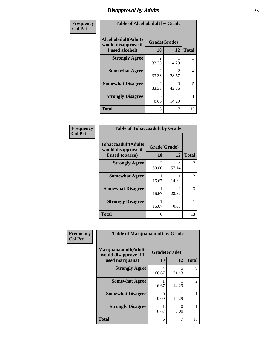# *Disapproval by Adults* **33**

| Frequency      | <b>Table of Alcoholadult by Grade</b>                                 |                         |            |              |  |
|----------------|-----------------------------------------------------------------------|-------------------------|------------|--------------|--|
| <b>Col Pct</b> | <b>Alcoholadult</b> (Adults<br>would disapprove if<br>I used alcohol) | Grade(Grade)<br>10      | 12         | <b>Total</b> |  |
|                | <b>Strongly Agree</b>                                                 | $\mathfrak{D}$<br>33.33 | 14.29      | 3            |  |
|                | <b>Somewhat Agree</b>                                                 | $\mathfrak{D}$<br>33.33 | 28.57      | 4            |  |
|                | <b>Somewhat Disagree</b>                                              | $\mathfrak{D}$<br>33.33 | 3<br>42.86 | 5            |  |
|                | <b>Strongly Disagree</b>                                              | 0<br>0.00               | 14.29      | 1            |  |
|                | <b>Total</b>                                                          | 6                       |            | 13           |  |

#### **Frequency Col Pct**

| <b>Table of Tobaccoadult by Grade</b>                                 |                          |                        |    |  |  |
|-----------------------------------------------------------------------|--------------------------|------------------------|----|--|--|
| <b>Tobaccoadult</b> (Adults<br>would disapprove if<br>I used tobacco) | Grade(Grade)<br>10<br>12 |                        |    |  |  |
| <b>Strongly Agree</b>                                                 | 3<br>50.00               | 4<br>57.14             |    |  |  |
| <b>Somewhat Agree</b>                                                 | 16.67                    | 14.29                  | 2  |  |  |
| <b>Somewhat Disagree</b>                                              | 16.67                    | $\mathcal{L}$<br>28.57 | 3  |  |  |
| <b>Strongly Disagree</b>                                              | 16.67                    | 0.00                   |    |  |  |
| <b>Total</b>                                                          | 6                        |                        | 13 |  |  |

| Frequency<br><b>Col Pct</b> | <b>Table of Marijuanaadult by Grade</b>                           |                    |            |              |
|-----------------------------|-------------------------------------------------------------------|--------------------|------------|--------------|
|                             | Marijuanaadult(Adults<br>would disapprove if I<br>used marijuana) | Grade(Grade)<br>10 | 12         | <b>Total</b> |
|                             | <b>Strongly Agree</b>                                             | 4<br>66.67         | 5<br>71.43 | $\mathbf Q$  |
|                             | <b>Somewhat Agree</b>                                             | 16.67              | 14.29      | 2            |
|                             | <b>Somewhat Disagree</b>                                          | 0<br>0.00          | 14.29      |              |
|                             | <b>Strongly Disagree</b>                                          | 16.67              | 0<br>0.00  |              |
|                             | <b>Total</b>                                                      | 6                  | 7          | 13           |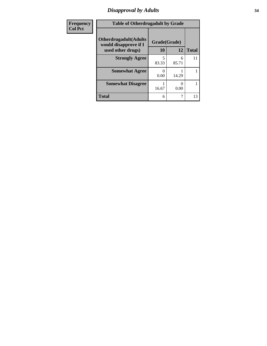# *Disapproval by Adults* **34**

| Frequency      | <b>Table of Otherdrugadult by Grade</b>                                     |                    |            |              |
|----------------|-----------------------------------------------------------------------------|--------------------|------------|--------------|
| <b>Col Pct</b> | <b>Otherdrugadult</b> (Adults<br>would disapprove if I<br>used other drugs) | Grade(Grade)<br>10 | 12         | <b>Total</b> |
|                | <b>Strongly Agree</b>                                                       | 83.33              | 6<br>85.71 | 11           |
|                | <b>Somewhat Agree</b>                                                       | 0.00               | 14.29      |              |
|                | <b>Somewhat Disagree</b>                                                    | 16.67              | 0<br>0.00  |              |
|                | <b>Total</b>                                                                | 6                  | 7          | 13           |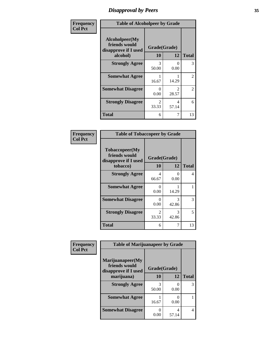# *Disapproval by Peers* **35**

| Frequency      | <b>Table of Alcoholpeer by Grade</b>                    |                           |                                      |              |
|----------------|---------------------------------------------------------|---------------------------|--------------------------------------|--------------|
| <b>Col Pct</b> | Alcoholpeer(My<br>friends would<br>disapprove if I used | Grade(Grade)              |                                      |              |
|                | alcohol)                                                | 10                        | 12                                   | <b>Total</b> |
|                | <b>Strongly Agree</b>                                   | 3<br>50.00                | $\Omega$<br>0.00                     | 3            |
|                | <b>Somewhat Agree</b>                                   | 16.67                     | 14.29                                | 2            |
|                | <b>Somewhat Disagree</b>                                | $\mathbf{\Omega}$<br>0.00 | $\mathcal{D}_{\mathcal{L}}$<br>28.57 | 2            |
|                | <b>Strongly Disagree</b>                                | $\mathfrak{D}$<br>33.33   | 4<br>57.14                           | 6            |
|                | Total                                                   | 6                         |                                      | 13           |

| Frequency      | <b>Table of Tobaccopeer by Grade</b>                                |                         |            |              |  |
|----------------|---------------------------------------------------------------------|-------------------------|------------|--------------|--|
| <b>Col Pct</b> | Tobaccopeer(My<br>friends would<br>disapprove if I used<br>tobacco) | Grade(Grade)<br>10      | 12         | <b>Total</b> |  |
|                | <b>Strongly Agree</b>                                               | 4<br>66.67              | 0<br>0.00  | 4            |  |
|                | <b>Somewhat Agree</b>                                               | 0<br>0.00               | 14.29      |              |  |
|                | <b>Somewhat Disagree</b>                                            | $\Omega$<br>0.00        | 3<br>42.86 | 3            |  |
|                | <b>Strongly Disagree</b>                                            | $\mathfrak{D}$<br>33.33 | 3<br>42.86 | 5            |  |
|                | <b>Total</b>                                                        | 6                       | 7          | 13           |  |

| Frequency      | <b>Table of Marijuanapeer by Grade</b> |              |              |   |
|----------------|----------------------------------------|--------------|--------------|---|
| <b>Col Pct</b> | Marijuanapeer(My<br>friends would      | Grade(Grade) |              |   |
|                | disapprove if I used<br>marijuana)     | 12<br>10     | <b>Total</b> |   |
|                | <b>Strongly Agree</b>                  | 3<br>50.00   | 0.00         | 3 |
|                | <b>Somewhat Agree</b>                  | 16.67        | 0<br>0.00    |   |
|                | <b>Somewhat Disagree</b>               | 0<br>0.00    | 4<br>57.14   | 4 |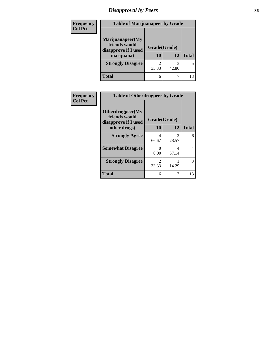# *Disapproval by Peers* **36**

| <b>Frequency</b> | <b>Table of Marijuanapeer by Grade</b>                                  |                          |       |              |  |
|------------------|-------------------------------------------------------------------------|--------------------------|-------|--------------|--|
| <b>Col Pct</b>   | Marijuanapeer(My<br>friends would<br>disapprove if I used<br>marijuana) | Grade(Grade)<br>10<br>12 |       | <b>Total</b> |  |
|                  | <b>Strongly Disagree</b>                                                | 33.33                    | 42.86 | 5            |  |
|                  | <b>Total</b>                                                            |                          |       | 13           |  |

| Frequency      | <b>Table of Otherdrugpeer by Grade</b>                    |                                      |                                      |              |
|----------------|-----------------------------------------------------------|--------------------------------------|--------------------------------------|--------------|
| <b>Col Pct</b> | Otherdrugpeer(My<br>friends would<br>disapprove if I used | Grade(Grade)                         |                                      |              |
|                | other drugs)                                              | 10                                   | 12                                   | <b>Total</b> |
|                | <b>Strongly Agree</b>                                     | 4<br>66.67                           | $\mathcal{D}_{\mathcal{L}}$<br>28.57 | 6            |
|                | <b>Somewhat Disagree</b>                                  | 0<br>0.00                            | 4<br>57.14                           | 4            |
|                | <b>Strongly Disagree</b>                                  | $\mathcal{D}_{\mathcal{A}}$<br>33.33 | 14.29                                | 3            |
|                | <b>Total</b>                                              | 6                                    | 7                                    | 13           |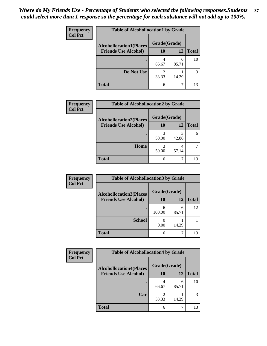| Frequency      | <b>Table of Alcohollocation1 by Grade</b> |              |            |              |  |
|----------------|-------------------------------------------|--------------|------------|--------------|--|
| <b>Col Pct</b> | <b>Alcohollocation1(Places</b>            | Grade(Grade) |            |              |  |
|                | <b>Friends Use Alcohol)</b>               | 10           | 12         | <b>Total</b> |  |
|                |                                           | 4<br>66.67   | 6<br>85.71 | 10           |  |
|                | Do Not Use                                | 33.33        | 14.29      | 3            |  |
|                | <b>Total</b>                              | 6            | ┑          | 13           |  |

| Frequency      | <b>Table of Alcohollocation2 by Grade</b>                     |                    |            |              |
|----------------|---------------------------------------------------------------|--------------------|------------|--------------|
| <b>Col Pct</b> | <b>Alcohollocation2(Places</b><br><b>Friends Use Alcohol)</b> | Grade(Grade)<br>10 | 12         | <b>Total</b> |
|                |                                                               |                    |            |              |
|                |                                                               | 50.00              | 42.86      |              |
|                | Home                                                          | 50.00              | 4<br>57.14 |              |
|                | <b>Total</b>                                                  | 6                  |            | 13           |

| Frequency<br><b>Col Pct</b> | <b>Table of Alcohollocation 3 by Grade</b>                    |                    |            |              |
|-----------------------------|---------------------------------------------------------------|--------------------|------------|--------------|
|                             | <b>Alcohollocation3(Places</b><br><b>Friends Use Alcohol)</b> | Grade(Grade)<br>10 | 12         | <b>Total</b> |
|                             |                                                               | 6<br>100.00        | 6<br>85.71 | 12           |
|                             | <b>School</b>                                                 | 0.00               | 14.29      |              |
|                             | <b>Total</b>                                                  | 6                  |            | 13           |

| Frequency      | <b>Table of Alcohollocation4 by Grade</b> |              |            |              |  |
|----------------|-------------------------------------------|--------------|------------|--------------|--|
| <b>Col Pct</b> | <b>Alcohollocation4(Places</b>            | Grade(Grade) |            |              |  |
|                | <b>Friends Use Alcohol)</b>               | 10           | 12         | <b>Total</b> |  |
|                |                                           | 4<br>66.67   | 6<br>85.71 | 10           |  |
|                | Car                                       | 33.33        | 14.29      | 3            |  |
|                | <b>Total</b>                              | 6            |            | 13           |  |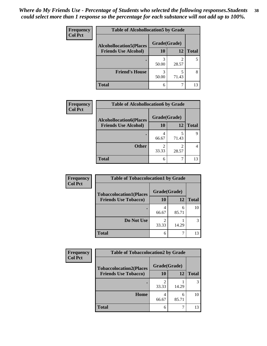| Frequency      | <b>Table of Alcohollocation5 by Grade</b> |              |            |              |  |
|----------------|-------------------------------------------|--------------|------------|--------------|--|
| <b>Col Pct</b> | <b>Alcohollocation5(Places</b>            | Grade(Grade) |            |              |  |
|                | <b>Friends Use Alcohol)</b>               | 10           | 12         | <b>Total</b> |  |
|                |                                           | 3<br>50.00   | 2<br>28.57 |              |  |
|                | <b>Friend's House</b>                     | 3<br>50.00   | 5<br>71.43 | 8            |  |
|                | <b>Total</b>                              | 6            | ┑          | 13           |  |

| Frequency      | <b>Table of Alcohollocation6 by Grade</b>                     |                           |       |              |
|----------------|---------------------------------------------------------------|---------------------------|-------|--------------|
| <b>Col Pct</b> | <b>Alcohollocation6(Places</b><br><b>Friends Use Alcohol)</b> | Grade(Grade)<br><b>10</b> | 12    | <b>Total</b> |
|                |                                                               |                           |       |              |
|                |                                                               | 66.67                     | 71.43 | 9            |
|                | <b>Other</b>                                                  | 33.33                     | 28.57 |              |
|                | <b>Total</b>                                                  | 6                         |       | 13           |

| <b>Frequency</b>            | <b>Table of Tobaccolocation1 by Grade</b> |              |              |    |
|-----------------------------|-------------------------------------------|--------------|--------------|----|
| <b>Col Pct</b>              | <b>Tobaccolocation1(Places</b>            | Grade(Grade) |              |    |
| <b>Friends Use Tobacco)</b> | 10                                        | 12           | <b>Total</b> |    |
|                             |                                           | 66.67        | h<br>85.71   | 10 |
|                             | Do Not Use                                | 33.33        | 14.29        |    |
|                             | <b>Total</b>                              | 6            |              | 13 |

| Frequency      | <b>Table of Tobaccolocation2 by Grade</b> |              |            |              |  |
|----------------|-------------------------------------------|--------------|------------|--------------|--|
| <b>Col Pct</b> | <b>Tobaccolocation2(Places</b>            | Grade(Grade) |            |              |  |
|                | <b>Friends Use Tobacco)</b>               | 10           | 12         | <b>Total</b> |  |
|                |                                           | ◠<br>33.33   | 14.29      |              |  |
|                | Home                                      | 66.67        | 6<br>85.71 | 10           |  |
|                | <b>Total</b>                              | 6            |            | 13           |  |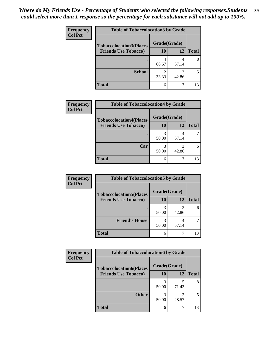| Frequency      | <b>Table of Tobaccolocation 3 by Grade</b> |              |            |              |
|----------------|--------------------------------------------|--------------|------------|--------------|
| <b>Col Pct</b> | <b>Tobaccolocation3(Places</b>             | Grade(Grade) |            |              |
|                | <b>Friends Use Tobacco)</b>                | 10           | 12         | <b>Total</b> |
|                |                                            | 4<br>66.67   | 4<br>57.14 | 8            |
|                | <b>School</b>                              | 2<br>33.33   | 3<br>42.86 |              |
|                | <b>Total</b>                               | 6            | ┑          | 13           |

| Frequency      | <b>Table of Tobaccolocation4 by Grade</b>                     |                    |           |              |
|----------------|---------------------------------------------------------------|--------------------|-----------|--------------|
| <b>Col Pct</b> | <b>Tobaccolocation4(Places</b><br><b>Friends Use Tobacco)</b> | Grade(Grade)<br>10 | <b>12</b> | <b>Total</b> |
|                |                                                               |                    |           |              |
|                |                                                               | 3<br>50.00         | 57.14     |              |
|                | Car                                                           | 50.00              | 42.86     | 6            |
|                | <b>Total</b>                                                  | 6                  |           | 13           |

| <b>Frequency</b> | <b>Table of Tobaccolocation5 by Grade</b> |              |       |              |
|------------------|-------------------------------------------|--------------|-------|--------------|
| <b>Col Pct</b>   | <b>Tobaccolocation5(Places</b>            | Grade(Grade) |       |              |
|                  | <b>Friends Use Tobacco)</b>               | 10           | 12    | <b>Total</b> |
|                  |                                           | 50.00        | 42.86 |              |
|                  | <b>Friend's House</b>                     | 50.00        | 57.14 |              |
|                  | <b>Total</b>                              | 6            |       | 13           |

| Frequency      | <b>Table of Tobaccolocation6 by Grade</b> |              |            |              |
|----------------|-------------------------------------------|--------------|------------|--------------|
| <b>Col Pct</b> | <b>Tobaccolocation6(Places</b>            | Grade(Grade) |            |              |
|                | <b>Friends Use Tobacco)</b>               | 10           | 12         | <b>Total</b> |
|                |                                           | 50.00        | 71.43      | 8            |
|                | <b>Other</b>                              | 50.00        | ာ<br>28.57 | 5            |
|                | <b>Total</b>                              | 6            |            | 13           |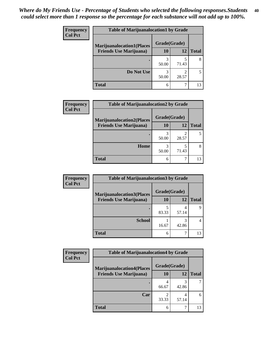| <b>Frequency</b> | <b>Table of Marijuanalocation1 by Grade</b> |              |            |              |
|------------------|---------------------------------------------|--------------|------------|--------------|
| <b>Col Pct</b>   | <b>Marijuanalocation1(Places</b>            | Grade(Grade) |            |              |
|                  | <b>Friends Use Marijuana</b> )              | 10           | 12         | <b>Total</b> |
|                  |                                             | 50.00        | 71.43      |              |
|                  | Do Not Use                                  | 50.00        | ◠<br>28.57 |              |
|                  | Total                                       | 6            |            | 13           |

| Frequency      | <b>Table of Marijuanalocation2 by Grade</b>                        |                    |       |              |
|----------------|--------------------------------------------------------------------|--------------------|-------|--------------|
| <b>Col Pct</b> | <b>Marijuanalocation2(Places</b><br><b>Friends Use Marijuana</b> ) | Grade(Grade)<br>10 | 12    | <b>Total</b> |
|                |                                                                    | 3<br>50.00         | 28.57 |              |
|                | Home                                                               | 3<br>50.00         | 71.43 |              |
|                | <b>Total</b>                                                       | 6                  |       | 13           |

| <b>Frequency</b> | <b>Table of Marijuanalocation3 by Grade</b> |              |       |              |
|------------------|---------------------------------------------|--------------|-------|--------------|
| <b>Col Pct</b>   | <b>Marijuanalocation3(Places</b>            | Grade(Grade) |       |              |
|                  | <b>Friends Use Marijuana</b> )              | <b>10</b>    | 12    | <b>Total</b> |
|                  |                                             | 83.33        | 57.14 |              |
|                  | <b>School</b>                               | 16.67        | 42.86 |              |
|                  | <b>Total</b>                                | 6            |       | 13           |

| Frequency      | <b>Table of Marijuanalocation4 by Grade</b> |              |       |              |
|----------------|---------------------------------------------|--------------|-------|--------------|
| <b>Col Pct</b> | <b>Marijuanalocation4(Places</b>            | Grade(Grade) |       |              |
|                | <b>Friends Use Marijuana</b> )              | <b>10</b>    | 12    | <b>Total</b> |
|                |                                             | 66.67        | 42.86 |              |
|                | Car                                         | ∍<br>33.33   | 57.14 | 6            |
|                | <b>Total</b>                                | 6            |       | 13           |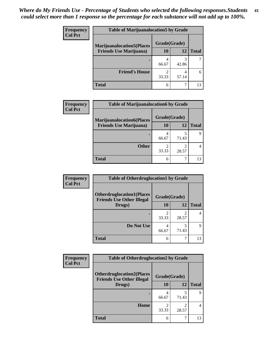| <b>Frequency</b> | <b>Table of Marijuanalocation5 by Grade</b> |              |       |              |
|------------------|---------------------------------------------|--------------|-------|--------------|
| <b>Col Pct</b>   | <b>Marijuanalocation5(Places)</b>           | Grade(Grade) |       |              |
|                  | <b>Friends Use Marijuana</b> )              | 10           | 12    | <b>Total</b> |
|                  |                                             | 4<br>66.67   | 42.86 |              |
|                  | <b>Friend's House</b>                       | 33.33        | 57.14 |              |
|                  | <b>Total</b>                                | 6            |       | 13           |

| Frequency      | <b>Table of Marijuanalocation6 by Grade</b>                        |                    |       |              |
|----------------|--------------------------------------------------------------------|--------------------|-------|--------------|
| <b>Col Pct</b> | <b>Marijuanalocation6(Places</b><br><b>Friends Use Marijuana</b> ) | Grade(Grade)<br>10 | 12    | <b>Total</b> |
|                |                                                                    | 66.67              | 71.43 |              |
|                | <b>Other</b>                                                       | ◠<br>33.33         | 28.57 |              |
|                | <b>Total</b>                                                       | 6                  |       | 13           |

| <b>Frequency</b> | <b>Table of Otherdruglocation1 by Grade</b>                          |              |                                                                                                                                                                          |              |
|------------------|----------------------------------------------------------------------|--------------|--------------------------------------------------------------------------------------------------------------------------------------------------------------------------|--------------|
| <b>Col Pct</b>   | <b>Otherdruglocation1(Places</b><br><b>Friends Use Other Illegal</b> | Grade(Grade) |                                                                                                                                                                          |              |
|                  | Drugs)                                                               | 10           | 12                                                                                                                                                                       | <b>Total</b> |
|                  |                                                                      | 33.33        | $\mathcal{D}_{\mathcal{A}}^{\mathcal{A}}(\mathcal{A})=\mathcal{D}_{\mathcal{A}}^{\mathcal{A}}(\mathcal{A})\mathcal{D}_{\mathcal{A}}^{\mathcal{A}}(\mathcal{A})$<br>28.57 | 4            |
|                  | Do Not Use                                                           | 4<br>66.67   | 71.43                                                                                                                                                                    | Q            |
|                  | <b>Total</b>                                                         | 6            |                                                                                                                                                                          | 13           |

| <b>Frequency</b> | <b>Table of Otherdruglocation2 by Grade</b>                          |              |            |              |
|------------------|----------------------------------------------------------------------|--------------|------------|--------------|
| <b>Col Pct</b>   | <b>Otherdruglocation2(Places</b><br><b>Friends Use Other Illegal</b> | Grade(Grade) |            |              |
|                  | Drugs)                                                               | 10           | 12         | <b>Total</b> |
|                  |                                                                      | 4<br>66.67   | 5<br>71.43 | 9            |
|                  | Home                                                                 | 33.33        | 2<br>28.57 | 4            |
|                  | <b>Total</b>                                                         | 6            |            | 13           |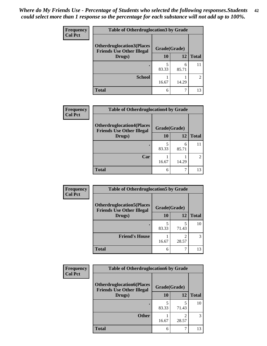| <b>Frequency</b> | <b>Table of Otherdruglocation 3 by Grade</b>                         |              |            |                             |
|------------------|----------------------------------------------------------------------|--------------|------------|-----------------------------|
| <b>Col Pct</b>   | <b>Otherdruglocation3(Places</b><br><b>Friends Use Other Illegal</b> | Grade(Grade) |            |                             |
|                  | Drugs)                                                               | 10           | 12         | <b>Total</b>                |
|                  |                                                                      | 83.33        | 6<br>85.71 | 11                          |
|                  | <b>School</b>                                                        | 16.67        | 14.29      | $\mathcal{D}_{\mathcal{L}}$ |
|                  | <b>Total</b>                                                         | 6            |            | 13                          |

| <b>Frequency</b> | <b>Table of Otherdruglocation4 by Grade</b>                          |              |            |              |
|------------------|----------------------------------------------------------------------|--------------|------------|--------------|
| <b>Col Pct</b>   | <b>Otherdruglocation4(Places</b><br><b>Friends Use Other Illegal</b> | Grade(Grade) |            |              |
|                  | Drugs)                                                               | 10           | 12         | <b>Total</b> |
|                  |                                                                      | 5<br>83.33   | 6<br>85.71 | 11           |
|                  | Car                                                                  | 16.67        | 14.29      | 2            |
|                  | <b>Total</b>                                                         | 6            |            | 13           |

| <b>Frequency</b> | <b>Table of Otherdruglocation5 by Grade</b>                          |              |            |              |
|------------------|----------------------------------------------------------------------|--------------|------------|--------------|
| <b>Col Pct</b>   | <b>Otherdruglocation5(Places</b><br><b>Friends Use Other Illegal</b> | Grade(Grade) |            |              |
|                  | Drugs)                                                               | 10           | 12         | <b>Total</b> |
|                  |                                                                      | 83.33        | 5<br>71.43 | 10           |
|                  | <b>Friend's House</b>                                                | 16.67        | っ<br>28.57 | 3            |
|                  | <b>Total</b>                                                         | 6            |            | 13           |

| <b>Frequency</b> | <b>Table of Otherdruglocation6 by Grade</b>                          |              |                                                                                                                                                                          |              |
|------------------|----------------------------------------------------------------------|--------------|--------------------------------------------------------------------------------------------------------------------------------------------------------------------------|--------------|
| <b>Col Pct</b>   | <b>Otherdruglocation6(Places</b><br><b>Friends Use Other Illegal</b> | Grade(Grade) |                                                                                                                                                                          |              |
|                  | Drugs)                                                               | 10           | 12                                                                                                                                                                       | <b>Total</b> |
|                  |                                                                      | 83.33        | 71.43                                                                                                                                                                    | 10           |
|                  | <b>Other</b>                                                         | 16.67        | $\mathcal{D}_{\mathcal{A}}^{\mathcal{A}}(\mathcal{A})=\mathcal{D}_{\mathcal{A}}^{\mathcal{A}}(\mathcal{A})\mathcal{D}_{\mathcal{A}}^{\mathcal{A}}(\mathcal{A})$<br>28.57 | 3            |
|                  | <b>Total</b>                                                         | 6            |                                                                                                                                                                          | 13           |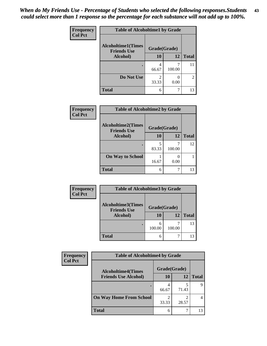| Frequency      | <b>Table of Alcoholtime1 by Grade</b>           |                         |        |                |
|----------------|-------------------------------------------------|-------------------------|--------|----------------|
| <b>Col Pct</b> | <b>Alcoholtime1(Times</b><br><b>Friends Use</b> | Grade(Grade)            |        |                |
|                | Alcohol)                                        | 10                      | 12     | <b>Total</b>   |
|                | ٠                                               | 4<br>66.67              | 100.00 | 11             |
|                | Do Not Use                                      | $\mathfrak{D}$<br>33.33 | 0.00   | $\mathfrak{D}$ |
|                | <b>Total</b>                                    | 6                       |        | 13             |

| Frequency      | <b>Table of Alcoholtime2 by Grade</b>           |              |        |              |
|----------------|-------------------------------------------------|--------------|--------|--------------|
| <b>Col Pct</b> | <b>Alcoholtime2(Times</b><br><b>Friends Use</b> | Grade(Grade) |        |              |
|                | Alcohol)                                        | 10           | 12     | <b>Total</b> |
|                |                                                 | 83.33        | 100.00 | 12           |
|                | <b>On Way to School</b>                         | 16.67        | 0.00   |              |
|                | <b>Total</b>                                    | 6            | 7      | 13           |

| Frequency      | <b>Table of Alcoholtime3 by Grade</b>           |              |        |              |
|----------------|-------------------------------------------------|--------------|--------|--------------|
| <b>Col Pct</b> | <b>Alcoholtime3(Times</b><br><b>Friends Use</b> | Grade(Grade) |        |              |
|                | Alcohol)                                        | 10           | 12     | <b>Total</b> |
|                |                                                 | 6<br>100.00  | 100.00 | 13           |
|                | <b>Total</b>                                    | 6            |        | 13           |

| Frequency      | <b>Table of Alcoholtime4 by Grade</b> |              |       |              |
|----------------|---------------------------------------|--------------|-------|--------------|
| <b>Col Pct</b> | <b>Alcoholtime4(Times</b>             | Grade(Grade) |       |              |
|                | <b>Friends Use Alcohol)</b>           | 10           | 12    | <b>Total</b> |
|                |                                       | 66.67        | 71.43 |              |
|                | <b>On Way Home From School</b>        | 33.33        | 28.57 |              |
|                | <b>Total</b>                          | 6            |       | 13           |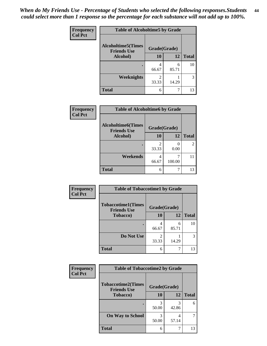*When do My Friends Use - Percentage of Students who selected the following responses.Students could select more than 1 response so the percentage for each substance will not add up to 100%.* **44**

| Frequency      | <b>Table of Alcoholtime5 by Grade</b>           |                         |            |              |
|----------------|-------------------------------------------------|-------------------------|------------|--------------|
| <b>Col Pct</b> | <b>Alcoholtime5(Times</b><br><b>Friends Use</b> | Grade(Grade)            |            |              |
|                | Alcohol)                                        | 10                      | <b>12</b>  | <b>Total</b> |
|                |                                                 | 4<br>66.67              | 6<br>85.71 | 10           |
|                | <b>Weeknights</b>                               | $\mathfrak{D}$<br>33.33 | 14.29      | 3            |
|                | <b>Total</b>                                    | 6                       | 7          | 13           |

| Frequency      | <b>Table of Alcoholtime6 by Grade</b>           |              |             |              |
|----------------|-------------------------------------------------|--------------|-------------|--------------|
| <b>Col Pct</b> | <b>Alcoholtime6(Times</b><br><b>Friends Use</b> | Grade(Grade) |             |              |
|                | Alcohol)                                        | 10           | 12          | <b>Total</b> |
|                |                                                 | 33.33        | 0.00        |              |
|                | Weekends                                        | 4<br>66.67   | ℸ<br>100.00 | 11           |
|                | <b>Total</b>                                    | 6            | 7           | 13           |

| <b>Frequency</b> | <b>Table of Tobaccotime1 by Grade</b>           |              |            |              |
|------------------|-------------------------------------------------|--------------|------------|--------------|
| <b>Col Pct</b>   | <b>Tobaccotime1(Times</b><br><b>Friends Use</b> | Grade(Grade) |            |              |
|                  | Tobacco)                                        | 10           | 12         | <b>Total</b> |
|                  |                                                 | 4<br>66.67   | 6<br>85.71 | 10           |
|                  | Do Not Use                                      | 2<br>33.33   | 14.29      | 3            |
|                  | <b>Total</b>                                    | 6            |            | 13           |

| Frequency      | <b>Table of Tobaccotime2 by Grade</b>           |              |            |              |
|----------------|-------------------------------------------------|--------------|------------|--------------|
| <b>Col Pct</b> | <b>Tobaccotime2(Times</b><br><b>Friends Use</b> | Grade(Grade) |            |              |
|                | Tobacco)                                        | 10           | 12         | <b>Total</b> |
|                | ٠                                               | 50.00        | 3<br>42.86 | 6            |
|                | <b>On Way to School</b>                         | 3<br>50.00   | 4<br>57.14 | 7            |
|                | <b>Total</b>                                    | 6            |            | 13           |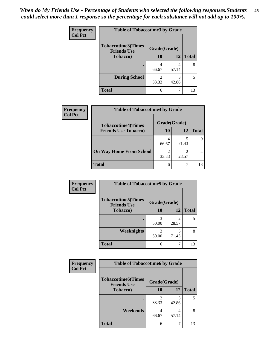| <b>Frequency</b> | <b>Table of Tobaccotime3 by Grade</b>           |              |            |              |
|------------------|-------------------------------------------------|--------------|------------|--------------|
| <b>Col Pct</b>   | <b>Tobaccotime3(Times</b><br><b>Friends Use</b> | Grade(Grade) |            |              |
|                  | <b>Tobacco</b> )                                | 10           | 12         | <b>Total</b> |
|                  | ٠                                               | 66.67        | 4<br>57.14 | 8            |
|                  | <b>During School</b>                            | 33.33        | 3<br>42.86 | 5            |
|                  | <b>Total</b>                                    | 6            |            | 13           |

| Frequency      | <b>Table of Tobaccotime4 by Grade</b> |              |       |              |
|----------------|---------------------------------------|--------------|-------|--------------|
| <b>Col Pct</b> | <b>Tobaccotime4(Times</b>             | Grade(Grade) |       |              |
|                | <b>Friends Use Tobacco)</b>           | 10           | 12    | <b>Total</b> |
|                |                                       | 4<br>66.67   | 71.43 |              |
|                | <b>On Way Home From School</b>        | 33.33        | 28.57 |              |
|                | <b>Total</b>                          | 6            |       | 13           |

| <b>Frequency</b> | <b>Table of Tobaccotime5 by Grade</b>           |              |            |              |
|------------------|-------------------------------------------------|--------------|------------|--------------|
| <b>Col Pct</b>   | <b>Tobaccotime5(Times</b><br><b>Friends Use</b> | Grade(Grade) |            |              |
|                  | <b>Tobacco</b> )                                | 10           | 12         | <b>Total</b> |
|                  |                                                 | 50.00        | 28.57      | 5            |
|                  | Weeknights                                      | 50.00        | 5<br>71.43 | 8            |
|                  | <b>Total</b>                                    | 6            | 7          | 13           |

| Frequency<br><b>Col Pct</b> | <b>Table of Tobaccotime6 by Grade</b>           |              |            |              |
|-----------------------------|-------------------------------------------------|--------------|------------|--------------|
|                             | <b>Tobaccotime6(Times</b><br><b>Friends Use</b> | Grade(Grade) |            |              |
|                             | <b>Tobacco</b> )                                | <b>10</b>    | 12         | <b>Total</b> |
|                             |                                                 | っ<br>33.33   | 3<br>42.86 | 5            |
|                             | Weekends                                        | 4<br>66.67   | 4<br>57.14 | 8            |
|                             | <b>Total</b>                                    | 6            |            | 13           |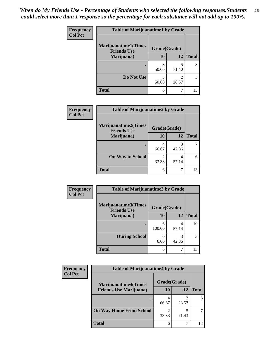| Frequency      | <b>Table of Marijuanatime1 by Grade</b>           |              |                         |              |
|----------------|---------------------------------------------------|--------------|-------------------------|--------------|
| <b>Col Pct</b> | <b>Marijuanatime1(Times</b><br><b>Friends Use</b> | Grade(Grade) |                         |              |
|                | Marijuana)                                        | 10           | 12                      | <b>Total</b> |
|                |                                                   | 3<br>50.00   | 5<br>71.43              | 8            |
|                | Do Not Use                                        | 3<br>50.00   | $\mathfrak{D}$<br>28.57 | 5            |
|                | <b>Total</b>                                      | 6            |                         | 13           |

| Frequency      | <b>Table of Marijuanatime2 by Grade</b>           |              |            |              |
|----------------|---------------------------------------------------|--------------|------------|--------------|
| <b>Col Pct</b> | <b>Marijuanatime2(Times</b><br><b>Friends Use</b> | Grade(Grade) |            |              |
|                | Marijuana)                                        | 10           | 12         | <b>Total</b> |
|                |                                                   | 4<br>66.67   | 3<br>42.86 |              |
|                | <b>On Way to School</b>                           | 2<br>33.33   | 4<br>57.14 | 6            |
|                | <b>Total</b>                                      | 6            |            | 13           |

| <b>Frequency</b> | <b>Table of Marijuanatime3 by Grade</b>    |              |            |              |
|------------------|--------------------------------------------|--------------|------------|--------------|
| <b>Col Pct</b>   | Marijuanatime3(Times<br><b>Friends Use</b> | Grade(Grade) |            |              |
|                  | Marijuana)                                 | 10           | 12         | <b>Total</b> |
|                  |                                            | 6<br>100.00  | 4<br>57.14 | 10           |
|                  | <b>During School</b>                       | 0.00         | 3<br>42.86 | 3            |
|                  | <b>Total</b>                               | 6            |            | 13           |

| <b>Frequency</b><br><b>Col Pct</b> | <b>Table of Marijuanatime4 by Grade</b> |              |       |              |
|------------------------------------|-----------------------------------------|--------------|-------|--------------|
|                                    | <b>Marijuanatime4(Times</b>             | Grade(Grade) |       |              |
|                                    | <b>Friends Use Marijuana</b> )          | 10           | 12    | <b>Total</b> |
|                                    |                                         | 66.67        | 28.57 |              |
|                                    | <b>On Way Home From School</b>          | 33.33        | 71.43 |              |
|                                    | <b>Total</b>                            | 6            |       | 13           |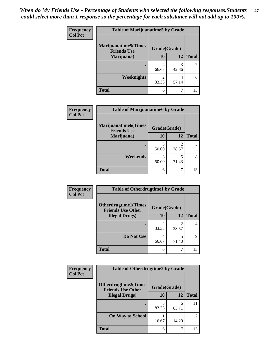| Frequency<br><b>Col Pct</b> | <b>Table of Marijuanatime5 by Grade</b>            |                         |            |              |
|-----------------------------|----------------------------------------------------|-------------------------|------------|--------------|
|                             | <b>Marijuanatime5</b> (Times<br><b>Friends Use</b> | Grade(Grade)            |            |              |
|                             | Marijuana)                                         | 10                      | 12         | <b>Total</b> |
|                             |                                                    | 4<br>66.67              | 3<br>42.86 |              |
|                             | Weeknights                                         | $\mathfrak{D}$<br>33.33 | 4<br>57.14 | 6            |
|                             | <b>Total</b>                                       | 6                       | ┑          | 13           |

| Frequency      | <b>Table of Marijuanatime6 by Grade</b>            |              |       |              |
|----------------|----------------------------------------------------|--------------|-------|--------------|
| <b>Col Pct</b> | <b>Marijuanatime6</b> (Times<br><b>Friends Use</b> | Grade(Grade) |       |              |
|                | Marijuana)                                         | 10           | 12    | <b>Total</b> |
|                |                                                    | 3<br>50.00   | 28.57 | 5            |
|                | <b>Weekends</b>                                    | 3<br>50.00   | 71.43 | 8            |
|                | <b>Total</b>                                       | 6            |       | 13           |

| <b>Frequency</b> | <b>Table of Otherdrugtime1 by Grade</b>                 |                         |                         |              |
|------------------|---------------------------------------------------------|-------------------------|-------------------------|--------------|
| <b>Col Pct</b>   | <b>Otherdrugtime1(Times</b><br><b>Friends Use Other</b> | Grade(Grade)            |                         |              |
|                  | <b>Illegal Drugs</b> )                                  | 10                      | 12                      | <b>Total</b> |
|                  |                                                         | $\mathfrak{D}$<br>33.33 | $\mathfrak{D}$<br>28.57 |              |
|                  | Do Not Use                                              | 4<br>66.67              | 5<br>71.43              | q            |
|                  | <b>Total</b>                                            | 6                       |                         | 13           |

| Frequency      | <b>Table of Otherdrugtime2 by Grade</b>                 |              |            |                |
|----------------|---------------------------------------------------------|--------------|------------|----------------|
| <b>Col Pct</b> | <b>Otherdrugtime2(Times</b><br><b>Friends Use Other</b> | Grade(Grade) |            |                |
|                | <b>Illegal Drugs</b> )                                  | 10           | 12         | <b>Total</b>   |
|                |                                                         | 5<br>83.33   | 6<br>85.71 | 11             |
|                | <b>On Way to School</b>                                 | 16.67        | 14.29      | $\mathfrak{D}$ |
|                | <b>Total</b>                                            | 6            | 7          | 13             |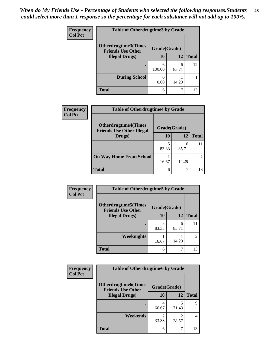| <b>Frequency</b> | <b>Table of Otherdrugtime3 by Grade</b>          |              |            |              |
|------------------|--------------------------------------------------|--------------|------------|--------------|
| <b>Col Pct</b>   | Otherdrugtime3(Times<br><b>Friends Use Other</b> | Grade(Grade) |            |              |
|                  | <b>Illegal Drugs</b> )                           | 10           | 12         | <b>Total</b> |
|                  |                                                  | 6<br>100.00  | 6<br>85.71 | 12           |
|                  | <b>During School</b>                             | 0.00         | 14.29      |              |
|                  | Total                                            | 6            | ┑          | 13           |

| Frequency      | <b>Table of Otherdrugtime4 by Grade</b>                         |              |            |               |
|----------------|-----------------------------------------------------------------|--------------|------------|---------------|
| <b>Col Pct</b> | <b>Otherdrugtime4(Times</b><br><b>Friends Use Other Illegal</b> | Grade(Grade) |            |               |
|                | Drugs)                                                          | 10           | 12         | <b>Total</b>  |
|                | $\bullet$                                                       | 5<br>83.33   | 6<br>85.71 |               |
|                | <b>On Way Home From School</b>                                  | 16.67        | 14.29      | $\mathcal{L}$ |
|                | <b>Total</b>                                                    | 6            |            | 13            |

| <b>Frequency</b> | <b>Table of Otherdrugtime5 by Grade</b>                  |              |            |                             |
|------------------|----------------------------------------------------------|--------------|------------|-----------------------------|
| <b>Col Pct</b>   | <b>Otherdrugtime5</b> (Times<br><b>Friends Use Other</b> | Grade(Grade) |            |                             |
|                  | <b>Illegal Drugs</b> )                                   | 10           | 12         | <b>Total</b>                |
|                  |                                                          | 5<br>83.33   | 6<br>85.71 | 11                          |
|                  | <b>Weeknights</b>                                        | 16.67        | 14.29      | $\mathcal{D}_{\mathcal{L}}$ |
|                  | <b>Total</b>                                             | 6            |            | 13                          |

| <b>Frequency</b> | <b>Table of Otherdrugtime6 by Grade</b>                 |                         |                         |              |
|------------------|---------------------------------------------------------|-------------------------|-------------------------|--------------|
| <b>Col Pct</b>   | <b>Otherdrugtime6(Times</b><br><b>Friends Use Other</b> | Grade(Grade)            |                         |              |
|                  | <b>Illegal Drugs</b> )                                  | 10                      | 12                      | <b>Total</b> |
|                  |                                                         | 66.67                   | 5<br>71.43              | 9            |
|                  | Weekends                                                | $\mathfrak{D}$<br>33.33 | $\mathfrak{D}$<br>28.57 | 4            |
|                  | Total                                                   | 6                       | 7                       | 13           |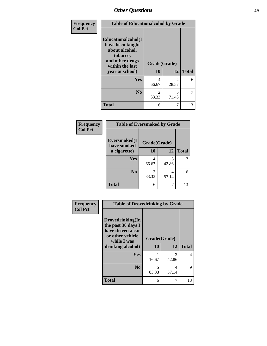| Frequency      |                                                                                                            |                                   | <b>Table of Educationalcohol by Grade</b> |              |  |  |
|----------------|------------------------------------------------------------------------------------------------------------|-----------------------------------|-------------------------------------------|--------------|--|--|
| <b>Col Pct</b> | Educationalcohol(I<br>have been taught<br>about alcohol,<br>tobacco,<br>and other drugs<br>within the last | Grade(Grade)                      |                                           |              |  |  |
|                | year at school)                                                                                            | 10                                | 12                                        | <b>Total</b> |  |  |
|                | Yes                                                                                                        | 4<br>66.67                        | $\mathcal{D}_{\mathcal{L}}$<br>28.57      | 6            |  |  |
|                | N <sub>0</sub>                                                                                             | $\overline{\mathcal{L}}$<br>33.33 | 5<br>71.43                                | 7            |  |  |
|                | <b>Total</b>                                                                                               | 6                                 | 7                                         | 13           |  |  |

| Frequency      | <b>Table of Eversmoked by Grade</b>         |            |            |              |
|----------------|---------------------------------------------|------------|------------|--------------|
| <b>Col Pct</b> | Eversmoked(I<br>Grade(Grade)<br>have smoked |            |            |              |
|                | a cigarette)                                | 10         | 12         | <b>Total</b> |
|                | <b>Yes</b>                                  | 4<br>66.67 | 3<br>42.86 |              |
|                | N <sub>0</sub>                              | 2<br>33.33 | 4<br>57.14 | 6            |
|                | <b>Total</b>                                | 6          | 7          | 13           |

| Frequency      | <b>Table of Drovedrinking by Grade</b>                                                                              |                    |            |              |
|----------------|---------------------------------------------------------------------------------------------------------------------|--------------------|------------|--------------|
| <b>Col Pct</b> | Drovedrinking(In<br>the past 30 days I<br>have driven a car<br>or other vehicle<br>while I was<br>drinking alcohol) | Grade(Grade)<br>10 | 12         | <b>Total</b> |
|                | <b>Yes</b>                                                                                                          | 16.67              | 3<br>42.86 | 4            |
|                | N <sub>0</sub>                                                                                                      | 5<br>83.33         | 4<br>57.14 | 9            |
|                | <b>Total</b>                                                                                                        | 6                  |            | 13           |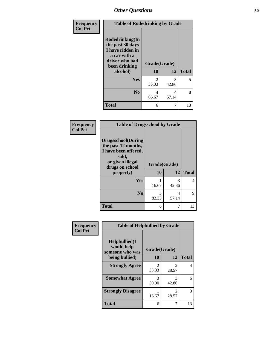| <b>Frequency</b> | <b>Table of Rodedrinking by Grade</b>                                                                      |              |            |              |
|------------------|------------------------------------------------------------------------------------------------------------|--------------|------------|--------------|
| <b>Col Pct</b>   | Rodedrinking(In<br>the past 30 days<br>I have ridden in<br>a car with a<br>driver who had<br>been drinking | Grade(Grade) |            |              |
|                  | alcohol)                                                                                                   | 10           | 12         | <b>Total</b> |
|                  | Yes                                                                                                        | 2<br>33.33   | 3<br>42.86 | 5            |
|                  | No                                                                                                         | 4<br>66.67   | 4<br>57.14 | 8            |
|                  | <b>Total</b>                                                                                               | 6            |            | 13           |

#### **Frequency Col Pct**

| <b>Table of Drugsschool by Grade</b>                                                                                      |              |            |              |  |  |
|---------------------------------------------------------------------------------------------------------------------------|--------------|------------|--------------|--|--|
| <b>Drugsschool</b> (During<br>the past 12 months,<br>I have been offered,<br>sold,<br>or given illegal<br>drugs on school | Grade(Grade) |            |              |  |  |
| property)                                                                                                                 | 10           | 12         | <b>Total</b> |  |  |
| Yes                                                                                                                       | 16.67        | 3<br>42.86 | 4            |  |  |
| N <sub>0</sub>                                                                                                            | 5<br>83.33   | 4<br>57.14 | 9            |  |  |
| <b>Total</b>                                                                                                              | 6            |            | 13           |  |  |

| Frequency      | <b>Table of Helpbullied by Grade</b>                 |                         |                                      |              |  |  |  |
|----------------|------------------------------------------------------|-------------------------|--------------------------------------|--------------|--|--|--|
| <b>Col Pct</b> | $Helpb$ ullied $(I$<br>would help<br>someone who was | Grade(Grade)            |                                      |              |  |  |  |
|                | being bullied)                                       | 10                      | 12                                   | <b>Total</b> |  |  |  |
|                | <b>Strongly Agree</b>                                | $\mathfrak{D}$<br>33.33 | $\mathfrak{D}$<br>28.57              | 4            |  |  |  |
|                | <b>Somewhat Agree</b>                                | 3<br>50.00              | 3<br>42.86                           | 6            |  |  |  |
|                | <b>Strongly Disagree</b>                             | 16.67                   | $\mathcal{D}_{\mathcal{A}}$<br>28.57 | 3            |  |  |  |
|                | <b>Total</b>                                         | 6                       | 7                                    | 13           |  |  |  |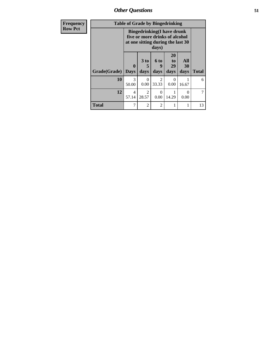| Frequency      |              | <b>Table of Grade by Bingedrinking</b> |                                                                                                                   |                          |                               |                   |              |
|----------------|--------------|----------------------------------------|-------------------------------------------------------------------------------------------------------------------|--------------------------|-------------------------------|-------------------|--------------|
| <b>Row Pct</b> |              |                                        | <b>Bingedrinking(I have drunk</b><br>five or more drinks of alcohol<br>at one sitting during the last 30<br>days) |                          |                               |                   |              |
|                | Grade(Grade) | 0<br><b>Days</b>                       | 3 <sub>to</sub><br>5<br>days                                                                                      | <b>6 to</b><br>9<br>days | <b>20</b><br>to<br>29<br>days | All<br>30<br>days | <b>Total</b> |
|                | 10           | $\mathcal{R}$<br>50.00                 | $\theta$<br>0.00                                                                                                  | $\mathcal{D}$<br>33.33   | $\theta$<br>0.00              | 16.67             | 6            |
|                | 12           | 4<br>57.14                             | 2<br>28.57                                                                                                        | 0<br>0.00                | 14.29                         | 0<br>0.00         | 7            |
|                | <b>Total</b> | 7                                      | $\overline{2}$                                                                                                    | $\overline{2}$           |                               |                   | 13           |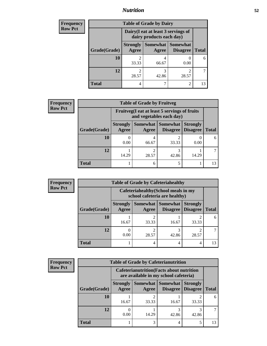## *Nutrition* **52**

| <b>Frequency</b> | <b>Table of Grade by Dairy</b> |                                                                 |                          |                                    |              |
|------------------|--------------------------------|-----------------------------------------------------------------|--------------------------|------------------------------------|--------------|
| <b>Row Pct</b>   |                                | Dairy (I eat at least 3 servings of<br>dairy products each day) |                          |                                    |              |
|                  | Grade(Grade)                   | <b>Strongly</b><br>Agree                                        | <b>Somewhat</b><br>Agree | <b>Somewhat</b><br><b>Disagree</b> | <b>Total</b> |
|                  | 10                             | 2<br>33.33                                                      | 4<br>66.67               | 0.00                               | 6            |
|                  | 12                             | 2<br>28.57                                                      | 3<br>42.86               | ി<br>28.57                         |              |
|                  | <b>Total</b>                   | 4                                                               |                          | 2                                  | 13           |

| Frequency      |              |                                                                          | <b>Table of Grade by Fruitveg</b> |                     |                                        |              |
|----------------|--------------|--------------------------------------------------------------------------|-----------------------------------|---------------------|----------------------------------------|--------------|
| <b>Row Pct</b> |              | Fruitveg(I eat at least 5 servings of fruits<br>and vegetables each day) |                                   |                     |                                        |              |
|                | Grade(Grade) | <b>Strongly</b><br>Agree                                                 | Agree                             | Somewhat   Somewhat | <b>Strongly</b><br>Disagree   Disagree | <b>Total</b> |
|                | 10           | 0.00                                                                     | 4<br>66.67                        | 33.33               | $\left($<br>0.00                       | 6            |
|                | 12           | 14.29                                                                    | 2<br>28.57                        | 42.86               | 14.29                                  |              |
|                | <b>Total</b> |                                                                          | 6                                 |                     |                                        | 13           |

| Frequency      |              |                          |                                                                       | <b>Table of Grade by Cafeteriahealthy</b> |                                    |              |
|----------------|--------------|--------------------------|-----------------------------------------------------------------------|-------------------------------------------|------------------------------------|--------------|
| <b>Row Pct</b> |              |                          | Cafeteriahealthy (School meals in my<br>school cafeteria are healthy) |                                           |                                    |              |
|                | Grade(Grade) | <b>Strongly</b><br>Agree | Agree                                                                 | Somewhat Somewhat<br><b>Disagree</b>      | <b>Strongly</b><br><b>Disagree</b> | <b>Total</b> |
|                | 10           | 16.67                    | າ<br>33.33                                                            | 16.67                                     | 33.33                              | 6            |
|                | 12           | 0.00                     | າ<br>28.57                                                            | 42.86                                     | 28.57                              |              |
|                | <b>Total</b> |                          | 4                                                                     |                                           | 4                                  | 13           |

| <b>Frequency</b> |              |                          |                                                                                           | <b>Table of Grade by Cafeterianutrition</b> |                                    |              |
|------------------|--------------|--------------------------|-------------------------------------------------------------------------------------------|---------------------------------------------|------------------------------------|--------------|
| <b>Row Pct</b>   |              |                          | <b>Cafeterianutrition</b> (Facts about nutrition<br>are available in my school cafeteria) |                                             |                                    |              |
|                  | Grade(Grade) | <b>Strongly</b><br>Agree | Agree                                                                                     | Somewhat Somewhat<br><b>Disagree</b>        | <b>Strongly</b><br><b>Disagree</b> | <b>Total</b> |
|                  | 10           | 16.67                    | $\mathfrak{D}$<br>33.33                                                                   | 16.67                                       | 33.33                              | 6            |
|                  | 12           | 0.00                     | 14.29                                                                                     | 3<br>42.86                                  | 3<br>42.86                         |              |
|                  | <b>Total</b> |                          | 3                                                                                         |                                             |                                    | 13           |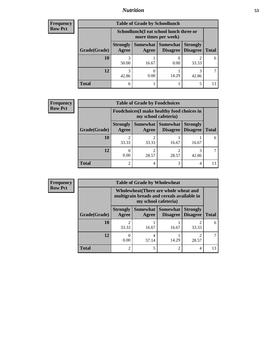## *Nutrition* **53**

| <b>Frequency</b> |
|------------------|
| Row Pct          |

| <b>Table of Grade by Schoollunch</b> |                          |                                                                                                     |       |       |    |  |  |
|--------------------------------------|--------------------------|-----------------------------------------------------------------------------------------------------|-------|-------|----|--|--|
|                                      |                          | Schoollunch(I eat school lunch three or<br>more times per week)                                     |       |       |    |  |  |
| Grade(Grade)                         | <b>Strongly</b><br>Agree | <b>Somewhat Somewhat</b><br><b>Strongly</b><br><b>Disagree</b><br><b>Total</b><br>Disagree<br>Agree |       |       |    |  |  |
| <b>10</b>                            | 3<br>50.00               | 16.67                                                                                               | 0.00  | 33.33 | 6  |  |  |
| 12                                   | 3<br>42.86               | 0.00                                                                                                | 14.29 | 42.86 |    |  |  |
| <b>Total</b>                         | 6                        |                                                                                                     |       | 5     | 13 |  |  |

| <b>Frequency</b> |  |
|------------------|--|
| <b>Row Pct</b>   |  |

| $\overline{\mathbf{y}}$ | <b>Table of Grade by Foodchoices</b> |                                                                     |                   |                 |                                               |              |  |
|-------------------------|--------------------------------------|---------------------------------------------------------------------|-------------------|-----------------|-----------------------------------------------|--------------|--|
|                         |                                      | Foodchoices (I make healthy food choices in<br>my school cafeteria) |                   |                 |                                               |              |  |
|                         | Grade(Grade)                         | <b>Strongly</b><br>Agree                                            | Somewhat<br>Agree | <b>Somewhat</b> | <b>Strongly</b><br><b>Disagree</b>   Disagree | <b>Total</b> |  |
|                         | 10                                   | 33.33                                                               | ി<br>33.33        | 16.67           | 16.67                                         | 6            |  |
|                         | 12                                   | 0.00                                                                | ി<br>28.57        | 28.57           | 42.86                                         |              |  |
|                         | <b>Total</b>                         | $\mathfrak{D}$                                                      | 4                 |                 | 4                                             | 13           |  |

| <b>Frequency</b> | <b>Table of Grade by Wholewheat</b> |                                                                                                             |            |                                        |                                    |              |
|------------------|-------------------------------------|-------------------------------------------------------------------------------------------------------------|------------|----------------------------------------|------------------------------------|--------------|
| <b>Row Pct</b>   |                                     | Wholewheat (There are whole wheat and<br>multigrain breads and cereals available in<br>my school cafeteria) |            |                                        |                                    |              |
|                  | Grade(Grade)                        | <b>Strongly</b><br>Agree                                                                                    | Agree      | Somewhat   Somewhat<br><b>Disagree</b> | <b>Strongly</b><br><b>Disagree</b> | <b>Total</b> |
|                  | 10                                  | 33.33                                                                                                       | 16.67      | 16.67                                  | 33.33                              | 6            |
|                  | 12                                  | 0.00                                                                                                        | 4<br>57.14 | 14.29                                  | 28.57                              |              |
|                  | <b>Total</b>                        | $\overline{c}$                                                                                              | 5          | 2                                      | $\overline{4}$                     | 13           |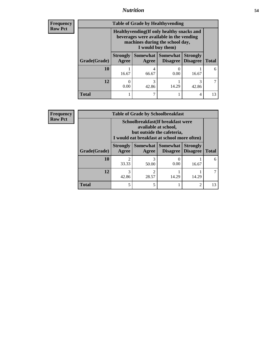## *Nutrition* **54**

**Frequency Row Pct**

| <b>Table of Grade by Healthyvending</b> |                                                                                                                                               |                   |                             |                                    |              |  |  |
|-----------------------------------------|-----------------------------------------------------------------------------------------------------------------------------------------------|-------------------|-----------------------------|------------------------------------|--------------|--|--|
|                                         | Healthyvending (If only healthy snacks and<br>beverages were available in the vending<br>machines during the school day,<br>I would buy them) |                   |                             |                                    |              |  |  |
| Grade(Grade)                            | <b>Strongly</b><br>Agree                                                                                                                      | Somewhat<br>Agree | <b>Somewhat</b><br>Disagree | <b>Strongly</b><br><b>Disagree</b> | <b>Total</b> |  |  |
| 10                                      | 16.67                                                                                                                                         | 4<br>66.67        | 0.00                        | 16.67                              | 6            |  |  |
| 12                                      | 0.00                                                                                                                                          | 3<br>42.86        | 14.29                       | 3<br>42.86                         |              |  |  |
| <b>Total</b>                            |                                                                                                                                               |                   |                             | 4                                  | 13           |  |  |

**Frequency Row Pct**

| <b>Table of Grade by Schoolbreakfast</b> |                                                                                                                                        |            |       |       |    |  |  |
|------------------------------------------|----------------------------------------------------------------------------------------------------------------------------------------|------------|-------|-------|----|--|--|
|                                          | Schoolbreakfast(If breakfast were<br>available at school,<br>but outside the cafeteria,<br>I would eat breakfast at school more often) |            |       |       |    |  |  |
| Grade(Grade)                             | Somewhat Somewhat<br><b>Strongly</b><br><b>Strongly</b><br><b>Disagree</b><br><b>Total</b><br>Agree<br>Disagree<br>Agree               |            |       |       |    |  |  |
| 10                                       | 2<br>33.33                                                                                                                             | 3<br>50.00 | 0.00  | 16.67 | 6  |  |  |
| 12                                       | 3<br>42.86                                                                                                                             | ി<br>28.57 | 14.29 | 14.29 |    |  |  |
| <b>Total</b>                             | 5                                                                                                                                      | 5          |       | 2     | 13 |  |  |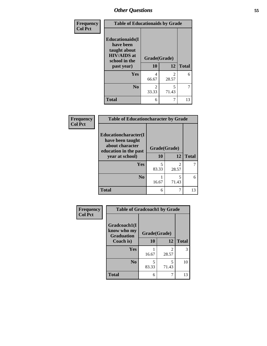| Frequency<br><b>Col Pct</b> | <b>Table of Educationaids by Grade</b>                                                                    |                         |                         |              |  |
|-----------------------------|-----------------------------------------------------------------------------------------------------------|-------------------------|-------------------------|--------------|--|
|                             | <b>Educationaids</b> (I<br>have been<br>taught about<br><b>HIV/AIDS</b> at<br>school in the<br>past year) | Grade(Grade)<br>10      | 12                      | <b>Total</b> |  |
|                             | <b>Yes</b>                                                                                                | 4<br>66.67              | $\mathfrak{D}$<br>28.57 | 6            |  |
|                             | N <sub>0</sub>                                                                                            | $\mathfrak{D}$<br>33.33 | 5<br>71.43              | 7            |  |
|                             | <b>Total</b>                                                                                              | 6                       | 7                       | 13           |  |

| Frequency      | <b>Table of Educationcharacter by Grade</b>                         |              |                         |              |  |  |
|----------------|---------------------------------------------------------------------|--------------|-------------------------|--------------|--|--|
| <b>Col Pct</b> | <b>Educationcharacter(I)</b><br>have been taught<br>about character | Grade(Grade) |                         |              |  |  |
|                | education in the past<br>year at school)                            | <b>10</b>    | 12                      | <b>Total</b> |  |  |
|                | Yes                                                                 | 5<br>83.33   | $\mathfrak{D}$<br>28.57 |              |  |  |
|                | N <sub>0</sub>                                                      | 16.67        | 5<br>71.43              | 6            |  |  |
|                | <b>Total</b>                                                        | 6            | 7                       | 13           |  |  |

| Frequency      | <b>Table of Gradcoach1 by Grade</b>              |              |            |              |  |
|----------------|--------------------------------------------------|--------------|------------|--------------|--|
| <b>Col Pct</b> | Gradcoach1(I<br>know who my<br><b>Graduation</b> | Grade(Grade) |            |              |  |
|                | Coach is)                                        | 10           | 12         | <b>Total</b> |  |
|                | Yes                                              | 16.67        | 2<br>28.57 | 3            |  |
|                | N <sub>0</sub>                                   | 5<br>83.33   | 5<br>71.43 | 10           |  |
|                | <b>Total</b>                                     | 6            | 7          | 13           |  |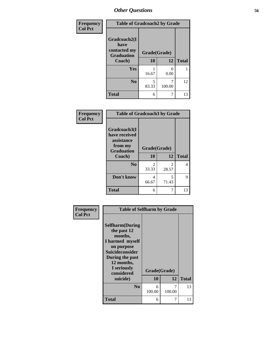| Frequency      | <b>Table of Gradcoach2 by Grade</b> |              |           |              |
|----------------|-------------------------------------|--------------|-----------|--------------|
| <b>Col Pct</b> |                                     |              |           |              |
|                | Gradcoach2(I<br>have                |              |           |              |
|                | contacted my<br><b>Graduation</b>   | Grade(Grade) |           |              |
|                | Coach)                              | 10           | 12        | <b>Total</b> |
|                | Yes                                 | 16.67        | 0<br>0.00 |              |
|                | N <sub>0</sub>                      | 5<br>83.33   | 100.00    | 12           |
|                | <b>Total</b>                        | 6            |           | 13           |

| Frequency<br><b>Col Pct</b> | <b>Table of Gradcoach3 by Grade</b>                                                   |                         |                         |              |  |  |
|-----------------------------|---------------------------------------------------------------------------------------|-------------------------|-------------------------|--------------|--|--|
|                             | Gradcoach3(I<br>have received<br>assistance<br>from my<br><b>Graduation</b><br>Coach) | Grade(Grade)<br>10      | 12                      | <b>Total</b> |  |  |
|                             | N <sub>0</sub>                                                                        | $\mathfrak{D}$<br>33.33 | $\mathfrak{D}$<br>28.57 | 4            |  |  |
|                             | Don't know                                                                            | 4<br>66.67              | 5<br>71.43              | 9            |  |  |
|                             | <b>Total</b>                                                                          | 6                       | 7                       | 13           |  |  |

| Frequency      | <b>Table of Selfharm by Grade</b>                                                                                                                                          |              |             |              |
|----------------|----------------------------------------------------------------------------------------------------------------------------------------------------------------------------|--------------|-------------|--------------|
| <b>Col Pct</b> | <b>Selfharm</b> (During<br>the past 12<br>months,<br>I harmed myself<br>on purpose<br><b>Suicideconsider</b><br>During the past<br>12 months,<br>I seriously<br>considered | Grade(Grade) |             |              |
|                | suicide)                                                                                                                                                                   | 10           | 12          | <b>Total</b> |
|                | No                                                                                                                                                                         | 6<br>100.00  | 7<br>100.00 | 13           |
|                | <b>Total</b>                                                                                                                                                               | 6            | 7           | 13           |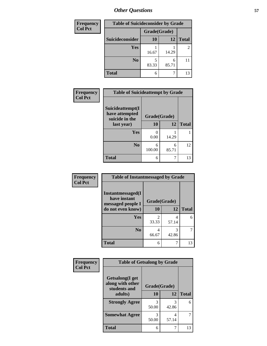| <b>Frequency</b> | <b>Table of Suicideconsider by Grade</b> |              |            |                |
|------------------|------------------------------------------|--------------|------------|----------------|
| <b>Col Pct</b>   |                                          | Grade(Grade) |            |                |
|                  | Suicideconsider                          | <b>10</b>    | 12         | <b>Total</b>   |
|                  | Yes                                      | 16.67        | 14.29      | $\overline{2}$ |
|                  | N <sub>0</sub>                           | 83.33        | 6<br>85.71 |                |
|                  | <b>Total</b>                             | 6            |            | 13             |

| Frequency      | <b>Table of Suicideattempt by Grade</b>              |              |            |              |
|----------------|------------------------------------------------------|--------------|------------|--------------|
| <b>Col Pct</b> | Suicideattempt(I<br>have attempted<br>suicide in the | Grade(Grade) |            |              |
|                | last year)                                           | 10           | 12         | <b>Total</b> |
|                | Yes                                                  | 0<br>0.00    | 14.29      |              |
|                | N <sub>0</sub>                                       | 6<br>100.00  | 6<br>85.71 | 12           |
|                | <b>Total</b>                                         | 6            |            | 13           |

| Frequency      | <b>Table of Instantmessaged by Grade</b>                       |              |            |              |  |  |  |  |
|----------------|----------------------------------------------------------------|--------------|------------|--------------|--|--|--|--|
| <b>Col Pct</b> | <b>Instantmessaged</b> (I<br>have instant<br>messaged people I | Grade(Grade) |            |              |  |  |  |  |
|                | do not even know)                                              | 10           | 12         | <b>Total</b> |  |  |  |  |
|                | Yes                                                            | 2<br>33.33   | 4<br>57.14 |              |  |  |  |  |
|                | No                                                             | 4<br>66.67   | 3<br>42.86 |              |  |  |  |  |
|                | <b>Total</b>                                                   | 6            | 7          | 13           |  |  |  |  |

| Frequency<br><b>Col Pct</b> | <b>Table of Getsalong by Grade</b>                  |              |            |              |
|-----------------------------|-----------------------------------------------------|--------------|------------|--------------|
|                             | Getsalong(I get<br>along with other<br>students and | Grade(Grade) |            |              |
|                             | adults)                                             | 10           | 12         | <b>Total</b> |
|                             | <b>Strongly Agree</b>                               | 3<br>50.00   | 3<br>42.86 | 6            |
|                             | <b>Somewhat Agree</b>                               | 50.00        | 4<br>57.14 | 7            |
|                             | <b>Total</b>                                        | 6            |            | 13           |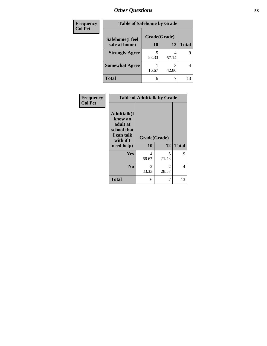| Frequency      | <b>Table of Safehome by Grade</b> |              |       |              |  |  |  |
|----------------|-----------------------------------|--------------|-------|--------------|--|--|--|
| <b>Col Pct</b> | Safehome(I feel                   | Grade(Grade) |       |              |  |  |  |
|                | safe at home)                     | 10           | 12    | <b>Total</b> |  |  |  |
|                | <b>Strongly Agree</b>             | 83.33        | 57.14 | 9            |  |  |  |
|                | <b>Somewhat Agree</b>             | 16.67        | 42.86 | 4            |  |  |  |
|                | Total                             | 6            |       | 13           |  |  |  |

| Frequency<br><b>Col Pct</b> |                                                                                                    | <b>Table of Adulttalk by Grade</b> |                         |              |
|-----------------------------|----------------------------------------------------------------------------------------------------|------------------------------------|-------------------------|--------------|
|                             | <b>Adulttalk</b> (I<br>know an<br>adult at<br>school that<br>I can talk<br>with if I<br>need help) | Grade(Grade)<br>10                 | 12                      | <b>Total</b> |
|                             |                                                                                                    |                                    |                         |              |
|                             | Yes                                                                                                | 4<br>66.67                         | 5<br>71.43              | 9            |
|                             | N <sub>0</sub>                                                                                     | $\mathfrak{D}$<br>33.33            | $\mathfrak{D}$<br>28.57 | 4            |
|                             | <b>Total</b>                                                                                       | 6                                  | 7                       | 13           |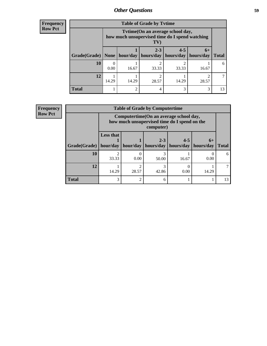### **Frequency Row Pct**

| <b>Table of Grade by Tytime</b> |       |                                                                                           |                      |                      |                   |              |  |  |  |
|---------------------------------|-------|-------------------------------------------------------------------------------------------|----------------------|----------------------|-------------------|--------------|--|--|--|
|                                 |       | Tvtime (On an average school day,<br>how much unsupervised time do I spend watching<br>TV |                      |                      |                   |              |  |  |  |
| Grade(Grade)                    |       | None   hour/day                                                                           | $2 - 3$<br>hours/day | $4 - 5$<br>hours/day | $6+$<br>hours/day | <b>Total</b> |  |  |  |
| <b>10</b>                       | 0.00  | 16.67                                                                                     | 33.33                | 33.33                | 16.67             | 6            |  |  |  |
| 12                              | 14.29 | 14.29                                                                                     | 28.57                | 14.29                | 28.57             |              |  |  |  |
| <b>Total</b>                    |       | $\overline{c}$                                                                            | 4                    | 3                    | 3                 | 13           |  |  |  |

| Frequency      |                         | <b>Table of Grade by Computertime</b> |                                                                                                      |                      |                                  |           |              |  |  |
|----------------|-------------------------|---------------------------------------|------------------------------------------------------------------------------------------------------|----------------------|----------------------------------|-----------|--------------|--|--|
| <b>Row Pct</b> |                         |                                       | Computertime (On an average school day,<br>how much unsupervised time do I spend on the<br>computer) |                      |                                  |           |              |  |  |
|                | Grade(Grade)   hour/day | <b>Less that</b>                      | hour/day                                                                                             | $2 - 3$<br>hours/day | $4 - 5$<br>hours/day   hours/day | $6+$      | <b>Total</b> |  |  |
|                | 10                      | ↑<br>33.33                            | 0.00                                                                                                 | 50.00                | 16.67                            | 0<br>0.00 | 6            |  |  |
|                | 12                      | 14.29                                 | 28.57                                                                                                | 42.86                | 0.00                             | 14.29     |              |  |  |
|                | <b>Total</b>            | 3                                     |                                                                                                      | h                    |                                  |           | 13           |  |  |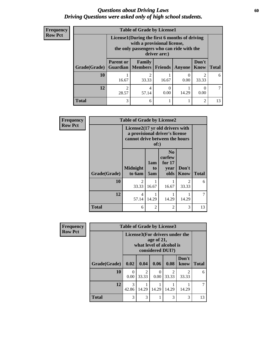### *Questions about Driving Laws* **60** *Driving Questions were asked only of high school students.*

| <b>Frequency</b> |
|------------------|
| <b>Row Pct</b>   |

| <b>Table of Grade by License1</b> |                                                                                                                                           |                                     |           |        |                      |              |  |  |  |
|-----------------------------------|-------------------------------------------------------------------------------------------------------------------------------------------|-------------------------------------|-----------|--------|----------------------|--------------|--|--|--|
|                                   | License1(During the first 6 months of driving<br>with a provisional license,<br>the only passengers who can ride with the<br>driver are:) |                                     |           |        |                      |              |  |  |  |
| Grade(Grade)                      | <b>Parent or</b>                                                                                                                          | Family<br><b>Guardian</b>   Members | Friends   | Anyone | Don't<br><b>Know</b> | <b>Total</b> |  |  |  |
| 10                                | 16.67                                                                                                                                     | $\mathfrak{D}$<br>33.33             | 16.67     | 0.00   | 2<br>33.33           | 6            |  |  |  |
| 12                                | ⌒<br>28.57                                                                                                                                | 4<br>57.14                          | 0<br>0.00 | 14.29  | 0.00                 |              |  |  |  |
| <b>Total</b>                      | 3                                                                                                                                         | 6                                   |           |        | $\overline{2}$       | 13           |  |  |  |

| <b>Frequency</b> |              | <b>Table of Grade by License2</b>                                                                           |                  |                                                      |                        |              |
|------------------|--------------|-------------------------------------------------------------------------------------------------------------|------------------|------------------------------------------------------|------------------------|--------------|
| <b>Row Pct</b>   |              | License2(17 yr old drivers with<br>a provisional driver's license<br>cannot drive between the hours<br>of:) |                  |                                                      |                        |              |
|                  | Grade(Grade) | <b>Midnight</b><br>to 6am                                                                                   | 1am<br>to<br>5am | N <sub>0</sub><br>curfew<br>for $17$<br>year<br>olds | Don't<br><b>Know</b>   | <b>Total</b> |
|                  | 10           | っ<br>33.33                                                                                                  | 16.67            | 16.67                                                | $\mathcal{D}$<br>33.33 | 6            |
|                  | 12           | 4<br>57.14                                                                                                  | 14.29            | 14.29                                                | 14.29                  |              |
|                  | <b>Total</b> | 6                                                                                                           | $\overline{c}$   | $\mathcal{D}$                                        | 3                      | 13           |

| <b>Frequency</b> | <b>Table of Grade by License3</b> |                                                            |                         |           |                         |               |              |  |
|------------------|-----------------------------------|------------------------------------------------------------|-------------------------|-----------|-------------------------|---------------|--------------|--|
| <b>Row Pct</b>   |                                   | License3(For drivers under the<br>what level of alcohol is |                         |           |                         |               |              |  |
|                  | Grade(Grade)                      | 0.02                                                       | 0.04                    | 0.06      | 0.08                    | Don't<br>know | <b>Total</b> |  |
|                  | 10                                | $\Omega$<br>0.00                                           | $\overline{2}$<br>33.33 | 0<br>0.00 | $\mathfrak{D}$<br>33.33 | 2<br>33.33    | 6            |  |
|                  | 12                                | 3<br>42.86                                                 | 14.29                   | 14.29     | 14.29                   | 14.29         | 7            |  |
|                  | Total                             | 3                                                          | 3                       |           | 3                       | 3             | 13           |  |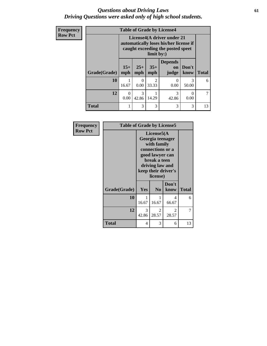### *Questions about Driving Laws* **61** *Driving Questions were asked only of high school students.*

| <b>Frequency</b> | <b>Table of Grade by License4</b> |                                                                                                           |              |                         |                               |                  |              |
|------------------|-----------------------------------|-----------------------------------------------------------------------------------------------------------|--------------|-------------------------|-------------------------------|------------------|--------------|
| <b>Row Pct</b>   |                                   | License4(A driver under 21<br>automatically loses his/her license if<br>caught exceeding the posted speet |              |                         |                               |                  |              |
|                  | Grade(Grade)                      | $15+$<br>mph                                                                                              | $25+$<br>mph | $35+$<br>mph            | <b>Depends</b><br>on<br>judge | Don't<br>know    | <b>Total</b> |
|                  | 10                                | 16.67                                                                                                     | 0<br>0.00    | $\mathfrak{D}$<br>33.33 | 0<br>0.00                     | 3<br>50.00       | 6            |
|                  | 12                                | $\theta$<br>0.00                                                                                          | 3<br>42.86   | 14.29                   | 3<br>42.86                    | $\Omega$<br>0.00 |              |
|                  | <b>Total</b>                      | 1                                                                                                         | 3            | 3                       | 3                             | 3                | 13           |

| Frequency      | <b>Table of Grade by License5</b> |                                                                                                                                                             |                        |                        |              |
|----------------|-----------------------------------|-------------------------------------------------------------------------------------------------------------------------------------------------------------|------------------------|------------------------|--------------|
| <b>Row Pct</b> |                                   | License5(A)<br>Georgia teenager<br>with family<br>connections or a<br>good lawyer can<br>break a teen<br>driving law and<br>keep their driver's<br>license) |                        |                        |              |
|                | Grade(Grade)                      | <b>Yes</b>                                                                                                                                                  | N <sub>0</sub>         | Don't<br>know          | <b>Total</b> |
|                | 10                                | 16.67                                                                                                                                                       | 16.67                  | 4<br>66.67             | 6            |
|                | 12                                | 3<br>42.86                                                                                                                                                  | $\mathcal{L}$<br>28.57 | $\mathcal{L}$<br>28.57 | 7            |
|                | Total                             | 4                                                                                                                                                           | 3                      | 6                      | 13           |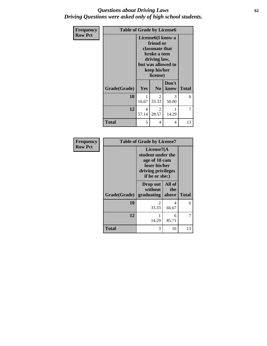### *Questions about Driving Laws* **62** *Driving Questions were asked only of high school students.*

| Frequency      | <b>Table of Grade by License6</b> |                                                                                                                                                        |                |               |       |
|----------------|-----------------------------------|--------------------------------------------------------------------------------------------------------------------------------------------------------|----------------|---------------|-------|
| <b>Row Pct</b> |                                   | License <sub>6</sub> (I know a<br>friend or<br><b>classmate that</b><br>broke a teen<br>driving law,<br>but was allowed to<br>keep his/her<br>license) |                |               |       |
|                | Grade(Grade)                      | <b>Yes</b>                                                                                                                                             | N <sub>0</sub> | Don't<br>know | Total |
|                | 10                                | 1<br>16.67                                                                                                                                             | 2<br>33.33     | 3<br>50.00    | 6     |
|                | 12                                | 4<br>57.14                                                                                                                                             | 2<br>28.57     | 14.29         | 7     |
|                | <b>Total</b>                      | 5                                                                                                                                                      | 4              | 4             | 13    |

| Frequency<br><b>Row Pct</b> |              | <b>Table of Grade by License7</b><br>License7(A)<br>student under the<br>age of 18 cam<br>loser his/her<br>driving privileges<br>if he or she:) |                        |              |
|-----------------------------|--------------|-------------------------------------------------------------------------------------------------------------------------------------------------|------------------------|--------------|
|                             | Grade(Grade) | Drop out<br>without<br>graduating                                                                                                               | All of<br>the<br>above | <b>Total</b> |
|                             | 10           | 33.33                                                                                                                                           | 4<br>66.67             | 6            |
|                             | 12           | 14.29                                                                                                                                           | 6<br>85.71             | 7            |
|                             | <b>Total</b> | 3                                                                                                                                               | 10                     | 13           |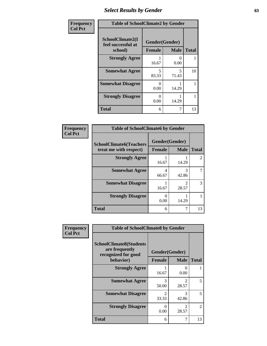# *Select Results by Gender* **63**

| Frequency      | <b>Table of SchoolClimate2 by Gender</b>          |                                 |                           |              |  |
|----------------|---------------------------------------------------|---------------------------------|---------------------------|--------------|--|
| <b>Col Pct</b> | SchoolClimate2(I<br>feel successful at<br>school) | Gender(Gender)<br><b>Female</b> | <b>Male</b>               | <b>Total</b> |  |
|                | <b>Strongly Agree</b>                             | 16.67                           | $\mathbf{\Omega}$<br>0.00 |              |  |
|                | <b>Somewhat Agree</b>                             | 5<br>83.33                      | 5<br>71.43                | 10           |  |
|                | <b>Somewhat Disagree</b>                          | $\mathbf{\Omega}$<br>0.00       | 14.29                     |              |  |
|                | <b>Strongly Disagree</b>                          | $\mathbf{0}$<br>0.00            | 14.29                     |              |  |
|                | <b>Total</b>                                      | 6                               | 7                         | 13           |  |

| <b>Frequency</b> | <b>Table of SchoolClimate6 by Gender</b>                 |                         |             |                             |  |  |
|------------------|----------------------------------------------------------|-------------------------|-------------|-----------------------------|--|--|
| <b>Col Pct</b>   | <b>SchoolClimate6(Teachers</b><br>treat me with respect) | Gender(Gender)          |             |                             |  |  |
|                  |                                                          | Female                  | <b>Male</b> | <b>Total</b>                |  |  |
|                  | <b>Strongly Agree</b>                                    | 16.67                   | 14.29       | $\mathcal{D}_{\mathcal{L}}$ |  |  |
|                  | <b>Somewhat Agree</b>                                    | $\overline{4}$<br>66.67 | 3<br>42.86  |                             |  |  |
|                  | <b>Somewhat Disagree</b>                                 | 16.67                   | っ<br>28.57  | 3                           |  |  |
|                  | <b>Strongly Disagree</b>                                 | ∩<br>0.00               | 14.29       |                             |  |  |
|                  | <b>Total</b>                                             | 6                       |             | 13                          |  |  |

| Frequency<br><b>Col Pct</b> | <b>Table of SchoolClimate8 by Gender</b>                                |                         |                                      |              |  |
|-----------------------------|-------------------------------------------------------------------------|-------------------------|--------------------------------------|--------------|--|
|                             | <b>SchoolClimate8(Students</b><br>are frequently<br>recognized for good | Gender(Gender)          |                                      |              |  |
|                             | behavior)                                                               | <b>Female</b>           | <b>Male</b>                          | <b>Total</b> |  |
|                             | <b>Strongly Agree</b>                                                   | 16.67                   | $\Omega$<br>0.00                     |              |  |
|                             | <b>Somewhat Agree</b>                                                   | 3<br>50.00              | $\mathcal{D}$<br>28.57               | 5            |  |
|                             | <b>Somewhat Disagree</b>                                                | $\mathfrak{D}$<br>33.33 | $\mathcal{R}$<br>42.86               | 5            |  |
|                             | <b>Strongly Disagree</b>                                                | 0<br>0.00               | $\mathcal{D}_{\mathcal{L}}$<br>28.57 | 2            |  |
|                             | Total                                                                   | 6                       | 7                                    | 13           |  |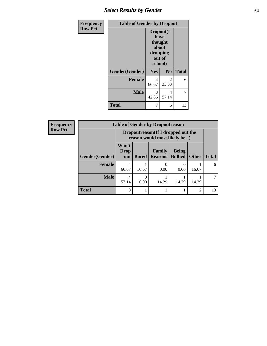# *Select Results by Gender* **64**

| Frequency      | <b>Table of Gender by Dropout</b> |                                                                        |                |              |
|----------------|-----------------------------------|------------------------------------------------------------------------|----------------|--------------|
| <b>Row Pct</b> |                                   | Dropout(I<br>have<br>thought<br>about<br>dropping<br>out of<br>school) |                |              |
|                | Gender(Gender)                    | Yes                                                                    | N <sub>0</sub> | <b>Total</b> |
|                | <b>Female</b>                     | 4<br>66.67                                                             | 2<br>33.33     | 6            |
|                | <b>Male</b>                       | 3<br>42.86                                                             | 4<br>57.14     | 7            |
|                | <b>Total</b>                      | 7                                                                      | 6              | 13           |

| Frequency      | <b>Table of Gender by Dropoutreason</b> |                                                                    |              |                          |                                |                |              |
|----------------|-----------------------------------------|--------------------------------------------------------------------|--------------|--------------------------|--------------------------------|----------------|--------------|
| <b>Row Pct</b> |                                         | Dropoutreason(If I dropped out the<br>reason would most likely be) |              |                          |                                |                |              |
|                | <b>Gender</b> (Gender)                  | Won't<br><b>Drop</b><br>out                                        | <b>Bored</b> | Family<br><b>Reasons</b> | <b>Being</b><br><b>Bullied</b> | <b>Other</b>   | <b>Total</b> |
|                | <b>Female</b>                           | 4<br>66.67                                                         | 16.67        | 0.00                     | 0.00                           | 16.67          | 6            |
|                | <b>Male</b>                             | $\overline{4}$<br>57.14                                            | 0<br>0.00    | 14.29                    | 14.29                          | 14.29          |              |
|                | <b>Total</b>                            | 8                                                                  |              |                          |                                | $\overline{c}$ | 13           |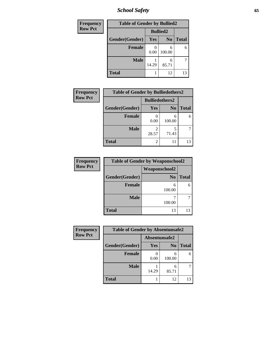*School Safety* **65**

| Frequency      | <b>Table of Gender by Bullied2</b> |                 |                |              |  |  |
|----------------|------------------------------------|-----------------|----------------|--------------|--|--|
| <b>Row Pct</b> |                                    | <b>Bullied2</b> |                |              |  |  |
|                | Gender(Gender)                     | Yes             | N <sub>0</sub> | <b>Total</b> |  |  |
|                | <b>Female</b>                      | 0.00            | 6<br>100.00    | 6            |  |  |
|                | <b>Male</b>                        | 14.29           | 6<br>85.71     |              |  |  |
|                | <b>Total</b>                       |                 | 12             | 13           |  |  |

| Frequency      | <b>Table of Gender by Bulliedothers2</b> |                       |                |              |
|----------------|------------------------------------------|-----------------------|----------------|--------------|
| <b>Row Pct</b> |                                          | <b>Bulliedothers2</b> |                |              |
|                | Gender(Gender)                           | <b>Yes</b>            | N <sub>0</sub> | <b>Total</b> |
|                | <b>Female</b>                            | 0.00                  | 6<br>100.00    | 6            |
|                | <b>Male</b>                              | 2<br>28.57            | 71.43          |              |
|                | Total                                    | 2                     | 11             | 13           |

| Frequency      | <b>Table of Gender by Weaponschool2</b> |                      |              |  |  |
|----------------|-----------------------------------------|----------------------|--------------|--|--|
| <b>Row Pct</b> |                                         | <b>Weaponschool2</b> |              |  |  |
|                | Gender(Gender)                          | N <sub>0</sub>       | <b>Total</b> |  |  |
|                | <b>Female</b>                           | 6<br>100.00          |              |  |  |
|                | <b>Male</b>                             | 100.00               |              |  |  |
|                | <b>Total</b>                            | 13                   |              |  |  |

| Frequency      | <b>Table of Gender by Absentunsafe2</b> |               |                |              |
|----------------|-----------------------------------------|---------------|----------------|--------------|
| <b>Row Pct</b> |                                         | Absentunsafe2 |                |              |
|                | Gender(Gender)                          | Yes           | N <sub>0</sub> | <b>Total</b> |
|                | <b>Female</b>                           | 0.00          | 6<br>100.00    | 6            |
|                | <b>Male</b>                             | 14.29         | 6<br>85.71     |              |
|                | <b>Total</b>                            |               | 12             | 13           |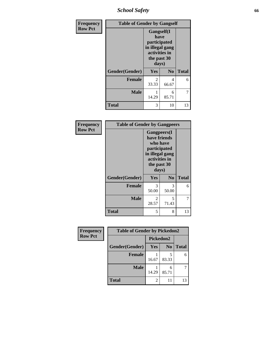*School Safety* **66**

| Frequency      | <b>Table of Gender by Gangself</b> |                                                                                                |                |              |
|----------------|------------------------------------|------------------------------------------------------------------------------------------------|----------------|--------------|
| <b>Row Pct</b> |                                    | Gangself(I<br>have<br>participated<br>in illegal gang<br>activities in<br>the past 30<br>days) |                |              |
|                | Gender(Gender)                     | Yes                                                                                            | N <sub>0</sub> | <b>Total</b> |
|                | <b>Female</b>                      | 2<br>33.33                                                                                     | 4<br>66.67     | 6            |
|                | <b>Male</b>                        | 14.29                                                                                          | 6<br>85.71     | 7            |
|                | <b>Total</b>                       | 3                                                                                              | 10             | 13           |

| Frequency      | <b>Table of Gender by Gangpeers</b> |                                                                                                                             |                |              |
|----------------|-------------------------------------|-----------------------------------------------------------------------------------------------------------------------------|----------------|--------------|
| <b>Row Pct</b> |                                     | <b>Gangpeers</b> (I<br>have friends<br>who have<br>participated<br>in illegal gang<br>activities in<br>the past 30<br>days) |                |              |
|                | Gender(Gender)                      | <b>Yes</b>                                                                                                                  | N <sub>0</sub> | <b>Total</b> |
|                | <b>Female</b>                       | 3<br>50.00                                                                                                                  | 3<br>50.00     | 6            |
|                | <b>Male</b>                         | 2<br>28.57                                                                                                                  | 5<br>71.43     | 7            |
|                | Total                               | 5                                                                                                                           | 8              | 13           |

| Frequency      | <b>Table of Gender by Pickedon2</b> |                |                |              |
|----------------|-------------------------------------|----------------|----------------|--------------|
| <b>Row Pct</b> |                                     | Pickedon2      |                |              |
|                | Gender(Gender)                      | <b>Yes</b>     | N <sub>0</sub> | <b>Total</b> |
|                | <b>Female</b>                       | 16.67          | 83.33          | 6            |
|                | <b>Male</b>                         | 14.29          | 6<br>85.71     |              |
|                | <b>Total</b>                        | $\mathfrak{D}$ | 11             | 13           |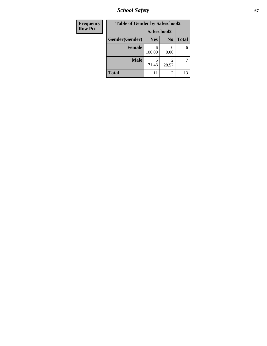*School Safety* **67**

| <b>Frequency</b> | <b>Table of Gender by Safeschool2</b> |             |                |              |
|------------------|---------------------------------------|-------------|----------------|--------------|
| <b>Row Pct</b>   |                                       | Safeschool2 |                |              |
|                  | Gender(Gender)                        | <b>Yes</b>  | N <sub>0</sub> | <b>Total</b> |
|                  | <b>Female</b>                         | 6<br>100.00 | 0.00           | 6            |
|                  | <b>Male</b>                           | 71.43       | 2<br>28.57     |              |
|                  | <b>Total</b>                          |             | $\overline{2}$ | 13           |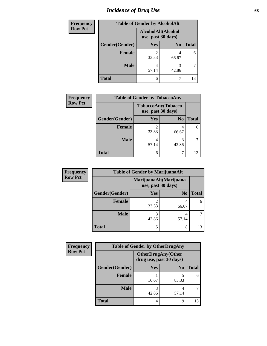# *Incidence of Drug Use* 68

| <b>Frequency</b> |                | <b>Table of Gender by AlcoholAlt</b>     |                |              |
|------------------|----------------|------------------------------------------|----------------|--------------|
| <b>Row Pct</b>   |                | AlcoholAlt(Alcohol<br>use, past 30 days) |                |              |
|                  | Gender(Gender) | Yes                                      | N <sub>0</sub> | <b>Total</b> |
|                  | <b>Female</b>  | 2<br>33.33                               | 4<br>66.67     | 6            |
|                  | <b>Male</b>    | 4<br>57.14                               | 3<br>42.86     | 7            |
|                  | <b>Total</b>   | 6                                        | 7              | 13           |

| <b>Frequency</b> |                | <b>Table of Gender by TobaccoAny</b>     |                |              |
|------------------|----------------|------------------------------------------|----------------|--------------|
| <b>Row Pct</b>   |                | TobaccoAny(Tobacco<br>use, past 30 days) |                |              |
|                  | Gender(Gender) | Yes                                      | N <sub>0</sub> | <b>Total</b> |
|                  | Female         | $\mathfrak{D}$<br>33.33                  | 4<br>66.67     | 6            |
|                  | <b>Male</b>    | 4<br>57.14                               | 3<br>42.86     |              |
|                  | <b>Total</b>   | 6                                        |                | 13           |

| <b>Frequency</b> | <b>Table of Gender by MarijuanaAlt</b> |                                              |                |              |
|------------------|----------------------------------------|----------------------------------------------|----------------|--------------|
| <b>Row Pct</b>   |                                        | MarijuanaAlt(Marijuana<br>use, past 30 days) |                |              |
|                  | Gender(Gender)                         | <b>Yes</b>                                   | N <sub>0</sub> | <b>Total</b> |
|                  | <b>Female</b>                          | 33.33                                        | 4<br>66.67     | 6            |
|                  | <b>Male</b>                            | 3<br>42.86                                   | 4<br>57.14     |              |
|                  | <b>Total</b>                           | 5                                            | 8              |              |

| <b>Frequency</b> | <b>Table of Gender by OtherDrugAny</b> |                                                      |                |              |
|------------------|----------------------------------------|------------------------------------------------------|----------------|--------------|
| <b>Row Pct</b>   |                                        | <b>OtherDrugAny(Other</b><br>drug use, past 30 days) |                |              |
|                  | Gender(Gender)                         | Yes                                                  | N <sub>0</sub> | <b>Total</b> |
|                  | <b>Female</b>                          | 16.67                                                | 83.33          | 6            |
|                  | <b>Male</b>                            | 3<br>42.86                                           | 4<br>57.14     |              |
|                  | <b>Total</b>                           | 4                                                    | 9              | 13           |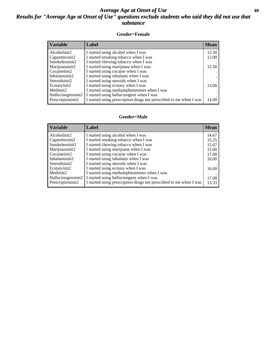### *Average Age at Onset of Use* **69** *Results for "Average Age at Onset of Use" questions exclude students who said they did not use that substance*

#### **Gender=Female**

| <i><b>Variable</b></i> | <b>Label</b>                                                       | <b>Mean</b> |
|------------------------|--------------------------------------------------------------------|-------------|
| Alcoholinit2           | I started using alcohol when I was                                 | 12.50       |
| Cigarettesinit2        | I started smoking tobacco when I was                               | 12.00       |
| Smokelessinit2         | I started chewing tobacco when I was                               |             |
| Marijuanainit2         | I started using marijuana when I was                               | 12.50       |
| Cocaineinit2           | I started using cocaine when I was                                 |             |
| Inhalantsinit2         | I started using inhalants when I was                               |             |
| Steroidsinit2          | I started using steroids when I was                                |             |
| Ecstasyinit2           | I started using ecstasy when I was                                 | 13.00       |
| Methinit2              | I started using methamphetamines when I was                        |             |
| Hallucinogensinit2     | I started using hallucinogens when I was                           |             |
| Prescription in t2     | I started using prescription drugs not prescribed to me when I was | 14.00       |

#### **Gender=Male**

| <b>Variable</b>                 | Label                                                              | <b>Mean</b> |
|---------------------------------|--------------------------------------------------------------------|-------------|
| Alcoholinit2                    | I started using alcohol when I was                                 | 14.67       |
| Cigarettesinit2                 | I started smoking tobacco when I was                               | 15.25       |
| Smokelessinit2                  | I started chewing tobacco when I was                               | 15.67       |
| Marijuanainit2                  | I started using marijuana when I was                               | 15.00       |
| Cocaineinit2                    | I started using cocaine when I was                                 | 17.00       |
| Inhalantsinit2                  | I started using inhalants when I was                               | 10.00       |
| Steroidsinit2                   | I started using steroids when I was                                |             |
| Ecstasyinit2                    | I started using ecstasy when I was                                 | 16.00       |
| Methinit2                       | I started using methamphetamines when I was                        |             |
| Hallucinogensinit2              | I started using hallucinogens when I was                           | 17.00       |
| Prescription in it <sub>2</sub> | I started using prescription drugs not prescribed to me when I was | 13.33       |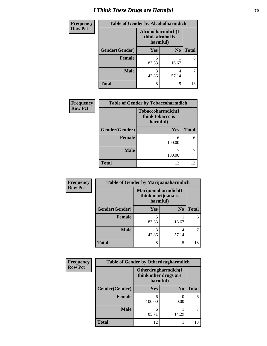# *I Think These Drugs are Harmful* **70**

| Frequency      | <b>Table of Gender by Alcoholharmdich</b> |                                                   |                |              |
|----------------|-------------------------------------------|---------------------------------------------------|----------------|--------------|
| <b>Row Pct</b> |                                           | Alcoholharmdich(I<br>think alcohol is<br>harmful) |                |              |
|                | Gender(Gender)                            | <b>Yes</b>                                        | N <sub>0</sub> | <b>Total</b> |
|                | <b>Female</b>                             | 5<br>83.33                                        | 16.67          | 6            |
|                | <b>Male</b>                               | 3<br>42.86                                        | 4<br>57.14     |              |
|                | <b>Total</b>                              | 8                                                 | 5              | 13           |

| <b>Frequency</b> | <b>Table of Gender by Tobaccoharmdich</b> |                                                   |              |  |
|------------------|-------------------------------------------|---------------------------------------------------|--------------|--|
| <b>Row Pct</b>   |                                           | Tobaccoharmdich(I<br>think tobacco is<br>harmful) |              |  |
|                  | Gender(Gender)                            | <b>Yes</b>                                        | <b>Total</b> |  |
|                  | <b>Female</b>                             | 6<br>100.00                                       | 6            |  |
|                  | <b>Male</b>                               | 100.00                                            |              |  |
|                  | <b>Total</b>                              | 13                                                | 13           |  |

| Frequency      | <b>Table of Gender by Marijuanaharmdich</b> |                                                       |                |              |
|----------------|---------------------------------------------|-------------------------------------------------------|----------------|--------------|
| <b>Row Pct</b> |                                             | Marijuanaharmdich(I<br>think marijuana is<br>harmful) |                |              |
|                | Gender(Gender)                              | <b>Yes</b>                                            | N <sub>0</sub> | <b>Total</b> |
|                | <b>Female</b>                               | 83.33                                                 | 16.67          | 6            |
|                | <b>Male</b>                                 | 3<br>42.86                                            | 4<br>57.14     |              |
|                | <b>Total</b>                                | 8                                                     | 5              | 13           |

| Frequency      | <b>Table of Gender by Otherdrugharmdich</b> |                                   |                     |              |  |
|----------------|---------------------------------------------|-----------------------------------|---------------------|--------------|--|
| <b>Row Pct</b> |                                             | think other drugs are<br>harmful) | Otherdrugharmdich(I |              |  |
|                | Gender(Gender)                              | <b>Yes</b>                        | N <sub>0</sub>      | <b>Total</b> |  |
|                | Female                                      | 6<br>100.00                       | 0.00                | 6            |  |
|                | <b>Male</b>                                 | 6<br>85.71                        | 14.29               |              |  |
|                | <b>Total</b>                                | 12                                |                     | 13           |  |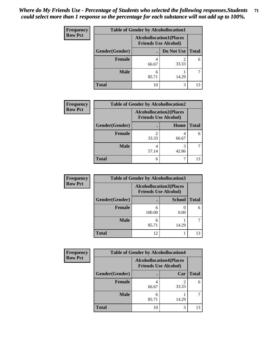| <b>Frequency</b> | <b>Table of Gender by Alcohollocation1</b> |                                                               |            |              |  |
|------------------|--------------------------------------------|---------------------------------------------------------------|------------|--------------|--|
| <b>Row Pct</b>   |                                            | <b>Alcohollocation1(Places</b><br><b>Friends Use Alcohol)</b> |            |              |  |
|                  | Gender(Gender)                             |                                                               | Do Not Use | <b>Total</b> |  |
|                  | <b>Female</b>                              | 66.67                                                         | 33.33      | 6            |  |
|                  | <b>Male</b>                                | 6<br>85.71                                                    | 14.29      |              |  |
|                  | Total                                      | 10                                                            | 3          | 13           |  |

| <b>Frequency</b> | <b>Table of Gender by Alcohollocation2</b> |                                                               |             |              |  |
|------------------|--------------------------------------------|---------------------------------------------------------------|-------------|--------------|--|
| <b>Row Pct</b>   |                                            | <b>Alcohollocation2(Places</b><br><b>Friends Use Alcohol)</b> |             |              |  |
|                  | Gender(Gender)                             |                                                               | <b>Home</b> | <b>Total</b> |  |
|                  | <b>Female</b>                              | 33.33                                                         | 66.67       | 6            |  |
|                  | <b>Male</b>                                | 4<br>57.14                                                    | 42.86       |              |  |
|                  | <b>Total</b>                               | 6                                                             |             |              |  |

| Frequency      | <b>Table of Gender by Alcohollocation3</b> |             |                                                               |              |
|----------------|--------------------------------------------|-------------|---------------------------------------------------------------|--------------|
| <b>Row Pct</b> |                                            |             | <b>Alcohollocation3(Places</b><br><b>Friends Use Alcohol)</b> |              |
|                | Gender(Gender)                             |             | <b>School</b>                                                 | <b>Total</b> |
|                | <b>Female</b>                              | 6<br>100.00 | 0.00                                                          | 6            |
|                | <b>Male</b>                                | 6<br>85.71  | 14.29                                                         |              |
|                | <b>Total</b>                               | 12          |                                                               | 13           |

| Frequency      | <b>Table of Gender by Alcohollocation4</b> |                                                               |       |              |  |
|----------------|--------------------------------------------|---------------------------------------------------------------|-------|--------------|--|
| <b>Row Pct</b> |                                            | <b>Alcohollocation4(Places</b><br><b>Friends Use Alcohol)</b> |       |              |  |
|                | Gender(Gender)                             |                                                               | Car   | <b>Total</b> |  |
|                | <b>Female</b>                              | 66.67                                                         | 33.33 | 6            |  |
|                | <b>Male</b>                                | 6<br>85.71                                                    | 14.29 |              |  |
|                | <b>Total</b>                               | 10                                                            | 3     | 13           |  |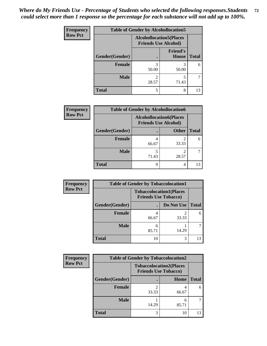| <b>Frequency</b> | <b>Table of Gender by Alcohollocation5</b> |                                                               |                          |              |
|------------------|--------------------------------------------|---------------------------------------------------------------|--------------------------|--------------|
| <b>Row Pct</b>   |                                            | <b>Alcohollocation5(Places</b><br><b>Friends Use Alcohol)</b> |                          |              |
|                  | Gender(Gender)                             |                                                               | <b>Friend's</b><br>House | <b>Total</b> |
|                  | <b>Female</b>                              | 3<br>50.00                                                    | 3<br>50.00               | 6            |
|                  | <b>Male</b>                                | 28.57                                                         | 71.43                    |              |
|                  | <b>Total</b>                               | 5                                                             | 8                        | 13           |

| <b>Frequency</b> | <b>Table of Gender by Alcohollocation6</b> |                                                               |              |              |  |
|------------------|--------------------------------------------|---------------------------------------------------------------|--------------|--------------|--|
| <b>Row Pct</b>   |                                            | <b>Alcohollocation6(Places</b><br><b>Friends Use Alcohol)</b> |              |              |  |
|                  | Gender(Gender)                             |                                                               | <b>Other</b> | <b>Total</b> |  |
|                  | <b>Female</b>                              | 66.67                                                         | 33.33        | 6            |  |
|                  | <b>Male</b>                                | 5<br>71.43                                                    | っ<br>28.57   |              |  |
|                  | <b>Total</b>                               | 9                                                             | 4            |              |  |

| Frequency      | <b>Table of Gender by Tobaccolocation1</b> |                                                               |            |              |  |
|----------------|--------------------------------------------|---------------------------------------------------------------|------------|--------------|--|
| <b>Row Pct</b> |                                            | <b>Tobaccolocation1(Places</b><br><b>Friends Use Tobacco)</b> |            |              |  |
|                | Gender(Gender)                             |                                                               | Do Not Use | <b>Total</b> |  |
|                | <b>Female</b>                              | 66.67                                                         | 33.33      | 6            |  |
|                | <b>Male</b>                                | 85.71                                                         | 14.29      |              |  |
|                | <b>Total</b>                               | 10                                                            | 3          | 13           |  |

| <b>Frequency</b> | <b>Table of Gender by Tobaccolocation2</b> |                                                               |            |              |
|------------------|--------------------------------------------|---------------------------------------------------------------|------------|--------------|
| <b>Row Pct</b>   |                                            | <b>Tobaccolocation2(Places</b><br><b>Friends Use Tobacco)</b> |            |              |
|                  | Gender(Gender)                             |                                                               | Home       | <b>Total</b> |
|                  | Female                                     | 33.33                                                         | 66.67      |              |
|                  | <b>Male</b>                                | 14.29                                                         | 6<br>85.71 |              |
|                  | <b>Total</b>                               |                                                               | 10         | 13           |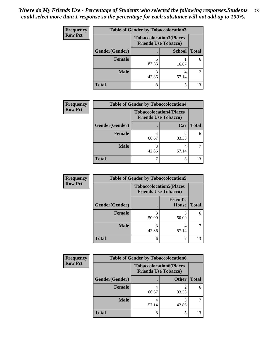| <b>Frequency</b> |                | <b>Table of Gender by Tobaccolocation3</b>                    |               |              |
|------------------|----------------|---------------------------------------------------------------|---------------|--------------|
| <b>Row Pct</b>   |                | <b>Tobaccolocation3(Places</b><br><b>Friends Use Tobacco)</b> |               |              |
|                  | Gender(Gender) |                                                               | <b>School</b> | <b>Total</b> |
|                  | Female         | 83.33                                                         | 16.67         | 6            |
|                  | <b>Male</b>    | 42.86                                                         | 57.14         |              |
|                  | <b>Total</b>   | 8                                                             |               | 13           |

| <b>Frequency</b> | <b>Table of Gender by Tobaccolocation4</b> |                                                               |       |              |
|------------------|--------------------------------------------|---------------------------------------------------------------|-------|--------------|
| <b>Row Pct</b>   |                                            | <b>Tobaccolocation4(Places</b><br><b>Friends Use Tobacco)</b> |       |              |
|                  | Gender(Gender)                             |                                                               | Car   | <b>Total</b> |
|                  | <b>Female</b>                              | 66.67                                                         | 33.33 | 6            |
|                  | <b>Male</b>                                | 42.86                                                         | 57.14 |              |
|                  | <b>Total</b>                               |                                                               | 6     |              |

| <b>Frequency</b> | <b>Table of Gender by Tobaccolocation5</b> |                                                               |                          |              |
|------------------|--------------------------------------------|---------------------------------------------------------------|--------------------------|--------------|
| <b>Row Pct</b>   |                                            | <b>Tobaccolocation5(Places</b><br><b>Friends Use Tobacco)</b> |                          |              |
|                  | Gender(Gender)                             |                                                               | <b>Friend's</b><br>House | <b>Total</b> |
|                  | Female                                     | 50.00                                                         | 50.00                    | 6            |
|                  | <b>Male</b>                                | 42.86                                                         | 4<br>57.14               |              |
|                  | <b>Total</b>                               | 6                                                             |                          | 13           |

| <b>Frequency</b> | <b>Table of Gender by Tobaccolocation6</b> |                                                               |              |              |  |
|------------------|--------------------------------------------|---------------------------------------------------------------|--------------|--------------|--|
| <b>Row Pct</b>   |                                            | <b>Tobaccolocation6(Places</b><br><b>Friends Use Tobacco)</b> |              |              |  |
|                  | Gender(Gender)                             |                                                               | <b>Other</b> | <b>Total</b> |  |
|                  | <b>Female</b>                              | 66.67                                                         | 33.33        | 6            |  |
|                  | <b>Male</b>                                | 57.14                                                         | 42.86        |              |  |
|                  | <b>Total</b>                               | o                                                             |              | 13           |  |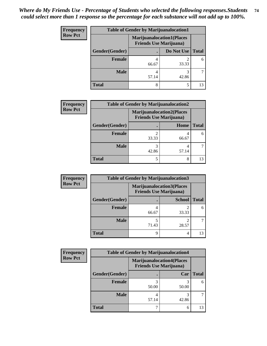| <b>Frequency</b> | <b>Table of Gender by Marijuanalocation1</b> |                                                                    |            |              |
|------------------|----------------------------------------------|--------------------------------------------------------------------|------------|--------------|
| <b>Row Pct</b>   |                                              | <b>Marijuanalocation1(Places</b><br><b>Friends Use Marijuana</b> ) |            |              |
|                  | <b>Gender</b> (Gender)                       |                                                                    | Do Not Use | <b>Total</b> |
|                  | <b>Female</b>                                | 66.67                                                              | 33.33      | 6            |
|                  | <b>Male</b>                                  | 57.14                                                              | 42.86      |              |
|                  | <b>Total</b>                                 | 8                                                                  | 5          | 13           |

| <b>Frequency</b> | <b>Table of Gender by Marijuanalocation2</b> |                                                                    |            |              |  |
|------------------|----------------------------------------------|--------------------------------------------------------------------|------------|--------------|--|
| <b>Row Pct</b>   |                                              | <b>Marijuanalocation2(Places</b><br><b>Friends Use Marijuana</b> ) |            |              |  |
|                  | Gender(Gender)                               |                                                                    | Home       | <b>Total</b> |  |
|                  | <b>Female</b>                                | 33.33                                                              | 4<br>66.67 | 6            |  |
|                  | <b>Male</b>                                  | 42.86                                                              | 4<br>57.14 |              |  |
|                  | <b>Total</b>                                 |                                                                    | 8          | 13           |  |

| Frequency      | <b>Table of Gender by Marijuanalocation3</b> |                                                                    |               |              |
|----------------|----------------------------------------------|--------------------------------------------------------------------|---------------|--------------|
| <b>Row Pct</b> |                                              | <b>Marijuanalocation3(Places</b><br><b>Friends Use Marijuana</b> ) |               |              |
|                | Gender(Gender)                               |                                                                    | <b>School</b> | <b>Total</b> |
|                | <b>Female</b>                                | 66.67                                                              | 33.33         | 6            |
|                | <b>Male</b>                                  | 71.43                                                              | 28.57         |              |
|                | <b>Total</b>                                 | q                                                                  | 4             | 13           |

| <b>Frequency</b> |                | <b>Table of Gender by Marijuanalocation4</b>                        |       |              |  |  |
|------------------|----------------|---------------------------------------------------------------------|-------|--------------|--|--|
| <b>Row Pct</b>   |                | <b>Marijuanalocation4(Places)</b><br><b>Friends Use Marijuana</b> ) |       |              |  |  |
|                  | Gender(Gender) |                                                                     | Car   | <b>Total</b> |  |  |
|                  | Female         | 50.00                                                               | 50.00 | 6            |  |  |
|                  | <b>Male</b>    | 57.14                                                               | 42.86 |              |  |  |
|                  | <b>Total</b>   |                                                                     | 6     | 13           |  |  |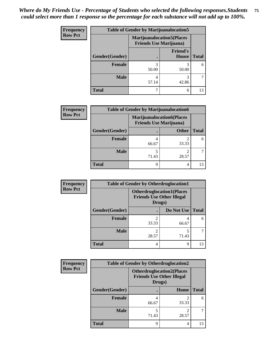| <b>Frequency</b> | <b>Table of Gender by Marijuanalocation5</b> |                                                                    |                          |              |
|------------------|----------------------------------------------|--------------------------------------------------------------------|--------------------------|--------------|
| <b>Row Pct</b>   |                                              | <b>Marijuanalocation5(Places</b><br><b>Friends Use Marijuana</b> ) |                          |              |
|                  | Gender(Gender)                               |                                                                    | <b>Friend's</b><br>House | <b>Total</b> |
|                  | <b>Female</b>                                | 50.00                                                              | 50.00                    | 6            |
|                  | <b>Male</b>                                  | 4<br>57.14                                                         | 3<br>42.86               |              |
|                  | <b>Total</b>                                 |                                                                    | 6                        | 13           |

| <b>Frequency</b> | <b>Table of Gender by Marijuanalocation6</b> |                                                                    |              |              |  |
|------------------|----------------------------------------------|--------------------------------------------------------------------|--------------|--------------|--|
| <b>Row Pct</b>   |                                              | <b>Marijuanalocation6(Places</b><br><b>Friends Use Marijuana</b> ) |              |              |  |
|                  | Gender(Gender)                               |                                                                    | <b>Other</b> | <b>Total</b> |  |
|                  | <b>Female</b>                                | 66.67                                                              | 33.33        | 6            |  |
|                  | <b>Male</b>                                  | 71.43                                                              | 28.57        |              |  |
|                  | Total                                        | Ω                                                                  | 4            |              |  |

| <b>Frequency</b> | <b>Table of Gender by Otherdruglocation1</b> |                                                                                |            |              |
|------------------|----------------------------------------------|--------------------------------------------------------------------------------|------------|--------------|
| <b>Row Pct</b>   |                                              | <b>Otherdruglocation1(Places</b><br><b>Friends Use Other Illegal</b><br>Drugs) |            |              |
|                  | Gender(Gender)                               |                                                                                | Do Not Use | <b>Total</b> |
|                  | Female                                       | 33.33                                                                          | 66.67      | 6            |
|                  | <b>Male</b>                                  | 28.57                                                                          | 71.43      |              |
|                  | <b>Total</b>                                 | 4                                                                              | 9          | 13           |

| Frequency      | <b>Table of Gender by Otherdruglocation2</b> |                                                                                |       |              |
|----------------|----------------------------------------------|--------------------------------------------------------------------------------|-------|--------------|
| <b>Row Pct</b> |                                              | <b>Otherdruglocation2(Places</b><br><b>Friends Use Other Illegal</b><br>Drugs) |       |              |
|                | Gender(Gender)                               |                                                                                | Home  | <b>Total</b> |
|                | Female                                       | 66.67                                                                          | 33.33 | 6            |
|                | <b>Male</b>                                  | 71.43                                                                          | 28.57 |              |
|                | <b>Total</b>                                 | Q                                                                              | 4     | 13           |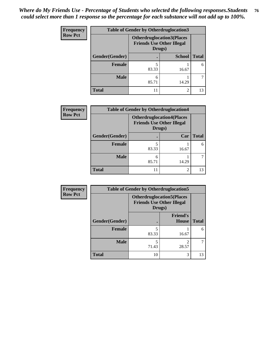| <b>Frequency</b> | Table of Gender by Otherdruglocation3 |                                            |                                  |              |
|------------------|---------------------------------------|--------------------------------------------|----------------------------------|--------------|
| <b>Row Pct</b>   |                                       | <b>Friends Use Other Illegal</b><br>Drugs) | <b>Otherdruglocation3(Places</b> |              |
|                  | Gender(Gender)                        |                                            | <b>School</b>                    | <b>Total</b> |
|                  | Female                                | 83.33                                      | 16.67                            | 6            |
|                  | <b>Male</b>                           | 6<br>85.71                                 | 14.29                            |              |
|                  | <b>Total</b>                          | 11                                         | $\mathcal{D}_{\mathcal{L}}$      | 13           |

| Frequency      | <b>Table of Gender by Otherdruglocation4</b> |                                                                                |       |              |
|----------------|----------------------------------------------|--------------------------------------------------------------------------------|-------|--------------|
| <b>Row Pct</b> |                                              | <b>Otherdruglocation4(Places</b><br><b>Friends Use Other Illegal</b><br>Drugs) |       |              |
|                | Gender(Gender)                               |                                                                                | Car   | <b>Total</b> |
|                | Female                                       | 83.33                                                                          | 16.67 | 6            |
|                | <b>Male</b>                                  | 6<br>85.71                                                                     | 14.29 |              |
|                | <b>Total</b>                                 | 11                                                                             | 2     | 13           |

| Frequency      |                | <b>Table of Gender by Otherdruglocation5</b>                                   |                                 |              |
|----------------|----------------|--------------------------------------------------------------------------------|---------------------------------|--------------|
| <b>Row Pct</b> |                | <b>Otherdruglocation5(Places</b><br><b>Friends Use Other Illegal</b><br>Drugs) |                                 |              |
|                | Gender(Gender) |                                                                                | <b>Friend's</b><br><b>House</b> | <b>Total</b> |
|                | <b>Female</b>  | 83.33                                                                          | 16.67                           | 6            |
|                | <b>Male</b>    | 71.43                                                                          | ∍<br>28.57                      |              |
|                | <b>Total</b>   | 10                                                                             | 3                               | 13           |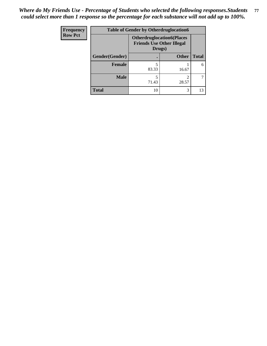| <b>Frequency</b> | <b>Table of Gender by Otherdruglocation6</b> |                                                                                |              |              |
|------------------|----------------------------------------------|--------------------------------------------------------------------------------|--------------|--------------|
| <b>Row Pct</b>   |                                              | <b>Otherdruglocation6(Places</b><br><b>Friends Use Other Illegal</b><br>Drugs) |              |              |
|                  | Gender(Gender)                               |                                                                                | <b>Other</b> | <b>Total</b> |
|                  | Female                                       | 83.33                                                                          | 16.67        | 6            |
|                  | <b>Male</b>                                  | 71.43                                                                          | 28.57        |              |
|                  | <b>Total</b>                                 | 10                                                                             | 3            | 13           |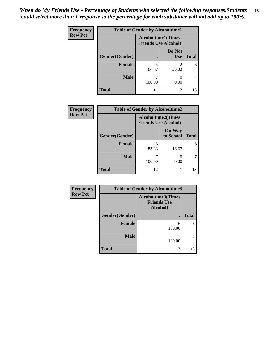| Frequency      | <b>Table of Gender by Alcoholtime1</b> |                                                          |                      |              |
|----------------|----------------------------------------|----------------------------------------------------------|----------------------|--------------|
| <b>Row Pct</b> |                                        | <b>Alcoholtime1(Times</b><br><b>Friends Use Alcohol)</b> |                      |              |
|                | Gender(Gender)                         |                                                          | Do Not<br><b>Use</b> | <b>Total</b> |
|                | <b>Female</b>                          | 4<br>66.67                                               | 2<br>33.33           | 6            |
|                | <b>Male</b>                            | 100.00                                                   | 0.00                 |              |
|                | <b>Total</b>                           | 11                                                       | 2                    | 13           |

| <b>Frequency</b> |                | <b>Table of Gender by Alcoholtime2</b>                   |                            |              |
|------------------|----------------|----------------------------------------------------------|----------------------------|--------------|
| <b>Row Pct</b>   |                | <b>Alcoholtime2(Times</b><br><b>Friends Use Alcohol)</b> |                            |              |
|                  | Gender(Gender) |                                                          | <b>On Way</b><br>to School | <b>Total</b> |
|                  | <b>Female</b>  | 5<br>83.33                                               | 16.67                      | 6            |
|                  | <b>Male</b>    | 100.00                                                   | 0.00                       |              |
|                  | <b>Total</b>   | 12                                                       |                            | 13           |

| Frequency      | <b>Table of Gender by Alcoholtime3</b> |                                                             |              |  |  |
|----------------|----------------------------------------|-------------------------------------------------------------|--------------|--|--|
| <b>Row Pct</b> |                                        | <b>Alcoholtime3(Times</b><br><b>Friends Use</b><br>Alcohol) |              |  |  |
|                | Gender(Gender)                         |                                                             | <b>Total</b> |  |  |
|                | <b>Female</b>                          | 6<br>100.00                                                 | 6            |  |  |
|                | <b>Male</b>                            | 100.00                                                      |              |  |  |
|                | <b>Total</b>                           | 13                                                          | 13           |  |  |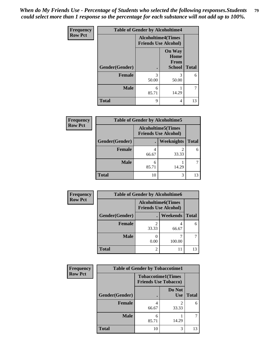*When do My Friends Use - Percentage of Students who selected the following responses.Students could select more than 1 response so the percentage for each substance will not add up to 100%.* **79**

| <b>Frequency</b> | <b>Table of Gender by Alcoholtime4</b> |                                                          |                                                |              |
|------------------|----------------------------------------|----------------------------------------------------------|------------------------------------------------|--------------|
| <b>Row Pct</b>   |                                        | <b>Alcoholtime4(Times</b><br><b>Friends Use Alcohol)</b> |                                                |              |
|                  | Gender(Gender)                         |                                                          | <b>On Way</b><br>Home<br>From<br><b>School</b> | <b>Total</b> |
|                  | <b>Female</b>                          | 3<br>50.00                                               | 3<br>50.00                                     | 6            |
|                  | <b>Male</b>                            | 6<br>85.71                                               | 14.29                                          | 7            |
|                  | <b>Total</b>                           | 9                                                        | 4                                              | 13           |

| <b>Frequency</b> | <b>Table of Gender by Alcoholtime5</b> |                                                          |            |              |
|------------------|----------------------------------------|----------------------------------------------------------|------------|--------------|
| <b>Row Pct</b>   |                                        | <b>Alcoholtime5(Times</b><br><b>Friends Use Alcohol)</b> |            |              |
|                  | Gender(Gender)                         | $\bullet$                                                | Weeknights | <b>Total</b> |
|                  | <b>Female</b>                          | 66.67                                                    | 2<br>33.33 | 6            |
|                  | <b>Male</b>                            | 85.71                                                    | 14.29      |              |
|                  | <b>Total</b>                           | 10                                                       | 3          | 13           |

| <b>Frequency</b> | <b>Table of Gender by Alcoholtime6</b> |       |                                                          |              |  |
|------------------|----------------------------------------|-------|----------------------------------------------------------|--------------|--|
| <b>Row Pct</b>   |                                        |       | <b>Alcoholtime6(Times</b><br><b>Friends Use Alcohol)</b> |              |  |
|                  | Gender(Gender)                         |       | Weekends                                                 | <b>Total</b> |  |
|                  | Female                                 | 33.33 | 4<br>66.67                                               | 6            |  |
|                  | <b>Male</b>                            | 0.00  | 100.00                                                   | 7            |  |
|                  | <b>Total</b>                           | 2     |                                                          | 13           |  |

| <b>Frequency</b> | <b>Table of Gender by Tobaccotime1</b> |                                                          |                      |              |
|------------------|----------------------------------------|----------------------------------------------------------|----------------------|--------------|
| <b>Row Pct</b>   |                                        | <b>Tobaccotime1(Times</b><br><b>Friends Use Tobacco)</b> |                      |              |
|                  | Gender(Gender)                         |                                                          | Do Not<br><b>Use</b> | <b>Total</b> |
|                  | Female                                 | 66.67                                                    | 2<br>33.33           | 6            |
|                  | <b>Male</b>                            | 6<br>85.71                                               | 14.29                |              |
|                  | <b>Total</b>                           | 10                                                       | 3                    | 13           |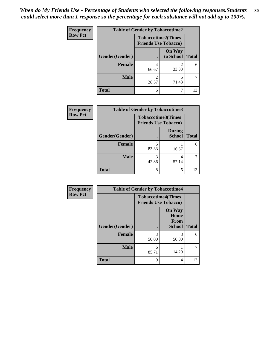| <b>Frequency</b> | <b>Table of Gender by Tobaccotime2</b> |                                                          |                            |              |
|------------------|----------------------------------------|----------------------------------------------------------|----------------------------|--------------|
| <b>Row Pct</b>   |                                        | <b>Tobaccotime2(Times</b><br><b>Friends Use Tobacco)</b> |                            |              |
|                  | Gender(Gender)                         | $\bullet$                                                | <b>On Way</b><br>to School | <b>Total</b> |
|                  | Female                                 | 4<br>66.67                                               | 2<br>33.33                 | 6            |
|                  | <b>Male</b>                            | 2<br>28.57                                               | 5<br>71.43                 |              |
|                  | <b>Total</b>                           | 6                                                        | ┑                          | 13           |

| <b>Frequency</b> | <b>Table of Gender by Tobaccotime3</b> |                                                          |                                |              |
|------------------|----------------------------------------|----------------------------------------------------------|--------------------------------|--------------|
| <b>Row Pct</b>   |                                        | <b>Tobaccotime3(Times</b><br><b>Friends Use Tobacco)</b> |                                |              |
|                  | Gender(Gender)                         |                                                          | <b>During</b><br><b>School</b> | <b>Total</b> |
|                  | <b>Female</b>                          | 5<br>83.33                                               | 16.67                          | 6            |
|                  | <b>Male</b>                            | 3<br>42.86                                               | 4<br>57.14                     |              |
|                  | <b>Total</b>                           | 8                                                        | 5                              | 13           |

| Frequency      | <b>Table of Gender by Tobaccotime4</b> |                                                          |                                                |              |
|----------------|----------------------------------------|----------------------------------------------------------|------------------------------------------------|--------------|
| <b>Row Pct</b> |                                        | <b>Tobaccotime4(Times</b><br><b>Friends Use Tobacco)</b> |                                                |              |
|                | Gender(Gender)                         |                                                          | <b>On Way</b><br>Home<br>From<br><b>School</b> | <b>Total</b> |
|                | Female                                 | 3<br>50.00                                               | 3<br>50.00                                     | 6            |
|                | <b>Male</b>                            | 6<br>85.71                                               | 14.29                                          | 7            |
|                | <b>Total</b>                           | 9                                                        | 4                                              | 13           |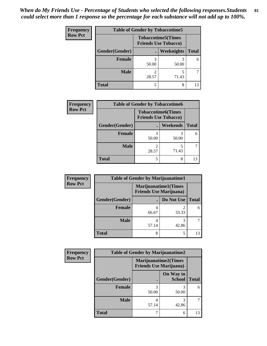| <b>Frequency</b> | <b>Table of Gender by Tobaccotime5</b> |                                                          |                   |              |  |
|------------------|----------------------------------------|----------------------------------------------------------|-------------------|--------------|--|
| <b>Row Pct</b>   |                                        | <b>Tobaccotime5(Times</b><br><b>Friends Use Tobacco)</b> |                   |              |  |
|                  | <b>Gender</b> (Gender)                 |                                                          | <b>Weeknights</b> | <b>Total</b> |  |
|                  | <b>Female</b>                          | 50.00                                                    | 50.00             | 6            |  |
|                  | <b>Male</b>                            | 28.57                                                    | 5<br>71.43        |              |  |
|                  | Total                                  |                                                          | 8                 | 13           |  |

| Frequency      |                | <b>Table of Gender by Tobaccotime6</b>                   |                 |              |  |
|----------------|----------------|----------------------------------------------------------|-----------------|--------------|--|
| <b>Row Pct</b> |                | <b>Tobaccotime6(Times</b><br><b>Friends Use Tobacco)</b> |                 |              |  |
|                | Gender(Gender) |                                                          | <b>Weekends</b> | <b>Total</b> |  |
|                | Female         | 3<br>50.00                                               | 50.00           |              |  |
|                | <b>Male</b>    | 28.57                                                    | 71.43           |              |  |
|                | <b>Total</b>   | 5                                                        | 8               |              |  |

| <b>Frequency</b> | <b>Table of Gender by Marijuanatime1</b> |                                                               |            |              |
|------------------|------------------------------------------|---------------------------------------------------------------|------------|--------------|
| <b>Row Pct</b>   |                                          | <b>Marijuanatime1(Times</b><br><b>Friends Use Marijuana</b> ) |            |              |
|                  | Gender(Gender)                           |                                                               | Do Not Use | <b>Total</b> |
|                  | <b>Female</b>                            | 66.67                                                         | 33.33      | 6            |
|                  | <b>Male</b>                              | 57.14                                                         | 3<br>42.86 |              |
|                  | <b>Total</b>                             | 8                                                             | 5          | 13           |

| <b>Frequency</b> | <b>Table of Gender by Marijuanatime2</b> |                                                               |                            |              |
|------------------|------------------------------------------|---------------------------------------------------------------|----------------------------|--------------|
| <b>Row Pct</b>   |                                          | <b>Marijuanatime2(Times</b><br><b>Friends Use Marijuana</b> ) |                            |              |
|                  | Gender(Gender)                           |                                                               | On Way to<br><b>School</b> | <b>Total</b> |
|                  | <b>Female</b>                            | 3<br>50.00                                                    | 3<br>50.00                 | 6            |
|                  | <b>Male</b>                              | 4<br>57.14                                                    | 3<br>42.86                 |              |
|                  | <b>Total</b>                             |                                                               | 6                          | 13           |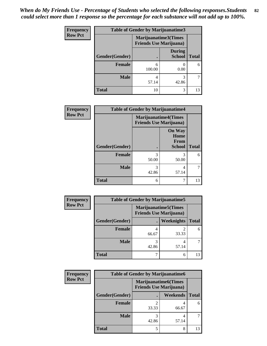| <b>Frequency</b> | <b>Table of Gender by Marijuanatime3</b> |                                |                                |              |
|------------------|------------------------------------------|--------------------------------|--------------------------------|--------------|
| <b>Row Pct</b>   |                                          | <b>Friends Use Marijuana</b> ) | Marijuanatime3(Times           |              |
|                  | Gender(Gender)                           |                                | <b>During</b><br><b>School</b> | <b>Total</b> |
|                  | <b>Female</b>                            | 6<br>100.00                    | 0.00                           | 6            |
|                  | <b>Male</b>                              | 4<br>57.14                     | 3<br>42.86                     |              |
|                  | <b>Total</b>                             | 10                             | 3                              | 13           |

| Frequency      | <b>Table of Gender by Marijuanatime4</b> |                                                               |                                                |              |
|----------------|------------------------------------------|---------------------------------------------------------------|------------------------------------------------|--------------|
| <b>Row Pct</b> |                                          | <b>Marijuanatime4(Times</b><br><b>Friends Use Marijuana</b> ) |                                                |              |
|                | Gender(Gender)                           |                                                               | <b>On Way</b><br>Home<br>From<br><b>School</b> | <b>Total</b> |
|                | <b>Female</b>                            | 3<br>50.00                                                    | 3<br>50.00                                     | 6            |
|                | <b>Male</b>                              | 3<br>42.86                                                    | 4<br>57.14                                     |              |
|                | <b>Total</b>                             | 6                                                             | 7                                              | 13           |

| <b>Frequency</b> |                | <b>Table of Gender by Marijuanatime5</b>                       |            |              |
|------------------|----------------|----------------------------------------------------------------|------------|--------------|
| <b>Row Pct</b>   |                | <b>Marijuanatime5</b> (Times<br><b>Friends Use Marijuana</b> ) |            |              |
|                  | Gender(Gender) |                                                                | Weeknights | <b>Total</b> |
|                  | <b>Female</b>  | 66.67                                                          | 33.33      | 6            |
|                  | <b>Male</b>    | 3<br>42.86                                                     | 4<br>57.14 |              |
|                  | <b>Total</b>   |                                                                | 6          | 13           |

| Frequency      | <b>Table of Gender by Marijuanatime6</b> |                                                               |                 |              |
|----------------|------------------------------------------|---------------------------------------------------------------|-----------------|--------------|
| <b>Row Pct</b> |                                          | <b>Marijuanatime6(Times</b><br><b>Friends Use Marijuana</b> ) |                 |              |
|                | Gender(Gender)                           |                                                               | <b>Weekends</b> | <b>Total</b> |
|                | <b>Female</b>                            | 33.33                                                         | 66.67           | 6            |
|                | <b>Male</b>                              | 42.86                                                         | 4<br>57.14      |              |
|                | <b>Total</b>                             | 5                                                             | 8               | 13           |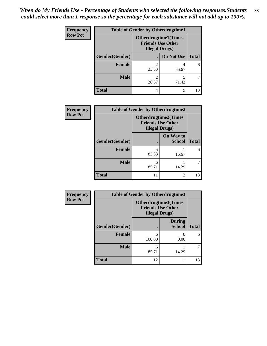| <b>Frequency</b> | <b>Table of Gender by Otherdrugtime1</b> |                                                                                   |                    |    |
|------------------|------------------------------------------|-----------------------------------------------------------------------------------|--------------------|----|
| <b>Row Pct</b>   |                                          | <b>Otherdrugtime1(Times</b><br><b>Friends Use Other</b><br><b>Illegal Drugs</b> ) |                    |    |
|                  | Gender(Gender)                           |                                                                                   | Do Not Use   Total |    |
|                  | <b>Female</b>                            | 2<br>33.33                                                                        | 66.67              | 6  |
|                  | <b>Male</b>                              | 2<br>28.57                                                                        | 5<br>71.43         |    |
|                  | <b>Total</b>                             | 4                                                                                 | 9                  | 13 |

| Frequency      | <b>Table of Gender by Otherdrugtime2</b> |                                                                                   |                            |              |
|----------------|------------------------------------------|-----------------------------------------------------------------------------------|----------------------------|--------------|
| <b>Row Pct</b> |                                          | <b>Otherdrugtime2(Times</b><br><b>Friends Use Other</b><br><b>Illegal Drugs</b> ) |                            |              |
|                | Gender(Gender)                           |                                                                                   | On Way to<br><b>School</b> | <b>Total</b> |
|                | <b>Female</b>                            | 5<br>83.33                                                                        | 16.67                      | 6            |
|                | <b>Male</b>                              | 6<br>85.71                                                                        | 14.29                      |              |
|                | <b>Total</b>                             |                                                                                   | $\mathfrak{D}$             | 13           |

| Frequency      | <b>Table of Gender by Otherdrugtime3</b> |                        |                                                  |              |
|----------------|------------------------------------------|------------------------|--------------------------------------------------|--------------|
| <b>Row Pct</b> |                                          | <b>Illegal Drugs</b> ) | Otherdrugtime3(Times<br><b>Friends Use Other</b> |              |
|                | Gender(Gender)                           |                        | <b>During</b><br><b>School</b>                   | <b>Total</b> |
|                | <b>Female</b>                            | 6<br>100.00            | 0<br>0.00                                        | 6            |
|                | <b>Male</b>                              | 6<br>85.71             | 14.29                                            | ┑            |
|                | <b>Total</b>                             | 12                     |                                                  | 13           |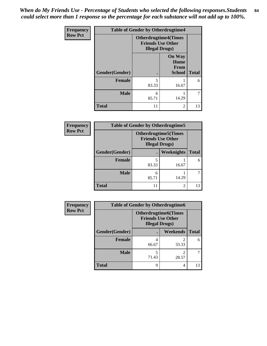*When do My Friends Use - Percentage of Students who selected the following responses.Students could select more than 1 response so the percentage for each substance will not add up to 100%.* **84**

| <b>Frequency</b> | <b>Table of Gender by Otherdrugtime4</b> |                                                                                   |                                                       |              |
|------------------|------------------------------------------|-----------------------------------------------------------------------------------|-------------------------------------------------------|--------------|
| <b>Row Pct</b>   |                                          | <b>Otherdrugtime4(Times</b><br><b>Friends Use Other</b><br><b>Illegal Drugs</b> ) |                                                       |              |
|                  | Gender(Gender)                           |                                                                                   | <b>On Way</b><br>Home<br><b>From</b><br><b>School</b> | <b>Total</b> |
|                  | <b>Female</b>                            | 5<br>83.33                                                                        | 16.67                                                 | 6            |
|                  | <b>Male</b>                              | 6<br>85.71                                                                        | 14.29                                                 |              |
|                  | <b>Total</b>                             | 11                                                                                | $\overline{c}$                                        | 13           |

| <b>Frequency</b> | <b>Table of Gender by Otherdrugtime5</b> |                                                                                   |            |              |  |
|------------------|------------------------------------------|-----------------------------------------------------------------------------------|------------|--------------|--|
| <b>Row Pct</b>   |                                          | <b>Otherdrugtime5(Times</b><br><b>Friends Use Other</b><br><b>Illegal Drugs</b> ) |            |              |  |
|                  | Gender(Gender)                           |                                                                                   | Weeknights | <b>Total</b> |  |
|                  | <b>Female</b>                            | 5<br>83.33                                                                        | 16.67      | 6            |  |
|                  | <b>Male</b>                              | 6<br>85.71                                                                        | 14.29      |              |  |
|                  | <b>Total</b>                             | 11                                                                                | 2          | 13           |  |

| <b>Frequency</b> | <b>Table of Gender by Otherdrugtime6</b> |                                                                                   |                         |              |
|------------------|------------------------------------------|-----------------------------------------------------------------------------------|-------------------------|--------------|
| <b>Row Pct</b>   |                                          | <b>Otherdrugtime6(Times</b><br><b>Friends Use Other</b><br><b>Illegal Drugs</b> ) |                         |              |
|                  | Gender(Gender)                           |                                                                                   | Weekends                | <b>Total</b> |
|                  | <b>Female</b>                            | 66.67                                                                             | $\overline{2}$<br>33.33 | 6            |
|                  | <b>Male</b>                              | 71.43                                                                             | $\overline{2}$<br>28.57 |              |
|                  | <b>Total</b>                             | 9                                                                                 | 4                       | 13           |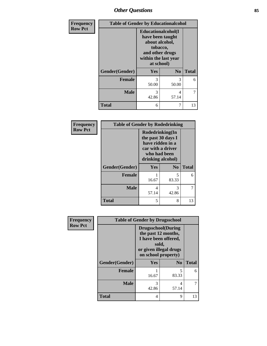## *Other Questions* **85**

| Frequency      | <b>Table of Gender by Educationalcohol</b> |                                                                                                                                       |                |              |
|----------------|--------------------------------------------|---------------------------------------------------------------------------------------------------------------------------------------|----------------|--------------|
| <b>Row Pct</b> |                                            | <b>Educationalcohol</b> (I<br>have been taught<br>about alcohol,<br>tobacco,<br>and other drugs<br>within the last year<br>at school) |                |              |
|                | Gender(Gender)                             | Yes                                                                                                                                   | N <sub>0</sub> | <b>Total</b> |
|                | <b>Female</b>                              | 3<br>50.00                                                                                                                            | 3<br>50.00     | 6            |
|                | <b>Male</b>                                | 3<br>42.86                                                                                                                            | 4<br>57.14     | 7            |
|                | <b>Total</b>                               | 6                                                                                                                                     | 7              | 13           |

| Frequency      | <b>Table of Gender by Rodedrinking</b> |                                                                                                                     |                |              |
|----------------|----------------------------------------|---------------------------------------------------------------------------------------------------------------------|----------------|--------------|
| <b>Row Pct</b> |                                        | Rodedrinking(In<br>the past 30 days I<br>have ridden in a<br>car with a driver<br>who had been<br>drinking alcohol) |                |              |
|                | Gender(Gender)                         | Yes                                                                                                                 | N <sub>0</sub> | <b>Total</b> |
|                | <b>Female</b>                          | 16.67                                                                                                               | 5<br>83.33     | 6            |
|                | <b>Male</b>                            | 4<br>57.14                                                                                                          | 3<br>42.86     |              |
|                | <b>Total</b>                           | 5                                                                                                                   | 8              | 13           |

| Frequency      |                | <b>Table of Gender by Drugsschool</b>                                                                                               |                |              |
|----------------|----------------|-------------------------------------------------------------------------------------------------------------------------------------|----------------|--------------|
| <b>Row Pct</b> |                | <b>Drugsschool</b> (During<br>the past 12 months,<br>I have been offered,<br>sold,<br>or given illegal drugs<br>on school property) |                |              |
|                | Gender(Gender) | <b>Yes</b>                                                                                                                          | N <sub>0</sub> | <b>Total</b> |
|                | <b>Female</b>  | 16.67                                                                                                                               | 5<br>83.33     | 6            |
|                | <b>Male</b>    | 3<br>42.86                                                                                                                          | 4<br>57.14     |              |
|                | <b>Total</b>   | 4                                                                                                                                   | 9              | 13           |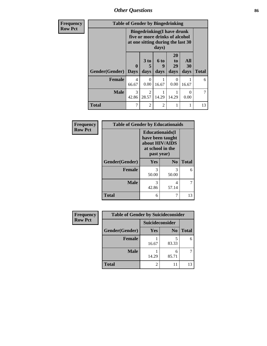*Other Questions* **86**

| <b>Frequency</b> | <b>Table of Gender by Bingedrinking</b> |                                                                                                                    |                                      |                          |                                    |                          |              |
|------------------|-----------------------------------------|--------------------------------------------------------------------------------------------------------------------|--------------------------------------|--------------------------|------------------------------------|--------------------------|--------------|
| <b>Row Pct</b>   |                                         | <b>Bingedrinking</b> (I have drunk<br>five or more drinks of alcohol<br>at one sitting during the last 30<br>days) |                                      |                          |                                    |                          |              |
|                  | Gender(Gender)                          | $\mathbf 0$<br><b>Days</b>                                                                                         | 3 to<br>5<br>days                    | <b>6 to</b><br>9<br>days | 20<br>t <sub>0</sub><br>29<br>days | <b>All</b><br>30<br>days | <b>Total</b> |
|                  | <b>Female</b>                           | 4<br>66.67                                                                                                         | 0<br>0.00                            | 1<br>16.67               | $\Omega$<br>0.00                   | 16.67                    | 6            |
|                  | <b>Male</b>                             | $\mathcal{R}$<br>42.86                                                                                             | $\mathcal{D}_{\mathcal{L}}$<br>28.57 | 1<br>14.29               | 14.29                              | $\Omega$<br>0.00         | 7            |
|                  | <b>Total</b>                            | 7                                                                                                                  | $\overline{2}$                       | $\overline{2}$           |                                    |                          | 13           |

| Frequency      | <b>Table of Gender by Educationaids</b> |                                                                                                 |                |              |
|----------------|-----------------------------------------|-------------------------------------------------------------------------------------------------|----------------|--------------|
| <b>Row Pct</b> |                                         | <b>Educationaids</b> (I<br>have been taught<br>about HIV/AIDS<br>at school in the<br>past year) |                |              |
|                | Gender(Gender)                          | Yes                                                                                             | N <sub>0</sub> | <b>Total</b> |
|                | <b>Female</b>                           | 3<br>50.00                                                                                      | 3<br>50.00     | 6            |
|                | <b>Male</b>                             | 3<br>42.86                                                                                      | 4<br>57.14     | 7            |
|                | <b>Total</b>                            | 6                                                                                               |                | 13           |

| Frequency      | <b>Table of Gender by Suicideconsider</b> |                 |                |              |
|----------------|-------------------------------------------|-----------------|----------------|--------------|
| <b>Row Pct</b> |                                           | Suicideconsider |                |              |
|                | Gender(Gender)                            | Yes             | N <sub>0</sub> | <b>Total</b> |
|                | <b>Female</b>                             | 16.67           | 83.33          | 6            |
|                | <b>Male</b>                               | 14.29           | 6<br>85.71     |              |
|                | <b>Total</b>                              |                 | 11             | 13           |